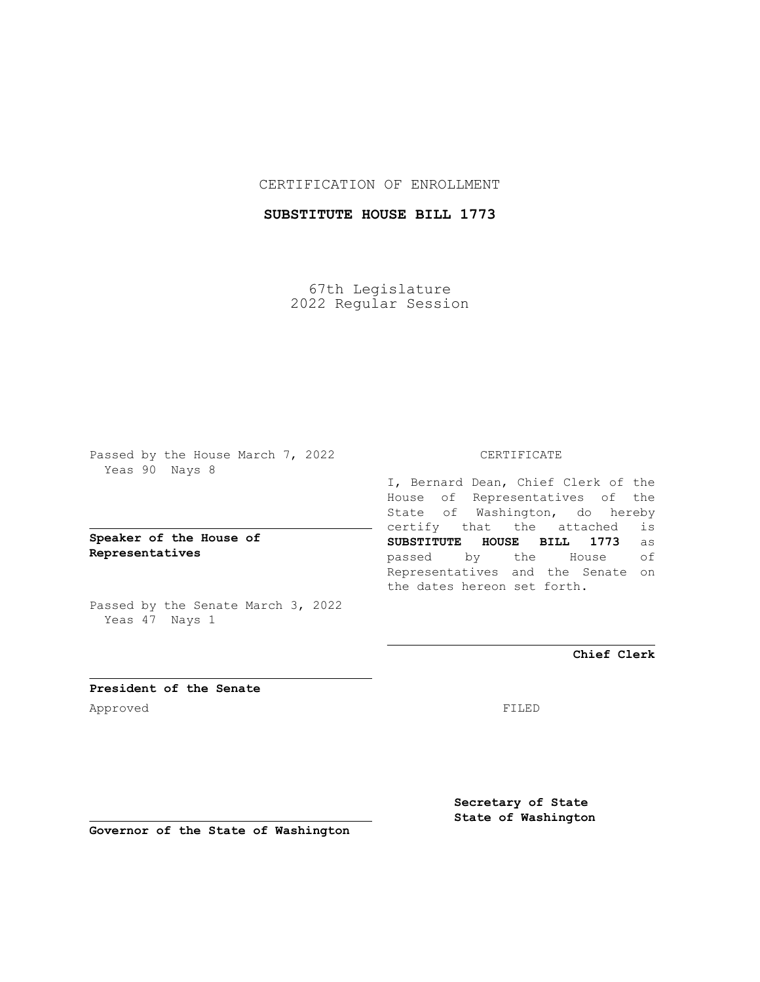## CERTIFICATION OF ENROLLMENT

## **SUBSTITUTE HOUSE BILL 1773**

67th Legislature 2022 Regular Session

Passed by the House March 7, 2022 Yeas 90 Nays 8

## **Speaker of the House of Representatives**

Passed by the Senate March 3, 2022 Yeas 47 Nays 1

#### CERTIFICATE

I, Bernard Dean, Chief Clerk of the House of Representatives of the State of Washington, do hereby certify that the attached is **SUBSTITUTE HOUSE BILL 1773** as passed by the House of Representatives and the Senate on the dates hereon set forth.

**Chief Clerk**

**President of the Senate** Approved FILED

**Secretary of State State of Washington**

**Governor of the State of Washington**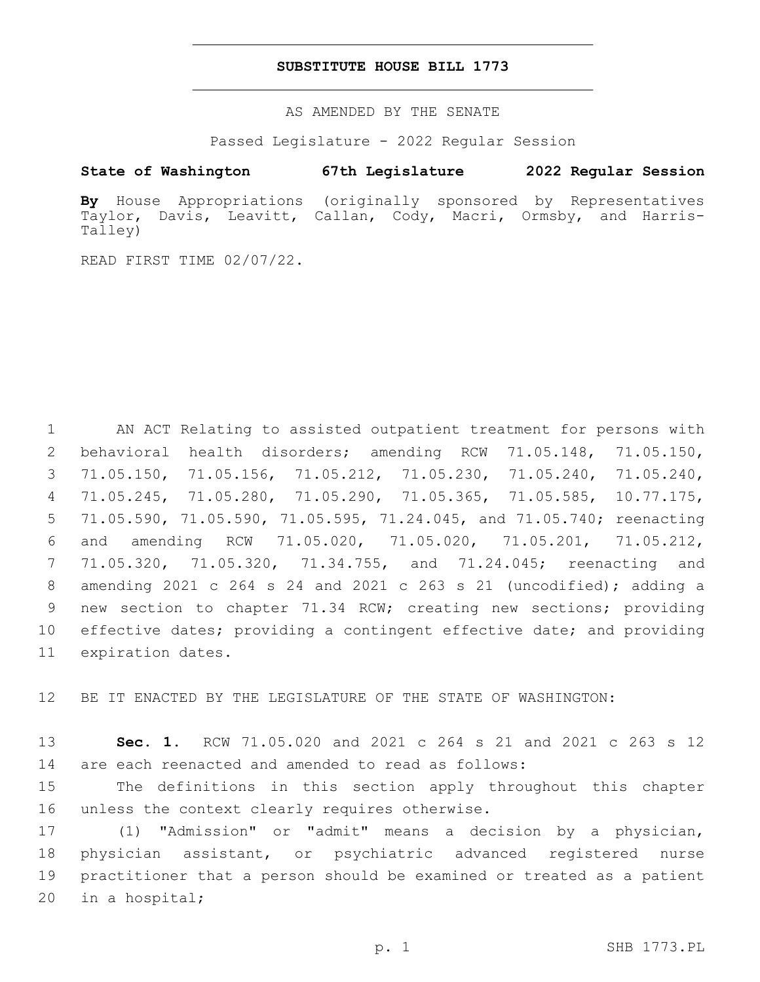#### **SUBSTITUTE HOUSE BILL 1773**

AS AMENDED BY THE SENATE

Passed Legislature - 2022 Regular Session

# **State of Washington 67th Legislature 2022 Regular Session**

**By** House Appropriations (originally sponsored by Representatives Taylor, Davis, Leavitt, Callan, Cody, Macri, Ormsby, and Harris-Talley)

READ FIRST TIME 02/07/22.

 AN ACT Relating to assisted outpatient treatment for persons with behavioral health disorders; amending RCW 71.05.148, 71.05.150, 71.05.150, 71.05.156, 71.05.212, 71.05.230, 71.05.240, 71.05.240, 71.05.245, 71.05.280, 71.05.290, 71.05.365, 71.05.585, 10.77.175, 71.05.590, 71.05.590, 71.05.595, 71.24.045, and 71.05.740; reenacting and amending RCW 71.05.020, 71.05.020, 71.05.201, 71.05.212, 71.05.320, 71.05.320, 71.34.755, and 71.24.045; reenacting and amending 2021 c 264 s 24 and 2021 c 263 s 21 (uncodified); adding a new section to chapter 71.34 RCW; creating new sections; providing effective dates; providing a contingent effective date; and providing 11 expiration dates.

12 BE IT ENACTED BY THE LEGISLATURE OF THE STATE OF WASHINGTON:

13 **Sec. 1.** RCW 71.05.020 and 2021 c 264 s 21 and 2021 c 263 s 12 14 are each reenacted and amended to read as follows:

15 The definitions in this section apply throughout this chapter 16 unless the context clearly requires otherwise.

 (1) "Admission" or "admit" means a decision by a physician, physician assistant, or psychiatric advanced registered nurse practitioner that a person should be examined or treated as a patient 20 in a hospital;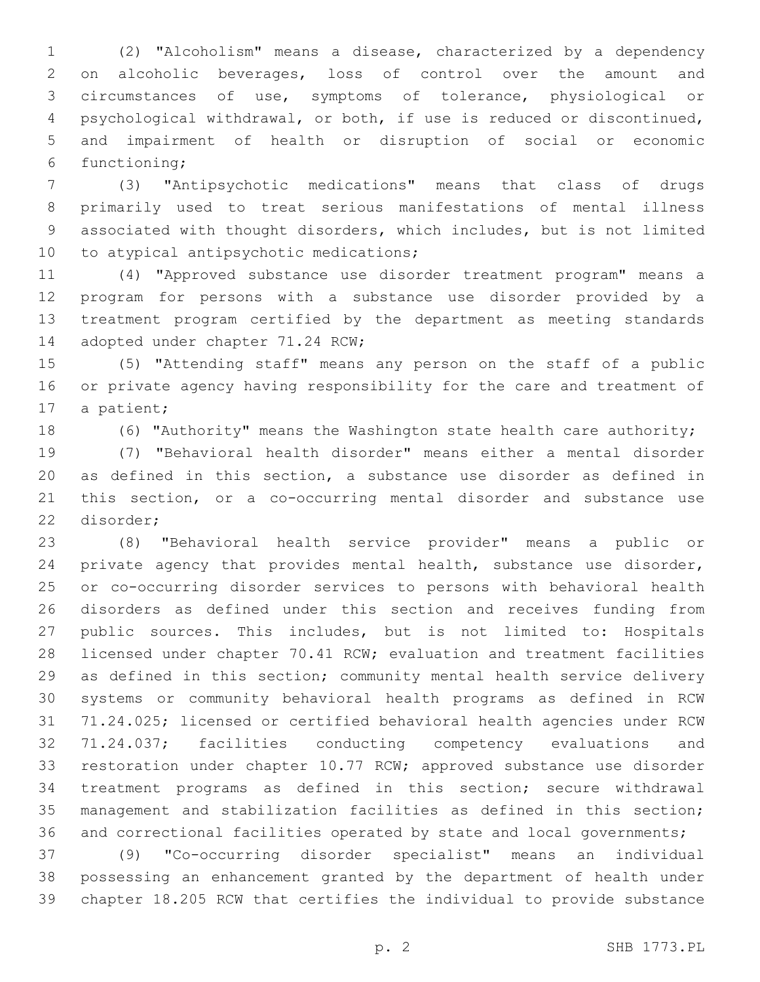(2) "Alcoholism" means a disease, characterized by a dependency on alcoholic beverages, loss of control over the amount and circumstances of use, symptoms of tolerance, physiological or psychological withdrawal, or both, if use is reduced or discontinued, and impairment of health or disruption of social or economic functioning;6

 (3) "Antipsychotic medications" means that class of drugs primarily used to treat serious manifestations of mental illness associated with thought disorders, which includes, but is not limited 10 to atypical antipsychotic medications;

 (4) "Approved substance use disorder treatment program" means a program for persons with a substance use disorder provided by a treatment program certified by the department as meeting standards 14 adopted under chapter 71.24 RCW;

 (5) "Attending staff" means any person on the staff of a public or private agency having responsibility for the care and treatment of 17 a patient;

(6) "Authority" means the Washington state health care authority;

 (7) "Behavioral health disorder" means either a mental disorder as defined in this section, a substance use disorder as defined in this section, or a co-occurring mental disorder and substance use 22 disorder;

 (8) "Behavioral health service provider" means a public or private agency that provides mental health, substance use disorder, or co-occurring disorder services to persons with behavioral health disorders as defined under this section and receives funding from public sources. This includes, but is not limited to: Hospitals licensed under chapter 70.41 RCW; evaluation and treatment facilities as defined in this section; community mental health service delivery systems or community behavioral health programs as defined in RCW 71.24.025; licensed or certified behavioral health agencies under RCW 71.24.037; facilities conducting competency evaluations and restoration under chapter 10.77 RCW; approved substance use disorder treatment programs as defined in this section; secure withdrawal management and stabilization facilities as defined in this section; 36 and correctional facilities operated by state and local governments;

 (9) "Co-occurring disorder specialist" means an individual possessing an enhancement granted by the department of health under chapter 18.205 RCW that certifies the individual to provide substance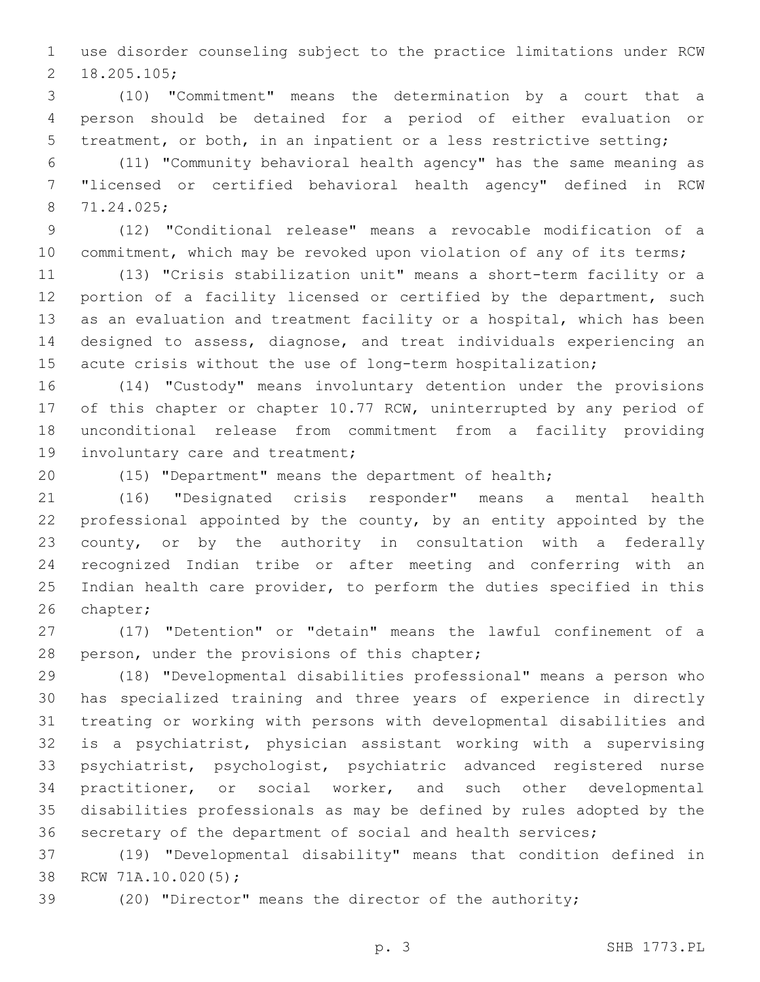use disorder counseling subject to the practice limitations under RCW 18.205.105;2

 (10) "Commitment" means the determination by a court that a person should be detained for a period of either evaluation or treatment, or both, in an inpatient or a less restrictive setting;

 (11) "Community behavioral health agency" has the same meaning as "licensed or certified behavioral health agency" defined in RCW 71.24.025;8

 (12) "Conditional release" means a revocable modification of a 10 commitment, which may be revoked upon violation of any of its terms;

 (13) "Crisis stabilization unit" means a short-term facility or a 12 portion of a facility licensed or certified by the department, such as an evaluation and treatment facility or a hospital, which has been designed to assess, diagnose, and treat individuals experiencing an acute crisis without the use of long-term hospitalization;

 (14) "Custody" means involuntary detention under the provisions 17 of this chapter or chapter 10.77 RCW, uninterrupted by any period of unconditional release from commitment from a facility providing 19 involuntary care and treatment;

(15) "Department" means the department of health;

 (16) "Designated crisis responder" means a mental health professional appointed by the county, by an entity appointed by the county, or by the authority in consultation with a federally recognized Indian tribe or after meeting and conferring with an Indian health care provider, to perform the duties specified in this 26 chapter;

 (17) "Detention" or "detain" means the lawful confinement of a 28 person, under the provisions of this chapter;

 (18) "Developmental disabilities professional" means a person who has specialized training and three years of experience in directly treating or working with persons with developmental disabilities and is a psychiatrist, physician assistant working with a supervising psychiatrist, psychologist, psychiatric advanced registered nurse practitioner, or social worker, and such other developmental disabilities professionals as may be defined by rules adopted by the secretary of the department of social and health services;

 (19) "Developmental disability" means that condition defined in 38 RCW 71A.10.020(5);

(20) "Director" means the director of the authority;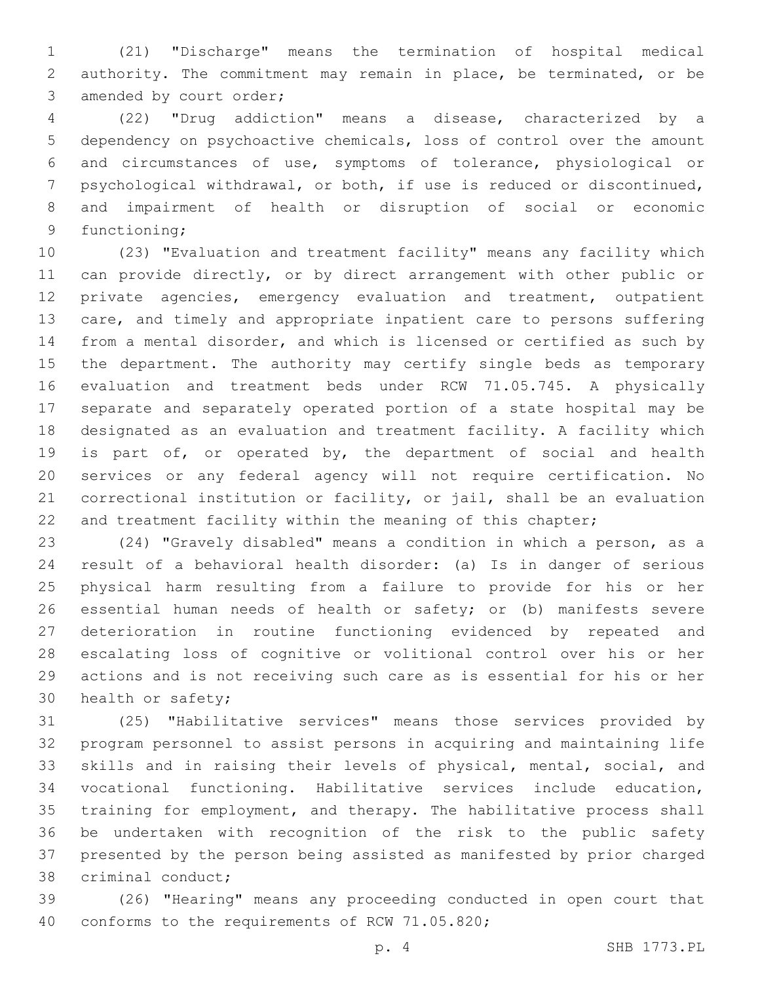(21) "Discharge" means the termination of hospital medical authority. The commitment may remain in place, be terminated, or be 3 amended by court order;

 (22) "Drug addiction" means a disease, characterized by a dependency on psychoactive chemicals, loss of control over the amount and circumstances of use, symptoms of tolerance, physiological or psychological withdrawal, or both, if use is reduced or discontinued, and impairment of health or disruption of social or economic 9 functioning;

 (23) "Evaluation and treatment facility" means any facility which can provide directly, or by direct arrangement with other public or private agencies, emergency evaluation and treatment, outpatient care, and timely and appropriate inpatient care to persons suffering from a mental disorder, and which is licensed or certified as such by the department. The authority may certify single beds as temporary evaluation and treatment beds under RCW 71.05.745. A physically separate and separately operated portion of a state hospital may be designated as an evaluation and treatment facility. A facility which is part of, or operated by, the department of social and health services or any federal agency will not require certification. No correctional institution or facility, or jail, shall be an evaluation 22 and treatment facility within the meaning of this chapter;

 (24) "Gravely disabled" means a condition in which a person, as a result of a behavioral health disorder: (a) Is in danger of serious physical harm resulting from a failure to provide for his or her essential human needs of health or safety; or (b) manifests severe deterioration in routine functioning evidenced by repeated and escalating loss of cognitive or volitional control over his or her actions and is not receiving such care as is essential for his or her 30 health or safety;

 (25) "Habilitative services" means those services provided by program personnel to assist persons in acquiring and maintaining life skills and in raising their levels of physical, mental, social, and vocational functioning. Habilitative services include education, training for employment, and therapy. The habilitative process shall be undertaken with recognition of the risk to the public safety presented by the person being assisted as manifested by prior charged 38 criminal conduct;

 (26) "Hearing" means any proceeding conducted in open court that 40 conforms to the requirements of RCW 71.05.820;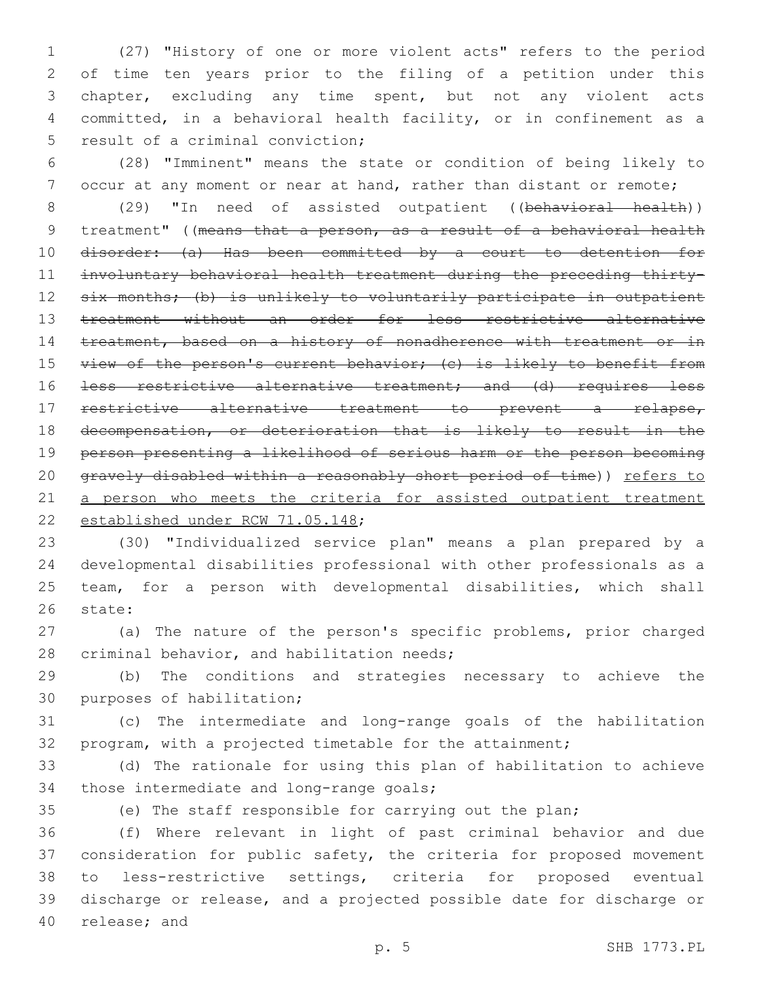(27) "History of one or more violent acts" refers to the period of time ten years prior to the filing of a petition under this chapter, excluding any time spent, but not any violent acts committed, in a behavioral health facility, or in confinement as a 5 result of a criminal conviction;

6 (28) "Imminent" means the state or condition of being likely to 7 occur at any moment or near at hand, rather than distant or remote;

8 (29) "In need of assisted outpatient ((behavioral health)) 9 treatment" ((means that a person, as a result of a behavioral health 10 disorder: (a) Has been committed by a court to detention for 11 involuntary behavioral health treatment during the preceding thirty-12 six months; (b) is unlikely to voluntarily participate in outpatient 13 treatment without an order for less restrictive alternative 14 treatment, based on a history of nonadherence with treatment or in 15 view of the person's current behavior; (c) is likely to benefit from 16 <del>less restrictive alternative treatment; and (d) requires less</del> 17 restrictive alternative treatment to prevent a relapse, 18 decompensation, or deterioration that is likely to result in the 19 person presenting a likelihood of serious harm or the person becoming 20 gravely disabled within a reasonably short period of time)) refers to 21 a person who meets the criteria for assisted outpatient treatment 22 established under RCW 71.05.148;

 (30) "Individualized service plan" means a plan prepared by a developmental disabilities professional with other professionals as a team, for a person with developmental disabilities, which shall 26 state:

27 (a) The nature of the person's specific problems, prior charged 28 criminal behavior, and habilitation needs;

29 (b) The conditions and strategies necessary to achieve the 30 purposes of habilitation;

31 (c) The intermediate and long-range goals of the habilitation 32 program, with a projected timetable for the attainment;

33 (d) The rationale for using this plan of habilitation to achieve 34 those intermediate and long-range goals;

35 (e) The staff responsible for carrying out the plan;

 (f) Where relevant in light of past criminal behavior and due consideration for public safety, the criteria for proposed movement to less-restrictive settings, criteria for proposed eventual discharge or release, and a projected possible date for discharge or 40 release; and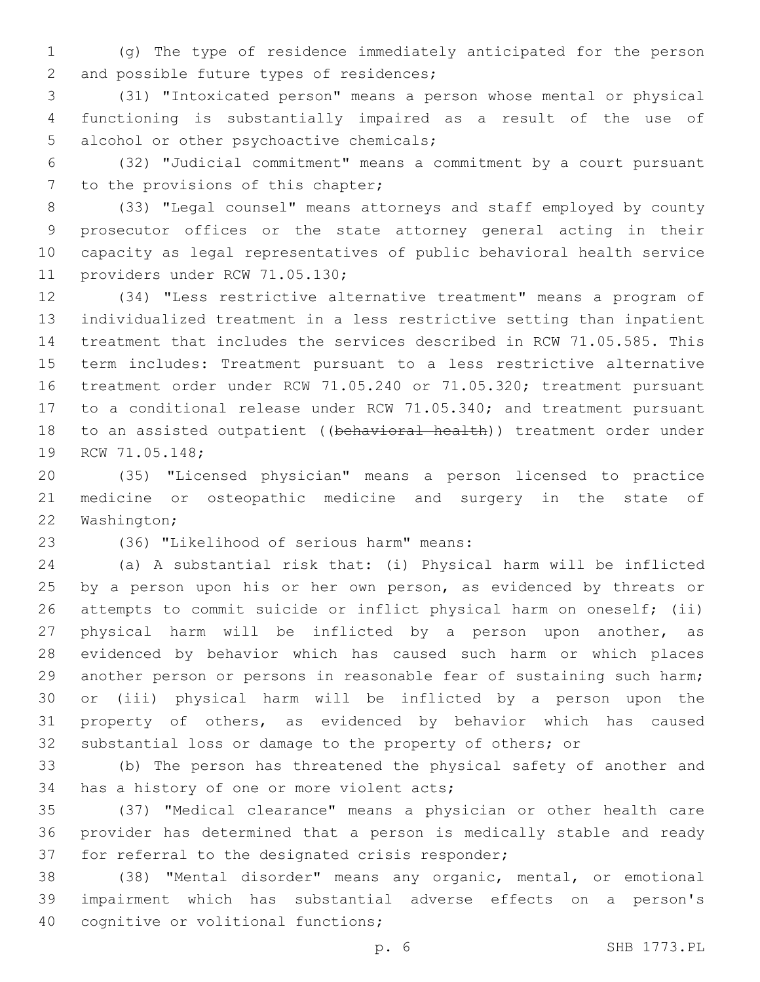(g) The type of residence immediately anticipated for the person 2 and possible future types of residences;

 (31) "Intoxicated person" means a person whose mental or physical functioning is substantially impaired as a result of the use of 5 alcohol or other psychoactive chemicals;

 (32) "Judicial commitment" means a commitment by a court pursuant 7 to the provisions of this chapter;

 (33) "Legal counsel" means attorneys and staff employed by county prosecutor offices or the state attorney general acting in their capacity as legal representatives of public behavioral health service 11 providers under RCW 71.05.130;

 (34) "Less restrictive alternative treatment" means a program of individualized treatment in a less restrictive setting than inpatient treatment that includes the services described in RCW 71.05.585. This term includes: Treatment pursuant to a less restrictive alternative treatment order under RCW 71.05.240 or 71.05.320; treatment pursuant to a conditional release under RCW 71.05.340; and treatment pursuant 18 to an assisted outpatient ((behavioral health)) treatment order under 19 RCW 71.05.148;

 (35) "Licensed physician" means a person licensed to practice medicine or osteopathic medicine and surgery in the state of 22 Washington;

(36) "Likelihood of serious harm" means:23

 (a) A substantial risk that: (i) Physical harm will be inflicted 25 by a person upon his or her own person, as evidenced by threats or attempts to commit suicide or inflict physical harm on oneself; (ii) physical harm will be inflicted by a person upon another, as evidenced by behavior which has caused such harm or which places another person or persons in reasonable fear of sustaining such harm; or (iii) physical harm will be inflicted by a person upon the property of others, as evidenced by behavior which has caused substantial loss or damage to the property of others; or

 (b) The person has threatened the physical safety of another and 34 has a history of one or more violent acts;

 (37) "Medical clearance" means a physician or other health care provider has determined that a person is medically stable and ready 37 for referral to the designated crisis responder;

 (38) "Mental disorder" means any organic, mental, or emotional impairment which has substantial adverse effects on a person's 40 cognitive or volitional functions;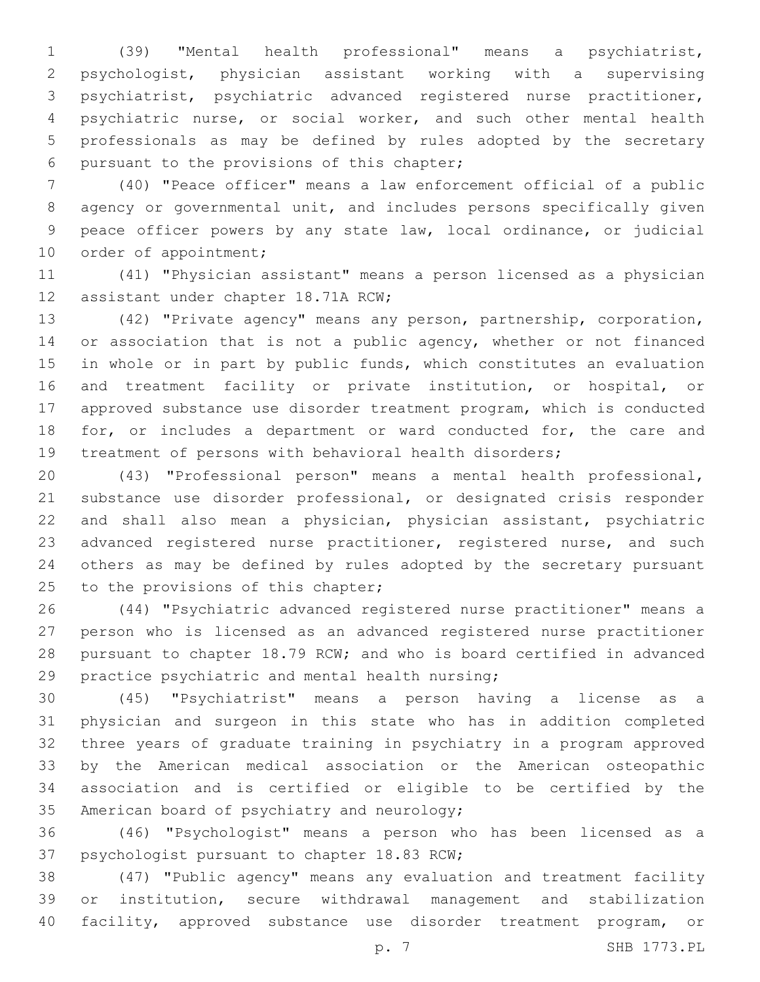(39) "Mental health professional" means a psychiatrist, psychologist, physician assistant working with a supervising psychiatrist, psychiatric advanced registered nurse practitioner, psychiatric nurse, or social worker, and such other mental health professionals as may be defined by rules adopted by the secretary 6 pursuant to the provisions of this chapter;

 (40) "Peace officer" means a law enforcement official of a public agency or governmental unit, and includes persons specifically given peace officer powers by any state law, local ordinance, or judicial 10 order of appointment;

 (41) "Physician assistant" means a person licensed as a physician 12 assistant under chapter 18.71A RCW;

 (42) "Private agency" means any person, partnership, corporation, 14 or association that is not a public agency, whether or not financed in whole or in part by public funds, which constitutes an evaluation and treatment facility or private institution, or hospital, or approved substance use disorder treatment program, which is conducted 18 for, or includes a department or ward conducted for, the care and treatment of persons with behavioral health disorders;

 (43) "Professional person" means a mental health professional, substance use disorder professional, or designated crisis responder and shall also mean a physician, physician assistant, psychiatric 23 advanced registered nurse practitioner, registered nurse, and such others as may be defined by rules adopted by the secretary pursuant 25 to the provisions of this chapter;

 (44) "Psychiatric advanced registered nurse practitioner" means a person who is licensed as an advanced registered nurse practitioner pursuant to chapter 18.79 RCW; and who is board certified in advanced 29 practice psychiatric and mental health nursing;

 (45) "Psychiatrist" means a person having a license as a physician and surgeon in this state who has in addition completed three years of graduate training in psychiatry in a program approved by the American medical association or the American osteopathic association and is certified or eligible to be certified by the 35 American board of psychiatry and neurology;

 (46) "Psychologist" means a person who has been licensed as a 37 psychologist pursuant to chapter 18.83 RCW;

 (47) "Public agency" means any evaluation and treatment facility or institution, secure withdrawal management and stabilization facility, approved substance use disorder treatment program, or

p. 7 SHB 1773.PL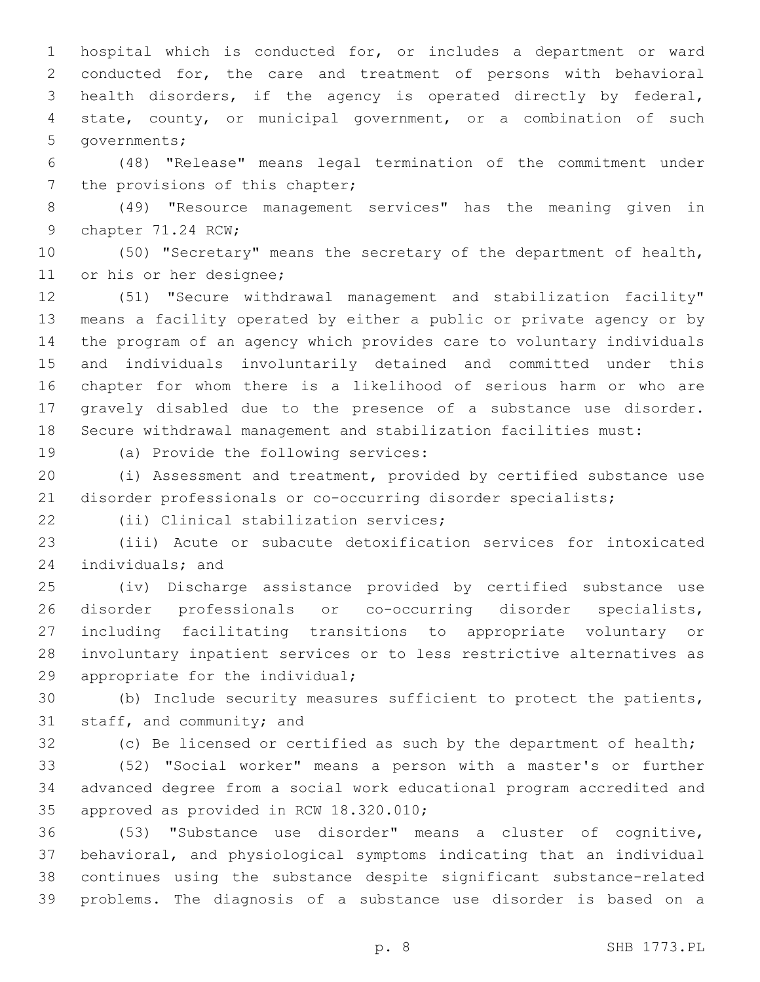hospital which is conducted for, or includes a department or ward conducted for, the care and treatment of persons with behavioral health disorders, if the agency is operated directly by federal, state, county, or municipal government, or a combination of such 5 governments;

 (48) "Release" means legal termination of the commitment under 7 the provisions of this chapter;

 (49) "Resource management services" has the meaning given in 9 chapter 71.24 RCW;

 (50) "Secretary" means the secretary of the department of health, 11 or his or her designee;

 (51) "Secure withdrawal management and stabilization facility" means a facility operated by either a public or private agency or by the program of an agency which provides care to voluntary individuals and individuals involuntarily detained and committed under this chapter for whom there is a likelihood of serious harm or who are gravely disabled due to the presence of a substance use disorder. Secure withdrawal management and stabilization facilities must:

19 (a) Provide the following services:

 (i) Assessment and treatment, provided by certified substance use disorder professionals or co-occurring disorder specialists;

(ii) Clinical stabilization services;22

 (iii) Acute or subacute detoxification services for intoxicated 24 individuals; and

 (iv) Discharge assistance provided by certified substance use disorder professionals or co-occurring disorder specialists, including facilitating transitions to appropriate voluntary or involuntary inpatient services or to less restrictive alternatives as 29 appropriate for the individual;

 (b) Include security measures sufficient to protect the patients, 31 staff, and community; and

(c) Be licensed or certified as such by the department of health;

 (52) "Social worker" means a person with a master's or further advanced degree from a social work educational program accredited and 35 approved as provided in RCW 18.320.010;

 (53) "Substance use disorder" means a cluster of cognitive, behavioral, and physiological symptoms indicating that an individual continues using the substance despite significant substance-related problems. The diagnosis of a substance use disorder is based on a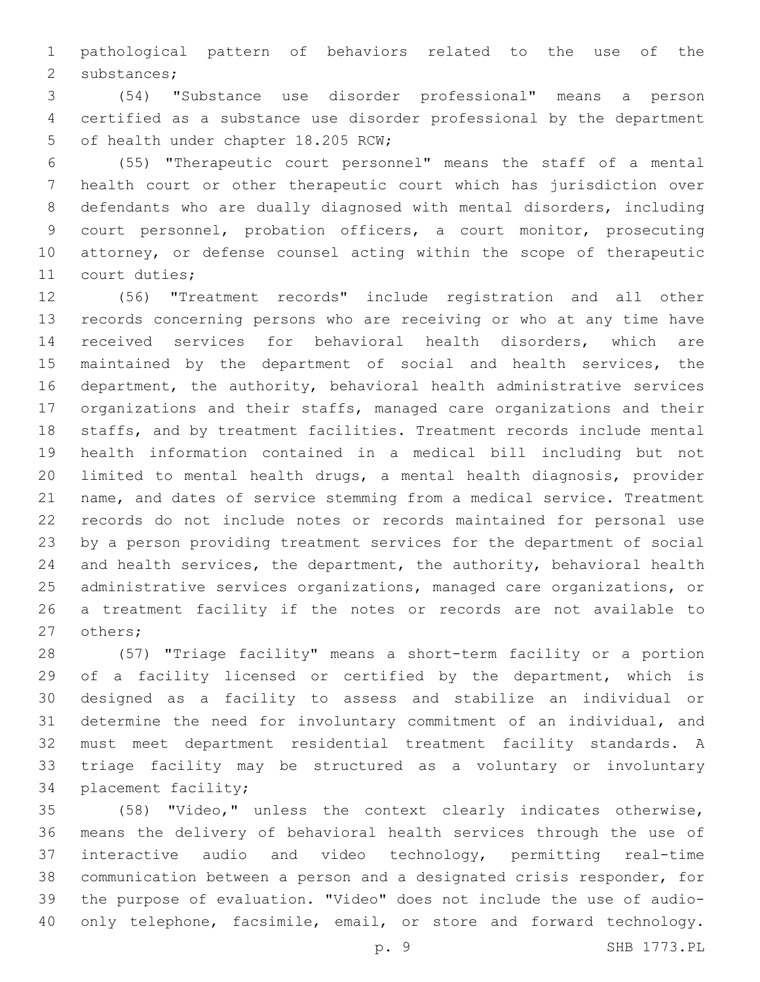pathological pattern of behaviors related to the use of the 2 substances;

 (54) "Substance use disorder professional" means a person certified as a substance use disorder professional by the department 5 of health under chapter 18.205 RCW;

 (55) "Therapeutic court personnel" means the staff of a mental health court or other therapeutic court which has jurisdiction over defendants who are dually diagnosed with mental disorders, including court personnel, probation officers, a court monitor, prosecuting attorney, or defense counsel acting within the scope of therapeutic 11 court duties;

 (56) "Treatment records" include registration and all other records concerning persons who are receiving or who at any time have received services for behavioral health disorders, which are maintained by the department of social and health services, the department, the authority, behavioral health administrative services organizations and their staffs, managed care organizations and their staffs, and by treatment facilities. Treatment records include mental health information contained in a medical bill including but not limited to mental health drugs, a mental health diagnosis, provider name, and dates of service stemming from a medical service. Treatment records do not include notes or records maintained for personal use by a person providing treatment services for the department of social and health services, the department, the authority, behavioral health administrative services organizations, managed care organizations, or a treatment facility if the notes or records are not available to 27 others;

 (57) "Triage facility" means a short-term facility or a portion 29 of a facility licensed or certified by the department, which is designed as a facility to assess and stabilize an individual or determine the need for involuntary commitment of an individual, and must meet department residential treatment facility standards. A triage facility may be structured as a voluntary or involuntary 34 placement facility;

 (58) "Video," unless the context clearly indicates otherwise, means the delivery of behavioral health services through the use of interactive audio and video technology, permitting real-time communication between a person and a designated crisis responder, for the purpose of evaluation. "Video" does not include the use of audio-40 only telephone, facsimile, email, or store and forward technology.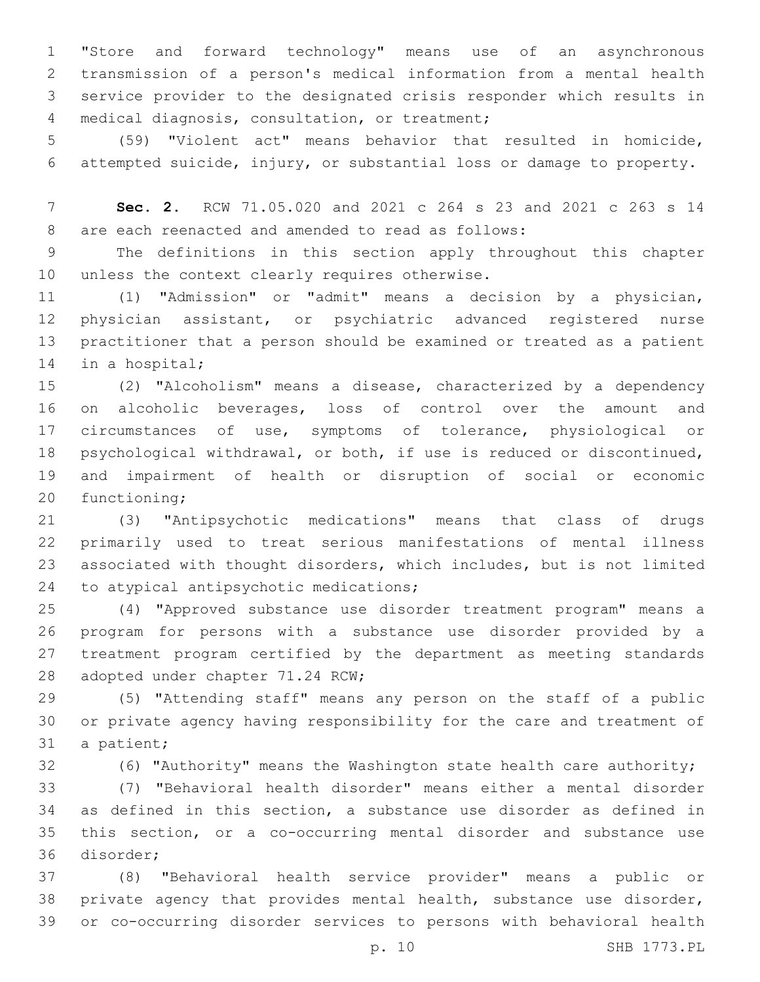"Store and forward technology" means use of an asynchronous transmission of a person's medical information from a mental health service provider to the designated crisis responder which results in 4 medical diagnosis, consultation, or treatment;

 (59) "Violent act" means behavior that resulted in homicide, attempted suicide, injury, or substantial loss or damage to property.

 **Sec. 2.** RCW 71.05.020 and 2021 c 264 s 23 and 2021 c 263 s 14 8 are each reenacted and amended to read as follows:

 The definitions in this section apply throughout this chapter 10 unless the context clearly requires otherwise.

 (1) "Admission" or "admit" means a decision by a physician, physician assistant, or psychiatric advanced registered nurse practitioner that a person should be examined or treated as a patient 14 in a hospital;

 (2) "Alcoholism" means a disease, characterized by a dependency on alcoholic beverages, loss of control over the amount and circumstances of use, symptoms of tolerance, physiological or psychological withdrawal, or both, if use is reduced or discontinued, and impairment of health or disruption of social or economic 20 functioning;

 (3) "Antipsychotic medications" means that class of drugs primarily used to treat serious manifestations of mental illness associated with thought disorders, which includes, but is not limited 24 to atypical antipsychotic medications;

 (4) "Approved substance use disorder treatment program" means a program for persons with a substance use disorder provided by a treatment program certified by the department as meeting standards 28 adopted under chapter 71.24 RCW;

 (5) "Attending staff" means any person on the staff of a public or private agency having responsibility for the care and treatment of 31 a patient;

(6) "Authority" means the Washington state health care authority;

 (7) "Behavioral health disorder" means either a mental disorder as defined in this section, a substance use disorder as defined in this section, or a co-occurring mental disorder and substance use 36 disorder;

 (8) "Behavioral health service provider" means a public or private agency that provides mental health, substance use disorder, or co-occurring disorder services to persons with behavioral health

p. 10 SHB 1773.PL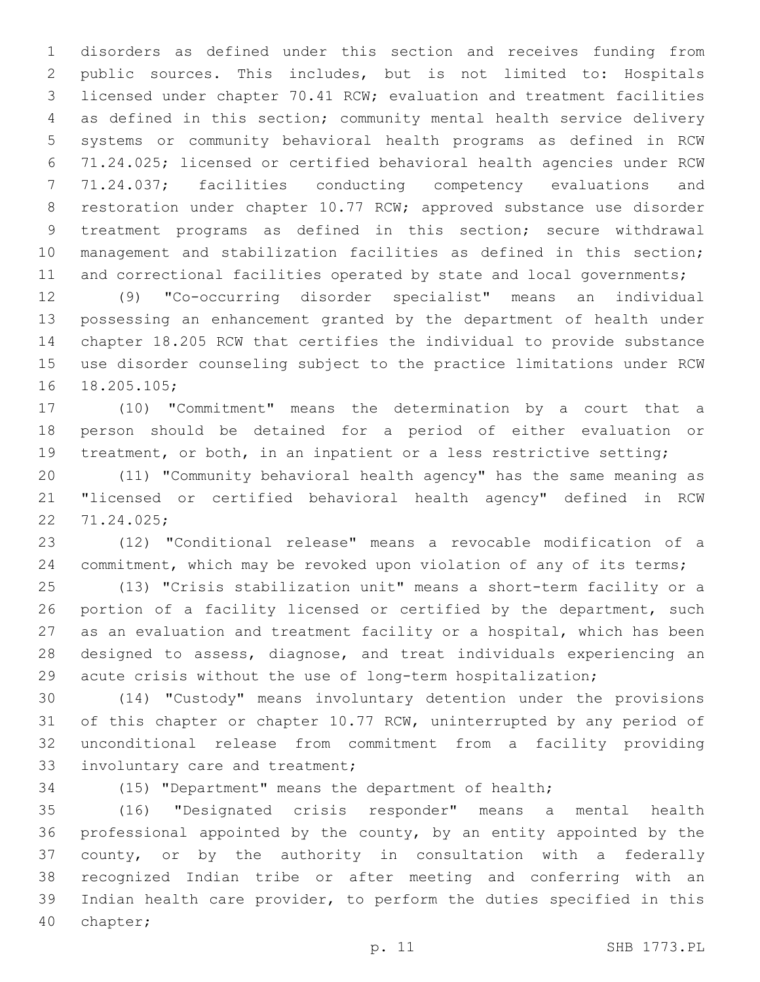disorders as defined under this section and receives funding from public sources. This includes, but is not limited to: Hospitals licensed under chapter 70.41 RCW; evaluation and treatment facilities as defined in this section; community mental health service delivery systems or community behavioral health programs as defined in RCW 71.24.025; licensed or certified behavioral health agencies under RCW 71.24.037; facilities conducting competency evaluations and restoration under chapter 10.77 RCW; approved substance use disorder treatment programs as defined in this section; secure withdrawal management and stabilization facilities as defined in this section; 11 and correctional facilities operated by state and local governments;

 (9) "Co-occurring disorder specialist" means an individual possessing an enhancement granted by the department of health under chapter 18.205 RCW that certifies the individual to provide substance use disorder counseling subject to the practice limitations under RCW 16 18.205.105;

 (10) "Commitment" means the determination by a court that a person should be detained for a period of either evaluation or 19 treatment, or both, in an inpatient or a less restrictive setting;

 (11) "Community behavioral health agency" has the same meaning as "licensed or certified behavioral health agency" defined in RCW 71.24.025;22

 (12) "Conditional release" means a revocable modification of a 24 commitment, which may be revoked upon violation of any of its terms;

 (13) "Crisis stabilization unit" means a short-term facility or a 26 portion of a facility licensed or certified by the department, such as an evaluation and treatment facility or a hospital, which has been designed to assess, diagnose, and treat individuals experiencing an acute crisis without the use of long-term hospitalization;

 (14) "Custody" means involuntary detention under the provisions of this chapter or chapter 10.77 RCW, uninterrupted by any period of unconditional release from commitment from a facility providing 33 involuntary care and treatment;

(15) "Department" means the department of health;

 (16) "Designated crisis responder" means a mental health professional appointed by the county, by an entity appointed by the county, or by the authority in consultation with a federally recognized Indian tribe or after meeting and conferring with an Indian health care provider, to perform the duties specified in this 40 chapter;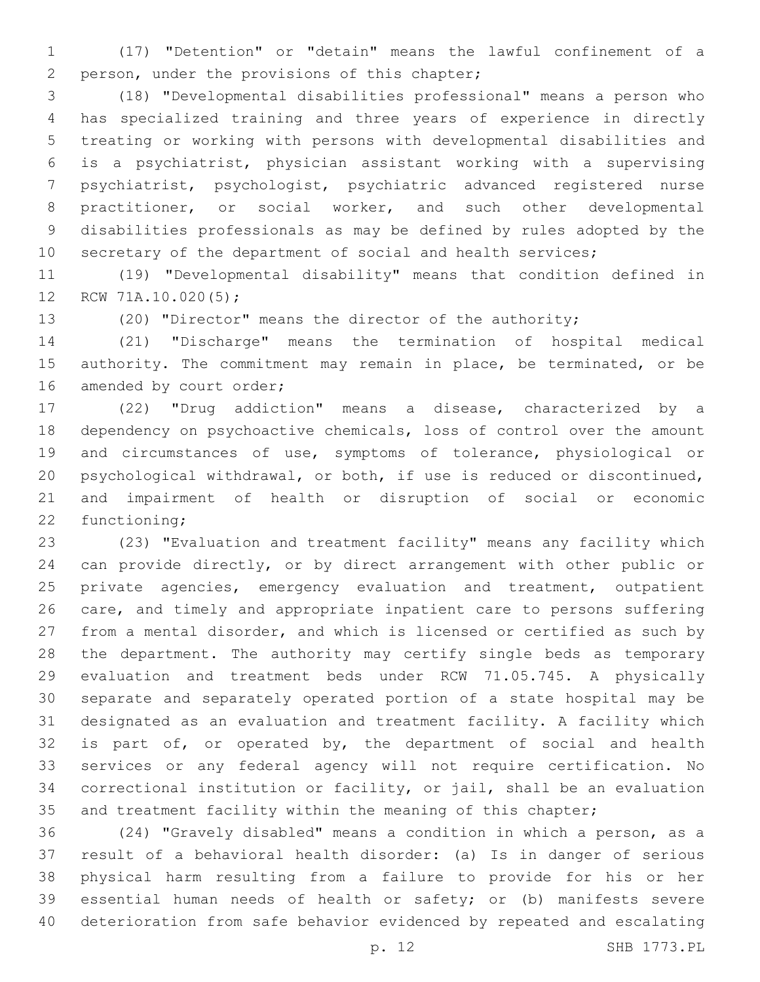(17) "Detention" or "detain" means the lawful confinement of a 2 person, under the provisions of this chapter;

 (18) "Developmental disabilities professional" means a person who has specialized training and three years of experience in directly treating or working with persons with developmental disabilities and is a psychiatrist, physician assistant working with a supervising psychiatrist, psychologist, psychiatric advanced registered nurse practitioner, or social worker, and such other developmental disabilities professionals as may be defined by rules adopted by the 10 secretary of the department of social and health services;

 (19) "Developmental disability" means that condition defined in 12 RCW 71A.10.020(5);

(20) "Director" means the director of the authority;

 (21) "Discharge" means the termination of hospital medical authority. The commitment may remain in place, be terminated, or be 16 amended by court order;

 (22) "Drug addiction" means a disease, characterized by a dependency on psychoactive chemicals, loss of control over the amount and circumstances of use, symptoms of tolerance, physiological or psychological withdrawal, or both, if use is reduced or discontinued, and impairment of health or disruption of social or economic 22 functioning;

 (23) "Evaluation and treatment facility" means any facility which can provide directly, or by direct arrangement with other public or 25 private agencies, emergency evaluation and treatment, outpatient care, and timely and appropriate inpatient care to persons suffering from a mental disorder, and which is licensed or certified as such by the department. The authority may certify single beds as temporary evaluation and treatment beds under RCW 71.05.745. A physically separate and separately operated portion of a state hospital may be designated as an evaluation and treatment facility. A facility which 32 is part of, or operated by, the department of social and health services or any federal agency will not require certification. No correctional institution or facility, or jail, shall be an evaluation 35 and treatment facility within the meaning of this chapter;

 (24) "Gravely disabled" means a condition in which a person, as a result of a behavioral health disorder: (a) Is in danger of serious physical harm resulting from a failure to provide for his or her essential human needs of health or safety; or (b) manifests severe deterioration from safe behavior evidenced by repeated and escalating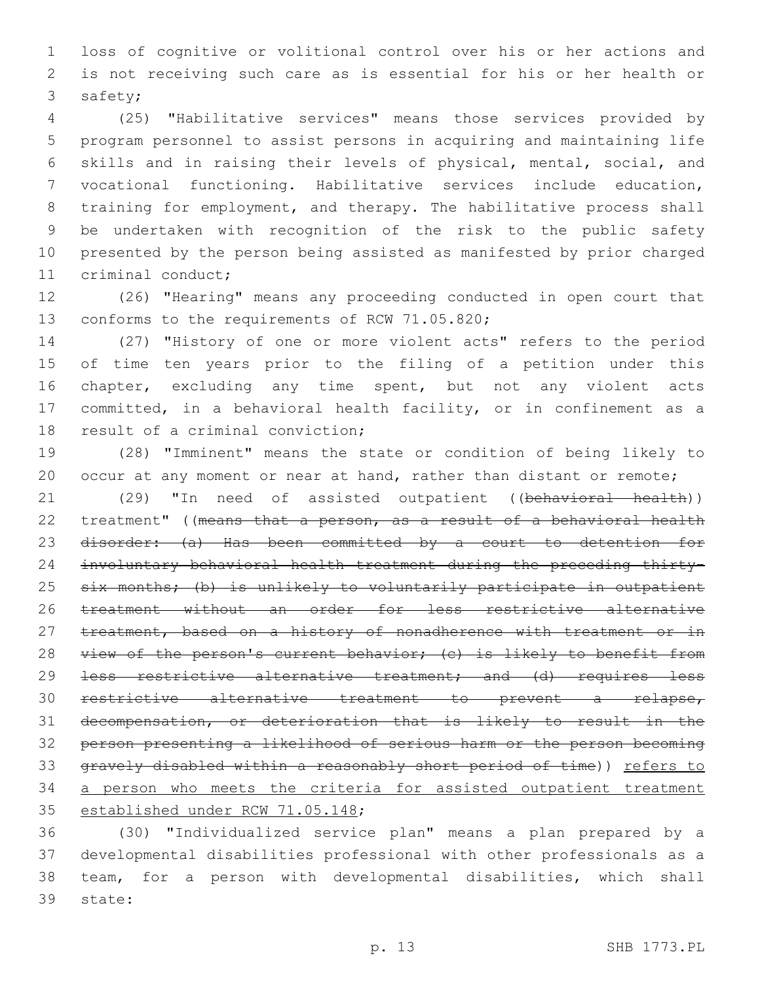loss of cognitive or volitional control over his or her actions and is not receiving such care as is essential for his or her health or 3 safety;

 (25) "Habilitative services" means those services provided by program personnel to assist persons in acquiring and maintaining life skills and in raising their levels of physical, mental, social, and vocational functioning. Habilitative services include education, training for employment, and therapy. The habilitative process shall be undertaken with recognition of the risk to the public safety presented by the person being assisted as manifested by prior charged 11 criminal conduct;

 (26) "Hearing" means any proceeding conducted in open court that 13 conforms to the requirements of RCW 71.05.820;

 (27) "History of one or more violent acts" refers to the period of time ten years prior to the filing of a petition under this 16 chapter, excluding any time spent, but not any violent acts committed, in a behavioral health facility, or in confinement as a 18 result of a criminal conviction;

 (28) "Imminent" means the state or condition of being likely to 20 occur at any moment or near at hand, rather than distant or remote;

21 (29) "In need of assisted outpatient ((behavioral health)) treatment" ((means that a person, as a result of a behavioral health disorder: (a) Has been committed by a court to detention for involuntary behavioral health treatment during the preceding thirty-25 six months; (b) is unlikely to voluntarily participate in outpatient treatment without an order for less restrictive alternative 27 treatment, based on a history of nonadherence with treatment or in 28 view of the person's current behavior; (c) is likely to benefit from 29 <del>less restrictive alternative treatment; and (d) requires less</del> restrictive alternative treatment to prevent a relapse, decompensation, or deterioration that is likely to result in the person presenting a likelihood of serious harm or the person becoming gravely disabled within a reasonably short period of time)) refers to 34 a person who meets the criteria for assisted outpatient treatment 35 established under RCW 71.05.148;

 (30) "Individualized service plan" means a plan prepared by a developmental disabilities professional with other professionals as a team, for a person with developmental disabilities, which shall 39 state: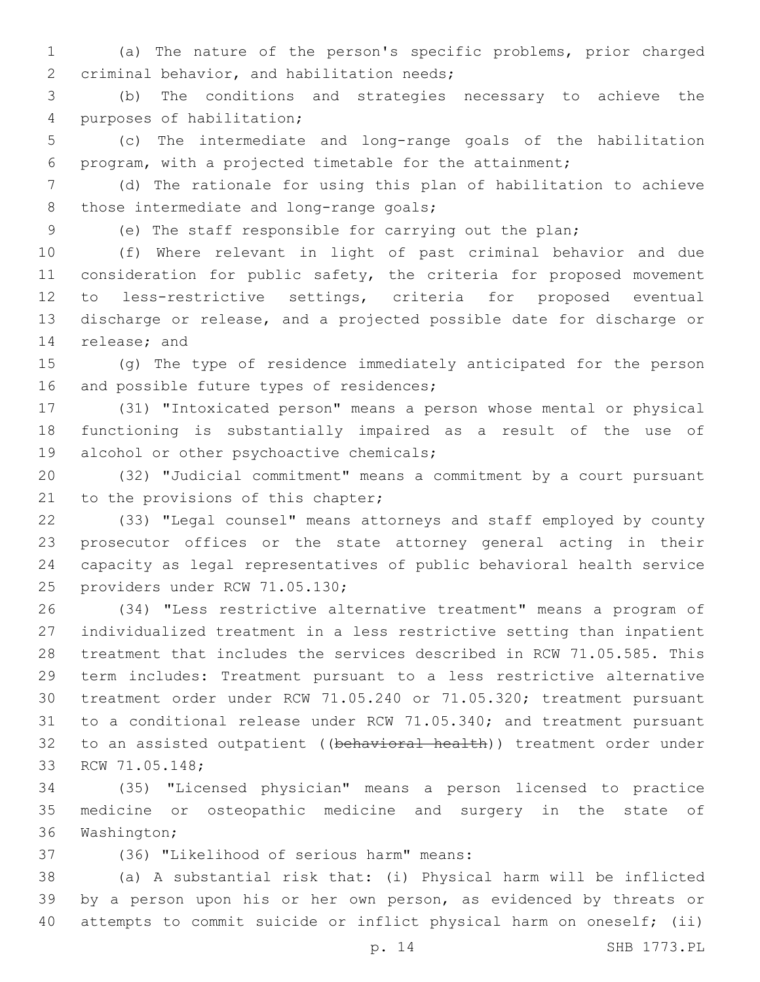(a) The nature of the person's specific problems, prior charged 2 criminal behavior, and habilitation needs;

 (b) The conditions and strategies necessary to achieve the 4 purposes of habilitation;

 (c) The intermediate and long-range goals of the habilitation program, with a projected timetable for the attainment;

 (d) The rationale for using this plan of habilitation to achieve 8 those intermediate and long-range goals;

(e) The staff responsible for carrying out the plan;

 (f) Where relevant in light of past criminal behavior and due 11 consideration for public safety, the criteria for proposed movement to less-restrictive settings, criteria for proposed eventual discharge or release, and a projected possible date for discharge or 14 release; and

 (g) The type of residence immediately anticipated for the person 16 and possible future types of residences;

 (31) "Intoxicated person" means a person whose mental or physical functioning is substantially impaired as a result of the use of 19 alcohol or other psychoactive chemicals;

 (32) "Judicial commitment" means a commitment by a court pursuant 21 to the provisions of this chapter;

 (33) "Legal counsel" means attorneys and staff employed by county prosecutor offices or the state attorney general acting in their capacity as legal representatives of public behavioral health service 25 providers under RCW 71.05.130;

 (34) "Less restrictive alternative treatment" means a program of individualized treatment in a less restrictive setting than inpatient treatment that includes the services described in RCW 71.05.585. This term includes: Treatment pursuant to a less restrictive alternative treatment order under RCW 71.05.240 or 71.05.320; treatment pursuant to a conditional release under RCW 71.05.340; and treatment pursuant 32 to an assisted outpatient ((behavioral health)) treatment order under 33 RCW 71.05.148;

 (35) "Licensed physician" means a person licensed to practice medicine or osteopathic medicine and surgery in the state of 36 Washington;

(36) "Likelihood of serious harm" means:37

 (a) A substantial risk that: (i) Physical harm will be inflicted by a person upon his or her own person, as evidenced by threats or attempts to commit suicide or inflict physical harm on oneself; (ii)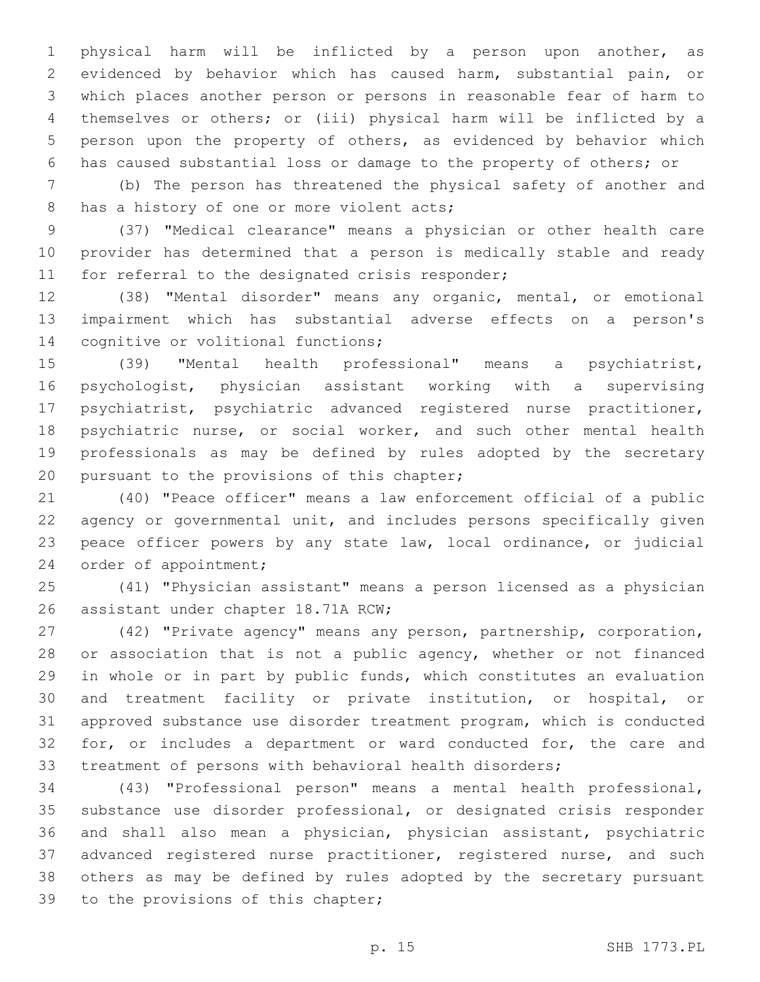physical harm will be inflicted by a person upon another, as evidenced by behavior which has caused harm, substantial pain, or which places another person or persons in reasonable fear of harm to themselves or others; or (iii) physical harm will be inflicted by a person upon the property of others, as evidenced by behavior which has caused substantial loss or damage to the property of others; or

 (b) The person has threatened the physical safety of another and 8 has a history of one or more violent acts;

 (37) "Medical clearance" means a physician or other health care provider has determined that a person is medically stable and ready 11 for referral to the designated crisis responder;

 (38) "Mental disorder" means any organic, mental, or emotional impairment which has substantial adverse effects on a person's 14 cognitive or volitional functions;

 (39) "Mental health professional" means a psychiatrist, psychologist, physician assistant working with a supervising psychiatrist, psychiatric advanced registered nurse practitioner, 18 psychiatric nurse, or social worker, and such other mental health professionals as may be defined by rules adopted by the secretary 20 pursuant to the provisions of this chapter;

 (40) "Peace officer" means a law enforcement official of a public agency or governmental unit, and includes persons specifically given peace officer powers by any state law, local ordinance, or judicial 24 order of appointment;

 (41) "Physician assistant" means a person licensed as a physician 26 assistant under chapter 18.71A RCW;

 (42) "Private agency" means any person, partnership, corporation, 28 or association that is not a public agency, whether or not financed in whole or in part by public funds, which constitutes an evaluation and treatment facility or private institution, or hospital, or approved substance use disorder treatment program, which is conducted 32 for, or includes a department or ward conducted for, the care and treatment of persons with behavioral health disorders;

 (43) "Professional person" means a mental health professional, substance use disorder professional, or designated crisis responder and shall also mean a physician, physician assistant, psychiatric 37 advanced registered nurse practitioner, registered nurse, and such others as may be defined by rules adopted by the secretary pursuant 39 to the provisions of this chapter;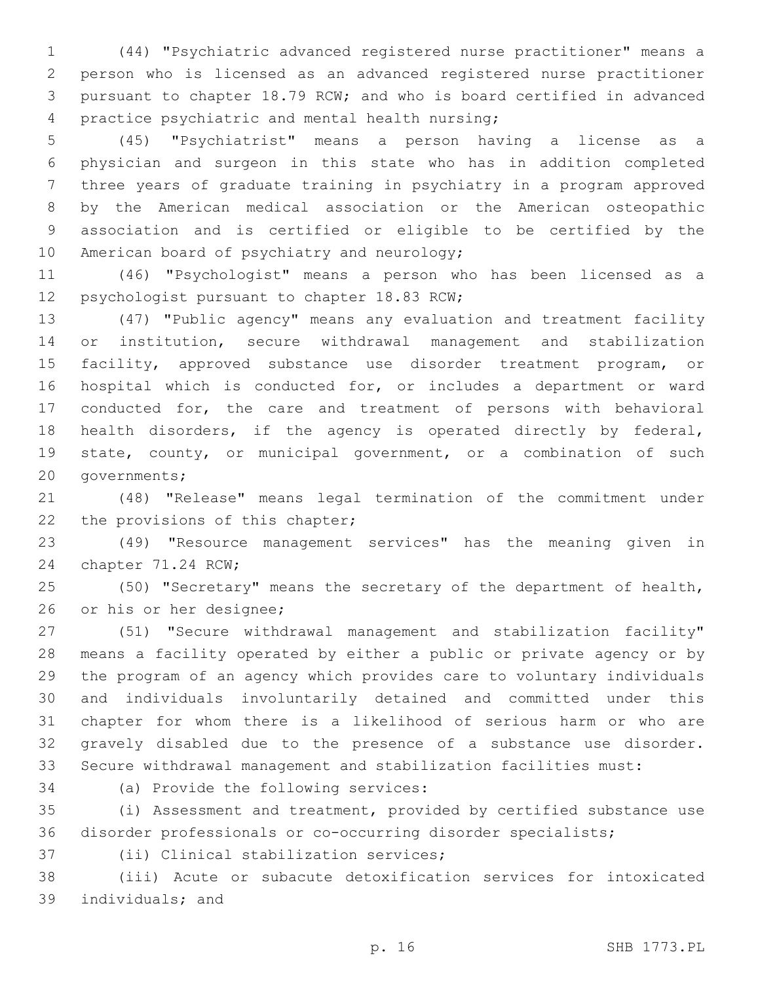(44) "Psychiatric advanced registered nurse practitioner" means a person who is licensed as an advanced registered nurse practitioner pursuant to chapter 18.79 RCW; and who is board certified in advanced 4 practice psychiatric and mental health nursing;

 (45) "Psychiatrist" means a person having a license as a physician and surgeon in this state who has in addition completed three years of graduate training in psychiatry in a program approved by the American medical association or the American osteopathic association and is certified or eligible to be certified by the 10 American board of psychiatry and neurology;

 (46) "Psychologist" means a person who has been licensed as a 12 psychologist pursuant to chapter 18.83 RCW;

 (47) "Public agency" means any evaluation and treatment facility or institution, secure withdrawal management and stabilization facility, approved substance use disorder treatment program, or hospital which is conducted for, or includes a department or ward conducted for, the care and treatment of persons with behavioral health disorders, if the agency is operated directly by federal, state, county, or municipal government, or a combination of such 20 governments;

 (48) "Release" means legal termination of the commitment under 22 the provisions of this chapter;

 (49) "Resource management services" has the meaning given in 24 chapter 71.24 RCW;

 (50) "Secretary" means the secretary of the department of health, 26 or his or her designee;

 (51) "Secure withdrawal management and stabilization facility" means a facility operated by either a public or private agency or by the program of an agency which provides care to voluntary individuals and individuals involuntarily detained and committed under this chapter for whom there is a likelihood of serious harm or who are gravely disabled due to the presence of a substance use disorder. Secure withdrawal management and stabilization facilities must:

34 (a) Provide the following services:

 (i) Assessment and treatment, provided by certified substance use disorder professionals or co-occurring disorder specialists;

37 (ii) Clinical stabilization services;

 (iii) Acute or subacute detoxification services for intoxicated 39 individuals; and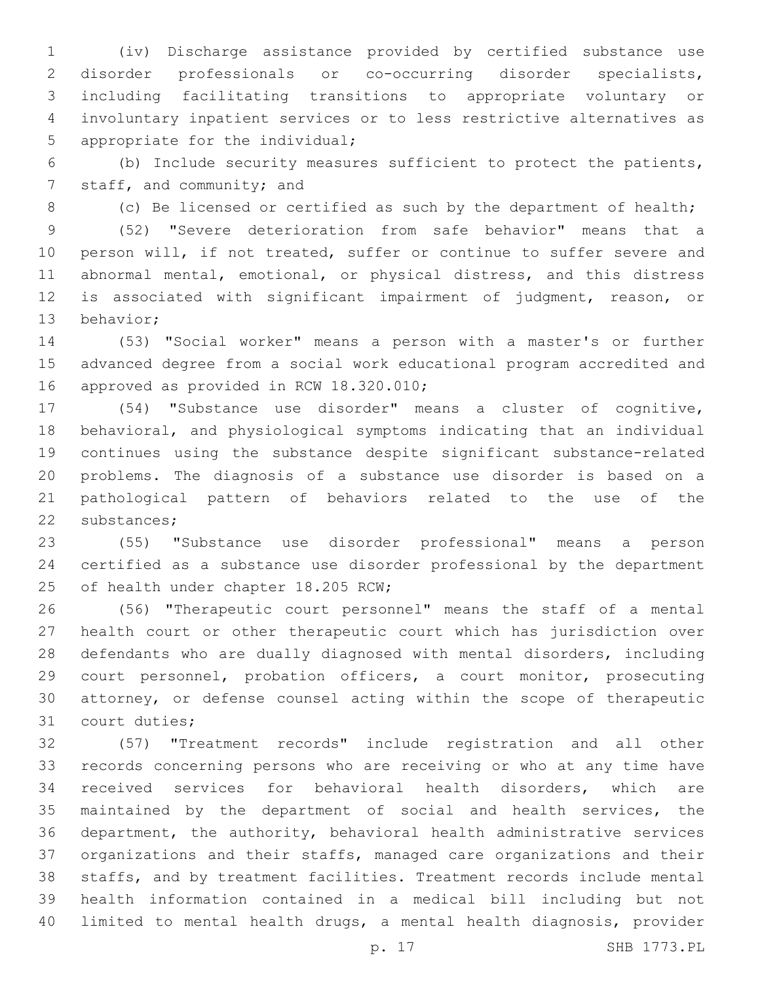(iv) Discharge assistance provided by certified substance use disorder professionals or co-occurring disorder specialists, including facilitating transitions to appropriate voluntary or involuntary inpatient services or to less restrictive alternatives as 5 appropriate for the individual;

 (b) Include security measures sufficient to protect the patients, 7 staff, and community; and

8 (c) Be licensed or certified as such by the department of health;

 (52) "Severe deterioration from safe behavior" means that a person will, if not treated, suffer or continue to suffer severe and abnormal mental, emotional, or physical distress, and this distress is associated with significant impairment of judgment, reason, or 13 behavior;

 (53) "Social worker" means a person with a master's or further advanced degree from a social work educational program accredited and 16 approved as provided in RCW 18.320.010;

 (54) "Substance use disorder" means a cluster of cognitive, behavioral, and physiological symptoms indicating that an individual continues using the substance despite significant substance-related problems. The diagnosis of a substance use disorder is based on a pathological pattern of behaviors related to the use of the 22 substances;

 (55) "Substance use disorder professional" means a person certified as a substance use disorder professional by the department 25 of health under chapter 18.205 RCW;

 (56) "Therapeutic court personnel" means the staff of a mental health court or other therapeutic court which has jurisdiction over defendants who are dually diagnosed with mental disorders, including court personnel, probation officers, a court monitor, prosecuting attorney, or defense counsel acting within the scope of therapeutic 31 court duties;

 (57) "Treatment records" include registration and all other records concerning persons who are receiving or who at any time have received services for behavioral health disorders, which are maintained by the department of social and health services, the department, the authority, behavioral health administrative services organizations and their staffs, managed care organizations and their staffs, and by treatment facilities. Treatment records include mental health information contained in a medical bill including but not limited to mental health drugs, a mental health diagnosis, provider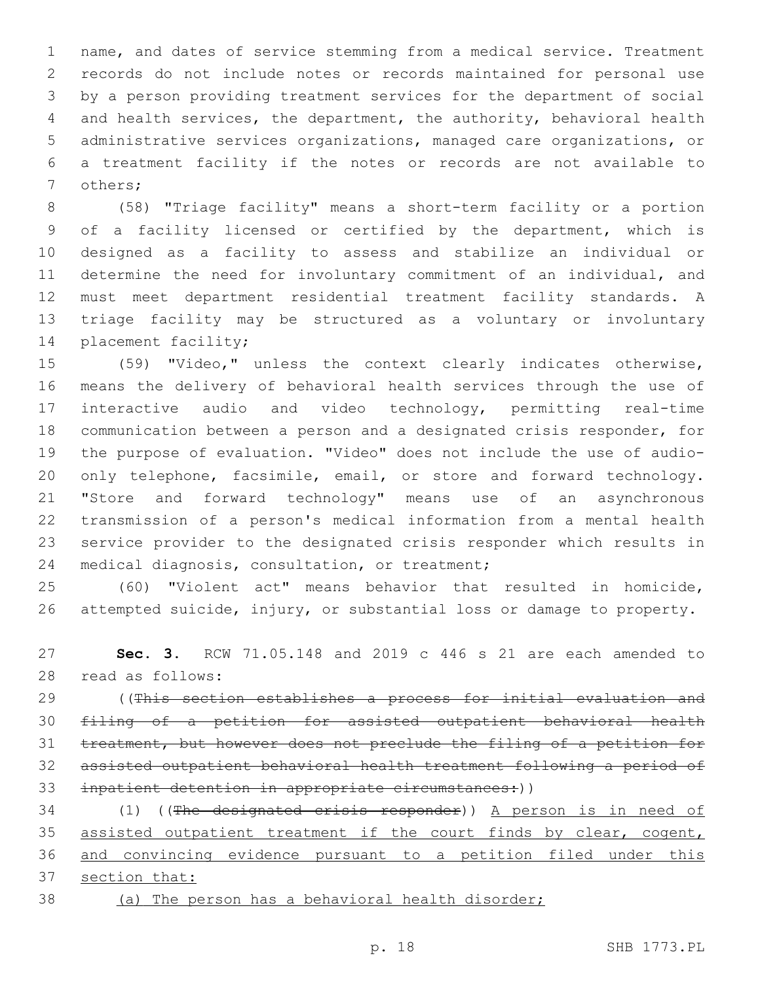name, and dates of service stemming from a medical service. Treatment records do not include notes or records maintained for personal use by a person providing treatment services for the department of social and health services, the department, the authority, behavioral health administrative services organizations, managed care organizations, or a treatment facility if the notes or records are not available to 7 others;

 (58) "Triage facility" means a short-term facility or a portion of a facility licensed or certified by the department, which is designed as a facility to assess and stabilize an individual or determine the need for involuntary commitment of an individual, and must meet department residential treatment facility standards. A triage facility may be structured as a voluntary or involuntary 14 placement facility;

 (59) "Video," unless the context clearly indicates otherwise, means the delivery of behavioral health services through the use of interactive audio and video technology, permitting real-time communication between a person and a designated crisis responder, for the purpose of evaluation. "Video" does not include the use of audio- only telephone, facsimile, email, or store and forward technology. "Store and forward technology" means use of an asynchronous transmission of a person's medical information from a mental health service provider to the designated crisis responder which results in 24 medical diagnosis, consultation, or treatment;

 (60) "Violent act" means behavior that resulted in homicide, attempted suicide, injury, or substantial loss or damage to property.

 **Sec. 3.** RCW 71.05.148 and 2019 c 446 s 21 are each amended to read as follows:28

 ((This section establishes a process for initial evaluation and filing of a petition for assisted outpatient behavioral health treatment, but however does not preclude the filing of a petition for assisted outpatient behavioral health treatment following a period of inpatient detention in appropriate circumstances:))

34 (1) ((The designated crisis responder)) A person is in need of 35 assisted outpatient treatment if the court finds by clear, cogent, and convincing evidence pursuant to a petition filed under this section that:

(a) The person has a behavioral health disorder;

p. 18 SHB 1773.PL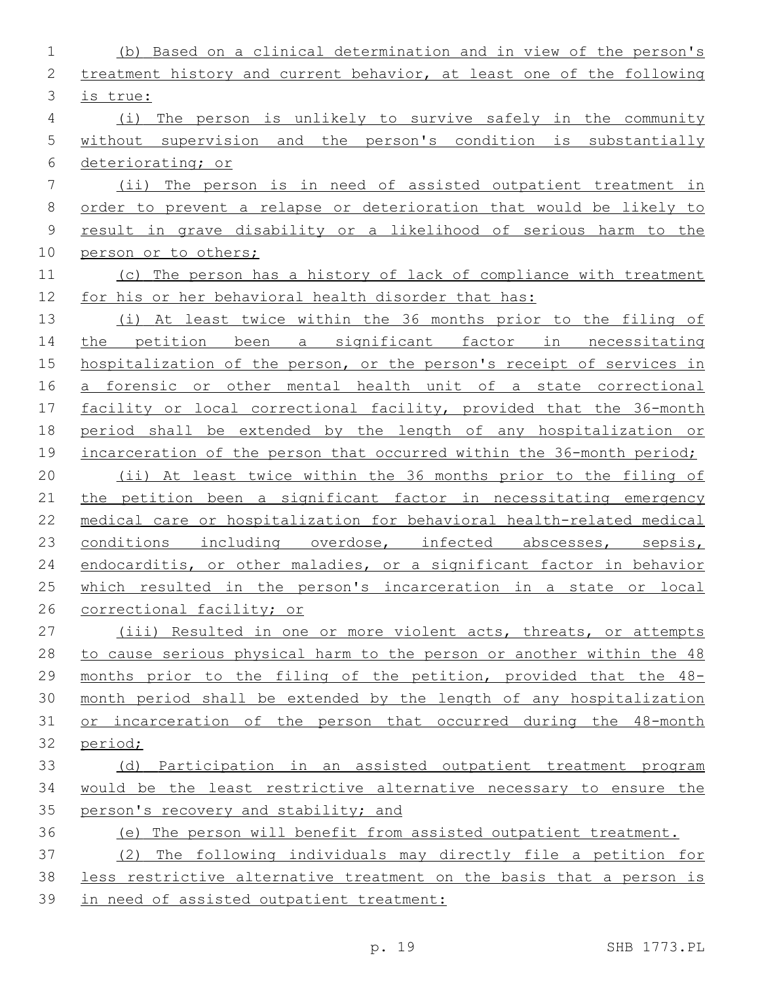| $\mathbf 1$    | (b) Based on a clinical determination and in view of the person's     |
|----------------|-----------------------------------------------------------------------|
| 2              | treatment history and current behavior, at least one of the following |
| 3              | is true:                                                              |
| $\overline{4}$ | (i) The person is unlikely to survive safely in the community         |
| 5              | without supervision and the person's condition is substantially       |
| 6              | deteriorating; or                                                     |
| 7              | (ii) The person is in need of assisted outpatient treatment in        |
| $\,8\,$        | order to prevent a relapse or deterioration that would be likely to   |
| 9              | result in grave disability or a likelihood of serious harm to the     |
| 10             | person or to others;                                                  |
| 11             | (c) The person has a history of lack of compliance with treatment     |
| 12             | for his or her behavioral health disorder that has:                   |
| 13             | (i) At least twice within the 36 months prior to the filing of        |
| 14             | the petition been a significant factor in necessitating               |
| 15             | hospitalization of the person, or the person's receipt of services in |
| 16             | a forensic or other mental health unit of a state correctional        |
| 17             | facility or local correctional facility, provided that the 36-month   |
| 18             | period shall be extended by the length of any hospitalization or      |
| 19             | incarceration of the person that occurred within the 36-month period; |
| 20             | (ii) At least twice within the 36 months prior to the filing of       |
| 21             | the petition been a significant factor in necessitating emergency     |
| 22             | medical care or hospitalization for behavioral health-related medical |
| 23             | conditions including overdose, infected abscesses, sepsis,            |
| 24             | endocarditis, or other maladies, or a significant factor in behavior  |
| 25             | which resulted in the person's incarceration in a state or local      |
| 26             | correctional facility; or                                             |
| 27             | (iii) Resulted in one or more violent acts, threats, or attempts      |
| 28             | to cause serious physical harm to the person or another within the 48 |
| 29             | months prior to the filing of the petition, provided that the 48-     |
| 30             | month period shall be extended by the length of any hospitalization   |
| 31             | or incarceration of the person that occurred during the 48-month      |
| 32             | period;                                                               |
| 33             | (d) Participation in an assisted outpatient treatment program         |
| 34             | would be the least restrictive alternative necessary to ensure the    |
| 35             | person's recovery and stability; and                                  |
| 36             | (e) The person will benefit from assisted outpatient treatment.       |
| 37             | (2) The following individuals may directly file a petition for        |
| 38             | less restrictive alternative treatment on the basis that a person is  |
| 39             | in need of assisted outpatient treatment:                             |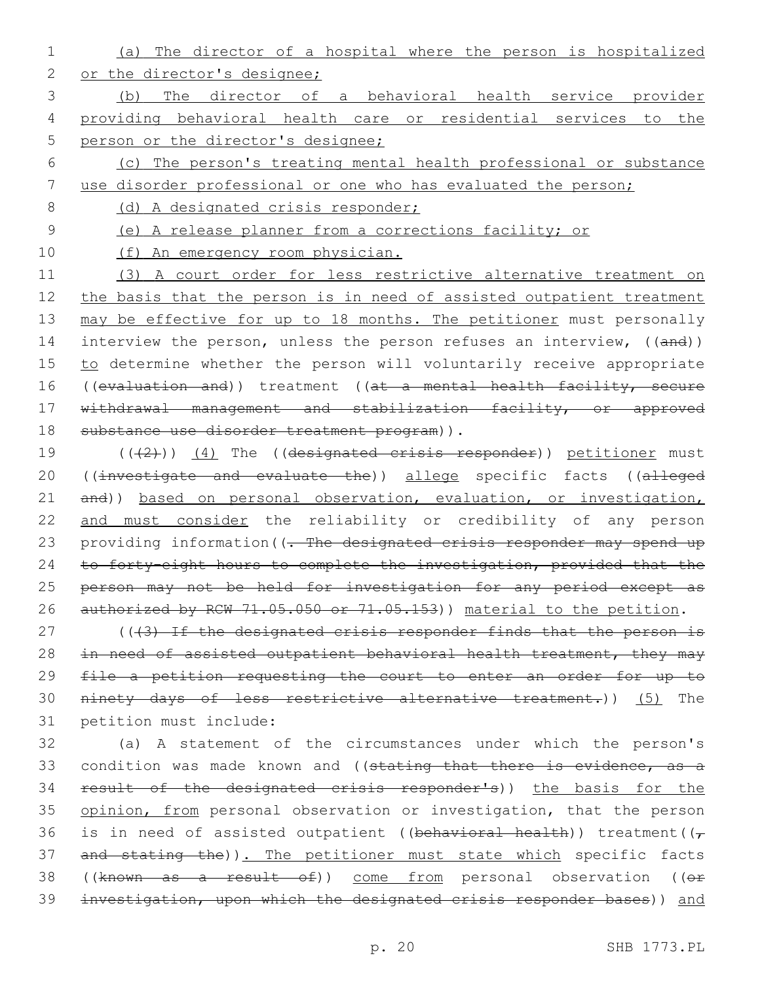1 (a) The director of a hospital where the person is hospitalized 2 or the director's designee;

3 (b) The director of a behavioral health service provider 4 providing behavioral health care or residential services to the 5 person or the director's designee;

- 6 (c) The person's treating mental health professional or substance
- 7 use disorder professional or one who has evaluated the person;

8 (d) A designated crisis responder;

9 (e) A release planner from a corrections facility; or

10 (f) An emergency room physician.

11 (3) A court order for less restrictive alternative treatment on 12 the basis that the person is in need of assisted outpatient treatment 13 may be effective for up to 18 months. The petitioner must personally 14 interview the person, unless the person refuses an interview, ((and)) 15 to determine whether the person will voluntarily receive appropriate 16 ((evaluation and)) treatment ((at a mental health facility, secure 17 withdrawal management and stabilization facility, or approved 18 substance use disorder treatment program)).

19 (((2)) (4) The ((designated crisis responder)) petitioner must 20 ((investigate and evaluate the)) allege specific facts ((alleged 21 and)) based on personal observation, evaluation, or investigation, 22 and must consider the reliability or credibility of any person 23 providing information((- The designated crisis responder may spend up 24 to forty-eight hours to complete the investigation, provided that the 25 person may not be held for investigation for any period except as 26 authorized by RCW 71.05.050 or 71.05.153)) material to the petition.

27 (((3) If the designated crisis responder finds that the person is 28 in need of assisted outpatient behavioral health treatment, they may 29 file a petition requesting the court to enter an order for up to 30 ninety days of less restrictive alternative treatment.)) (5) The 31 petition must include:

32 (a) A statement of the circumstances under which the person's 33 condition was made known and ((stating that there is evidence, as a 34 result of the designated crisis responder's)) the basis for the 35 opinion, from personal observation or investigation, that the person 36 is in need of assisted outpatient ((behavioral health)) treatment( $(\tau$ 37 and stating the)). The petitioner must state which specific facts 38 ((known as a result of)) come from personal observation ((or 39 investigation, upon which the designated crisis responder bases)) and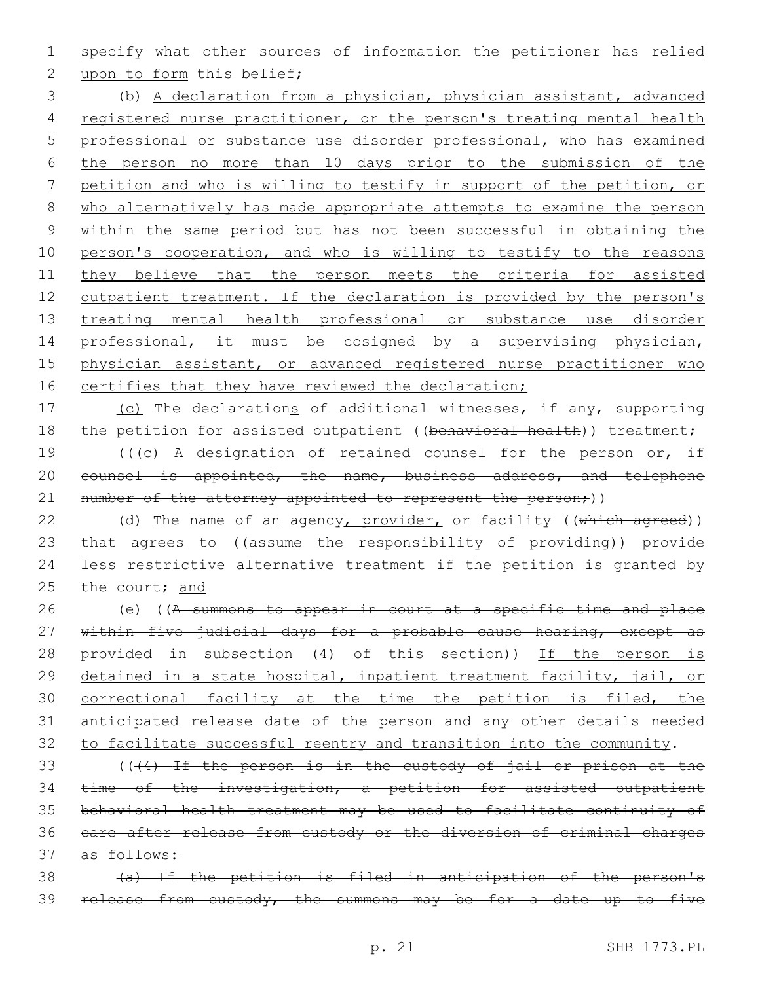1 specify what other sources of information the petitioner has relied

2 upon to form this belief;

 (b) A declaration from a physician, physician assistant, advanced registered nurse practitioner, or the person's treating mental health professional or substance use disorder professional, who has examined the person no more than 10 days prior to the submission of the petition and who is willing to testify in support of the petition, or who alternatively has made appropriate attempts to examine the person within the same period but has not been successful in obtaining the person's cooperation, and who is willing to testify to the reasons 11 they believe that the person meets the criteria for assisted 12 outpatient treatment. If the declaration is provided by the person's 13 treating mental health professional or substance use disorder professional, it must be cosigned by a supervising physician, physician assistant, or advanced registered nurse practitioner who 16 certifies that they have reviewed the declaration;

17 (c) The declarations of additional witnesses, if any, supporting 18 the petition for assisted outpatient ((behavioral health)) treatment; 19 (((c) A designation of retained counsel for the person or, if 20 counsel is appointed, the name, business address, and telephone 21 number of the attorney appointed to represent the person;))

22 (d) The name of an agency, provider, or facility ((which agreed)) 23 that agrees to ((assume the responsibility of providing)) provide 24 less restrictive alternative treatment if the petition is granted by 25 the court; and

26 (e) ((A summons to appear in court at a specific time and place 27 within five judicial days for a probable cause hearing, except as 28 provided in subsection (4) of this section)) If the person is 29 detained in a state hospital, inpatient treatment facility, jail, or 30 correctional facility at the time the petition is filed, the 31 anticipated release date of the person and any other details needed 32 to facilitate successful reentry and transition into the community.

 (((4) If the person is in the custody of jail or prison at the time of the investigation, a petition for assisted outpatient behavioral health treatment may be used to facilitate continuity of care after release from custody or the diversion of criminal charges 37 as follows:

38 (a) If the petition is filed in anticipation of the person's 39 release from custody, the summons may be for a date up to five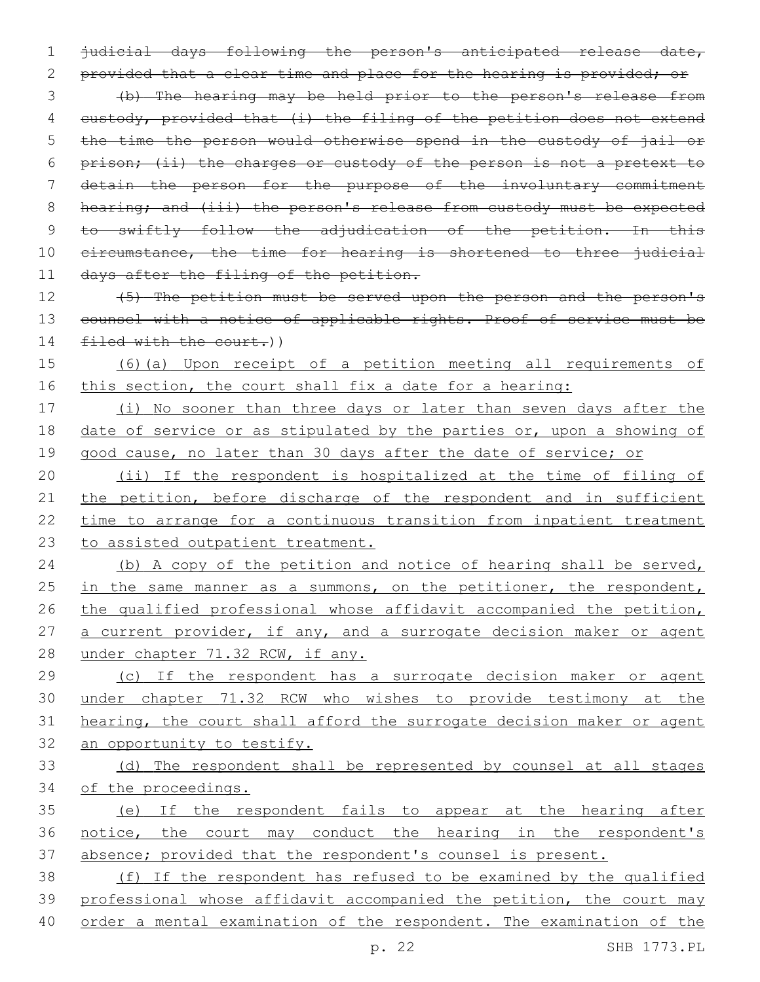1 judicial days following the person's anticipated release date, 2 provided that a clear time and place for the hearing is provided; or 3 (b) The hearing may be held prior to the person's release from 4 custody, provided that (i) the filing of the petition does not extend 5 the time the person would otherwise spend in the custody of jail or 6 prison; (ii) the charges or custody of the person is not a pretext to 7 detain the person for the purpose of the involuntary commitment 8 hearing; and (iii) the person's release from custody must be expected 9 to swiftly follow the adjudication of the petition. In this 10 eircumstance, the time for hearing is shortened to three judicial 11 days after the filing of the petition.

12 (5) The petition must be served upon the person and the person's 13 counsel with a notice of applicable rights. Proof of service must be 14 filed with the court.))

15 (6)(a) Upon receipt of a petition meeting all requirements of 16 this section, the court shall fix a date for a hearing:

17 (i) No sooner than three days or later than seven days after the 18 date of service or as stipulated by the parties or, upon a showing of 19 good cause, no later than 30 days after the date of service; or

 (ii) If the respondent is hospitalized at the time of filing of 21 the petition, before discharge of the respondent and in sufficient time to arrange for a continuous transition from inpatient treatment to assisted outpatient treatment.

24 (b) A copy of the petition and notice of hearing shall be served, 25 in the same manner as a summons, on the petitioner, the respondent, 26 the qualified professional whose affidavit accompanied the petition, 27 a current provider, if any, and a surrogate decision maker or agent 28 under chapter 71.32 RCW, if any.

 (c) If the respondent has a surrogate decision maker or agent under chapter 71.32 RCW who wishes to provide testimony at the hearing, the court shall afford the surrogate decision maker or agent an opportunity to testify.

33 (d) The respondent shall be represented by counsel at all stages 34 of the proceedings.

35 (e) If the respondent fails to appear at the hearing after 36 notice, the court may conduct the hearing in the respondent's 37 absence; provided that the respondent's counsel is present.

38 (f) If the respondent has refused to be examined by the qualified 39 professional whose affidavit accompanied the petition, the court may 40 order a mental examination of the respondent. The examination of the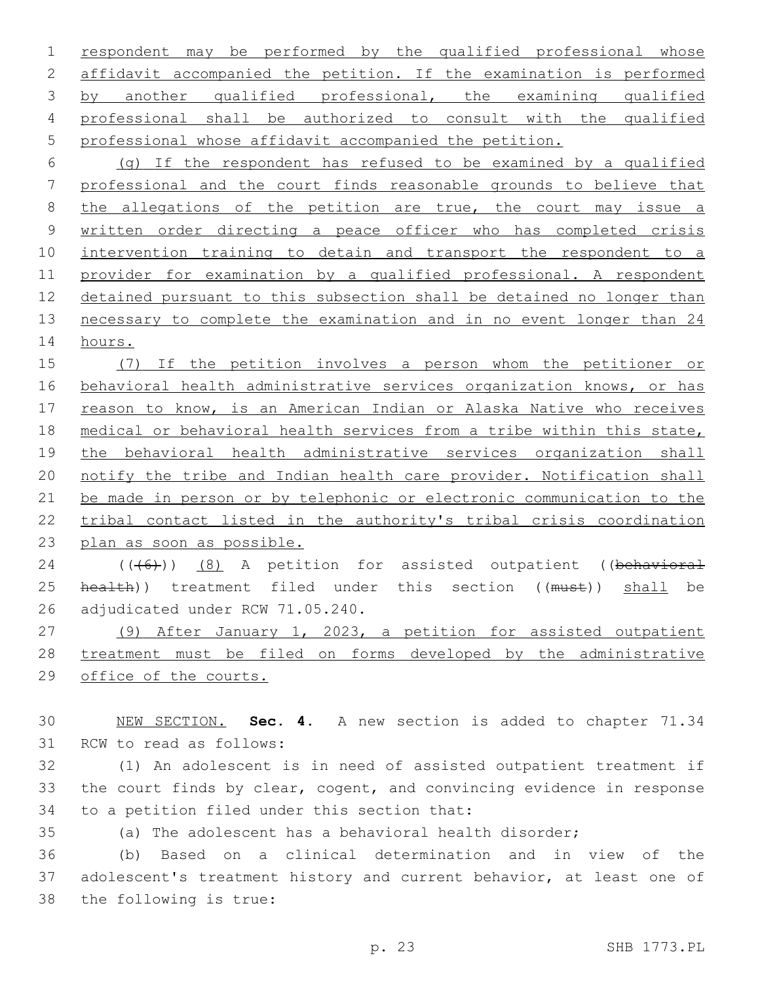respondent may be performed by the qualified professional whose affidavit accompanied the petition. If the examination is performed by another qualified professional, the examining qualified professional shall be authorized to consult with the qualified professional whose affidavit accompanied the petition.

 (g) If the respondent has refused to be examined by a qualified professional and the court finds reasonable grounds to believe that 8 the allegations of the petition are true, the court may issue a written order directing a peace officer who has completed crisis intervention training to detain and transport the respondent to a provider for examination by a qualified professional. A respondent detained pursuant to this subsection shall be detained no longer than necessary to complete the examination and in no event longer than 24 hours.

 (7) If the petition involves a person whom the petitioner or behavioral health administrative services organization knows, or has 17 reason to know, is an American Indian or Alaska Native who receives medical or behavioral health services from a tribe within this state, 19 the behavioral health administrative services organization shall notify the tribe and Indian health care provider. Notification shall be made in person or by telephonic or electronic communication to the tribal contact listed in the authority's tribal crisis coordination plan as soon as possible.

24 (((6)) (8) A petition for assisted outpatient ((behavioral 25 health)) treatment filed under this section ((must)) shall be 26 adjudicated under RCW 71.05.240.

 (9) After January 1, 2023, a petition for assisted outpatient treatment must be filed on forms developed by the administrative office of the courts.

 NEW SECTION. **Sec. 4.** A new section is added to chapter 71.34 31 RCW to read as follows:

 (1) An adolescent is in need of assisted outpatient treatment if the court finds by clear, cogent, and convincing evidence in response 34 to a petition filed under this section that:

(a) The adolescent has a behavioral health disorder;

 (b) Based on a clinical determination and in view of the adolescent's treatment history and current behavior, at least one of 38 the following is true: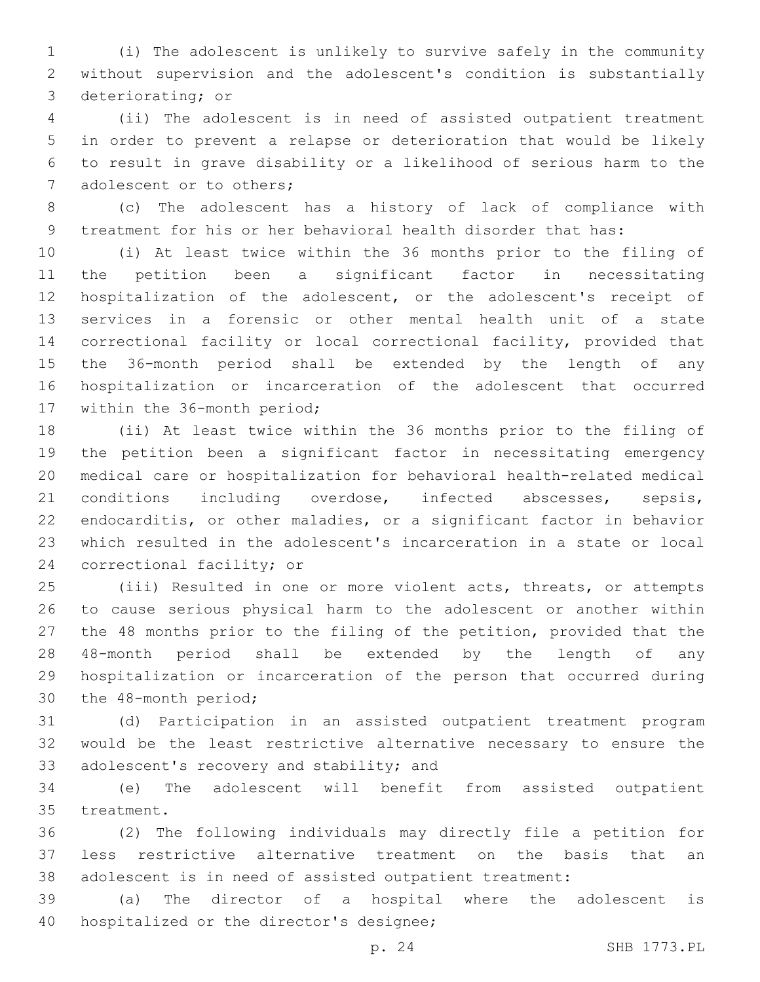(i) The adolescent is unlikely to survive safely in the community without supervision and the adolescent's condition is substantially 3 deteriorating; or

 (ii) The adolescent is in need of assisted outpatient treatment in order to prevent a relapse or deterioration that would be likely to result in grave disability or a likelihood of serious harm to the 7 adolescent or to others;

 (c) The adolescent has a history of lack of compliance with treatment for his or her behavioral health disorder that has:

 (i) At least twice within the 36 months prior to the filing of the petition been a significant factor in necessitating hospitalization of the adolescent, or the adolescent's receipt of services in a forensic or other mental health unit of a state correctional facility or local correctional facility, provided that the 36-month period shall be extended by the length of any hospitalization or incarceration of the adolescent that occurred 17 within the 36-month period;

 (ii) At least twice within the 36 months prior to the filing of the petition been a significant factor in necessitating emergency medical care or hospitalization for behavioral health-related medical conditions including overdose, infected abscesses, sepsis, endocarditis, or other maladies, or a significant factor in behavior which resulted in the adolescent's incarceration in a state or local 24 correctional facility; or

 (iii) Resulted in one or more violent acts, threats, or attempts to cause serious physical harm to the adolescent or another within the 48 months prior to the filing of the petition, provided that the 48-month period shall be extended by the length of any hospitalization or incarceration of the person that occurred during 30 the 48-month period;

 (d) Participation in an assisted outpatient treatment program would be the least restrictive alternative necessary to ensure the 33 adolescent's recovery and stability; and

 (e) The adolescent will benefit from assisted outpatient 35 treatment.

 (2) The following individuals may directly file a petition for less restrictive alternative treatment on the basis that an adolescent is in need of assisted outpatient treatment:

 (a) The director of a hospital where the adolescent is 40 hospitalized or the director's designee;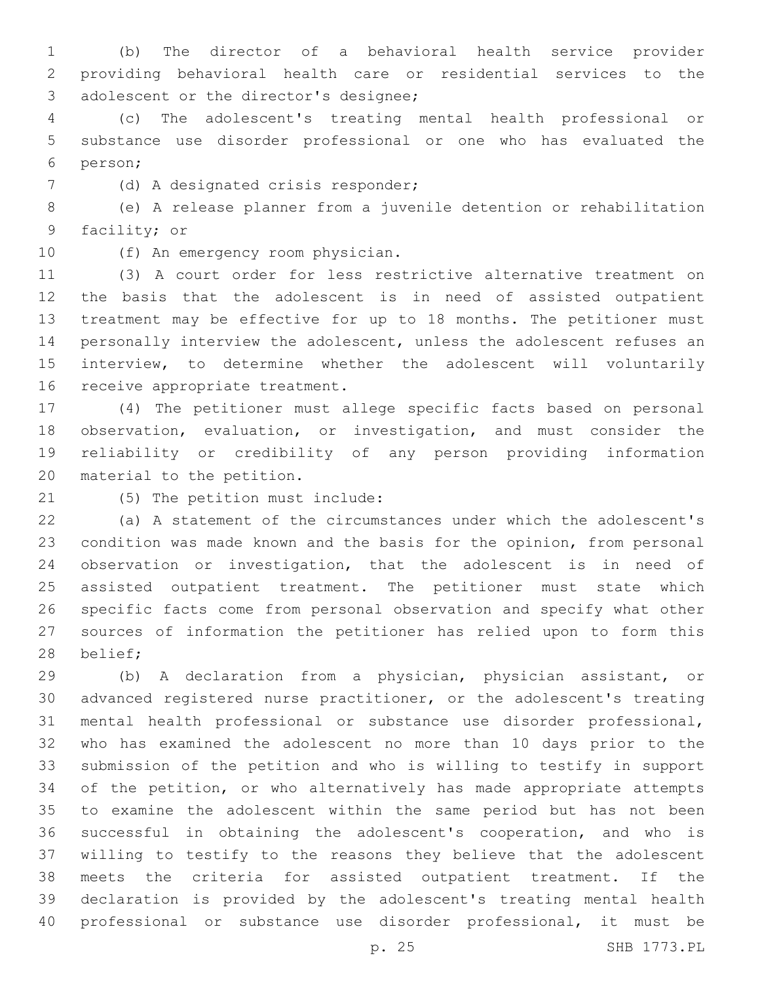(b) The director of a behavioral health service provider providing behavioral health care or residential services to the 3 adolescent or the director's designee;

 (c) The adolescent's treating mental health professional or substance use disorder professional or one who has evaluated the person;6

7 (d) A designated crisis responder;

 (e) A release planner from a juvenile detention or rehabilitation 9 facility; or

10 (f) An emergency room physician.

 (3) A court order for less restrictive alternative treatment on the basis that the adolescent is in need of assisted outpatient treatment may be effective for up to 18 months. The petitioner must personally interview the adolescent, unless the adolescent refuses an interview, to determine whether the adolescent will voluntarily 16 receive appropriate treatment.

 (4) The petitioner must allege specific facts based on personal observation, evaluation, or investigation, and must consider the reliability or credibility of any person providing information 20 material to the petition.

21 (5) The petition must include:

 (a) A statement of the circumstances under which the adolescent's condition was made known and the basis for the opinion, from personal observation or investigation, that the adolescent is in need of assisted outpatient treatment. The petitioner must state which specific facts come from personal observation and specify what other sources of information the petitioner has relied upon to form this 28 belief;

 (b) A declaration from a physician, physician assistant, or advanced registered nurse practitioner, or the adolescent's treating mental health professional or substance use disorder professional, who has examined the adolescent no more than 10 days prior to the submission of the petition and who is willing to testify in support of the petition, or who alternatively has made appropriate attempts to examine the adolescent within the same period but has not been successful in obtaining the adolescent's cooperation, and who is willing to testify to the reasons they believe that the adolescent meets the criteria for assisted outpatient treatment. If the declaration is provided by the adolescent's treating mental health professional or substance use disorder professional, it must be

p. 25 SHB 1773.PL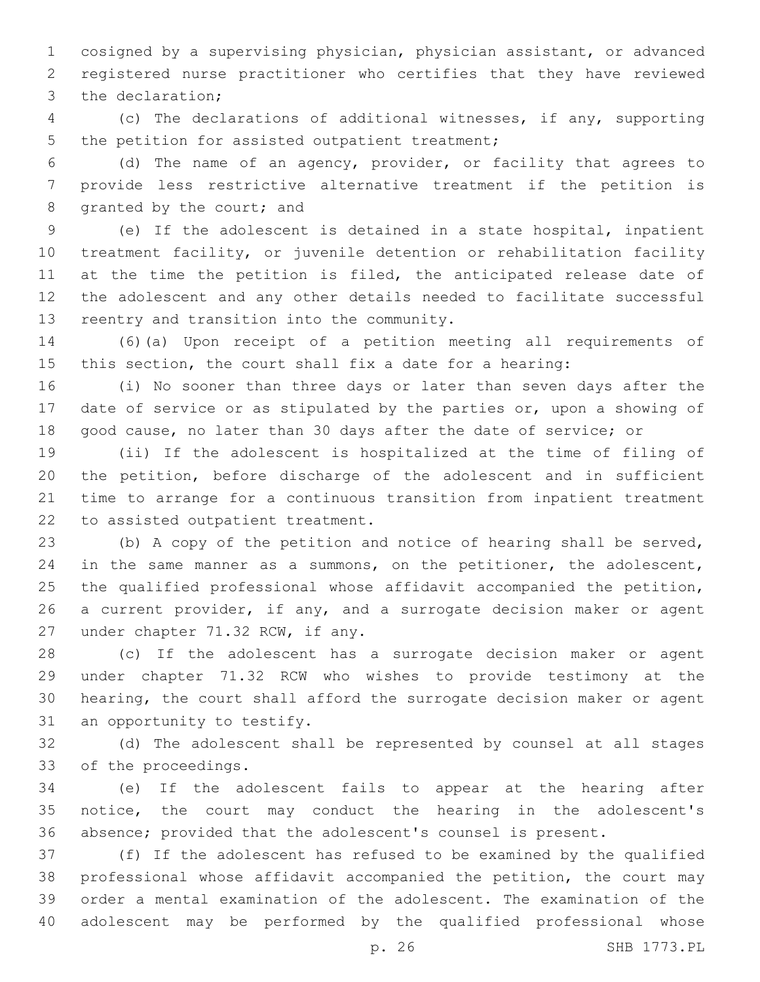cosigned by a supervising physician, physician assistant, or advanced registered nurse practitioner who certifies that they have reviewed 3 the declaration;

 (c) The declarations of additional witnesses, if any, supporting 5 the petition for assisted outpatient treatment;

 (d) The name of an agency, provider, or facility that agrees to provide less restrictive alternative treatment if the petition is 8 granted by the court; and

 (e) If the adolescent is detained in a state hospital, inpatient treatment facility, or juvenile detention or rehabilitation facility 11 at the time the petition is filed, the anticipated release date of the adolescent and any other details needed to facilitate successful 13 reentry and transition into the community.

 (6)(a) Upon receipt of a petition meeting all requirements of this section, the court shall fix a date for a hearing:

 (i) No sooner than three days or later than seven days after the date of service or as stipulated by the parties or, upon a showing of good cause, no later than 30 days after the date of service; or

 (ii) If the adolescent is hospitalized at the time of filing of the petition, before discharge of the adolescent and in sufficient time to arrange for a continuous transition from inpatient treatment 22 to assisted outpatient treatment.

 (b) A copy of the petition and notice of hearing shall be served, 24 in the same manner as a summons, on the petitioner, the adolescent, the qualified professional whose affidavit accompanied the petition, a current provider, if any, and a surrogate decision maker or agent 27 under chapter 71.32 RCW, if any.

 (c) If the adolescent has a surrogate decision maker or agent under chapter 71.32 RCW who wishes to provide testimony at the hearing, the court shall afford the surrogate decision maker or agent 31 an opportunity to testify.

 (d) The adolescent shall be represented by counsel at all stages 33 of the proceedings.

 (e) If the adolescent fails to appear at the hearing after notice, the court may conduct the hearing in the adolescent's absence; provided that the adolescent's counsel is present.

 (f) If the adolescent has refused to be examined by the qualified professional whose affidavit accompanied the petition, the court may order a mental examination of the adolescent. The examination of the adolescent may be performed by the qualified professional whose

p. 26 SHB 1773.PL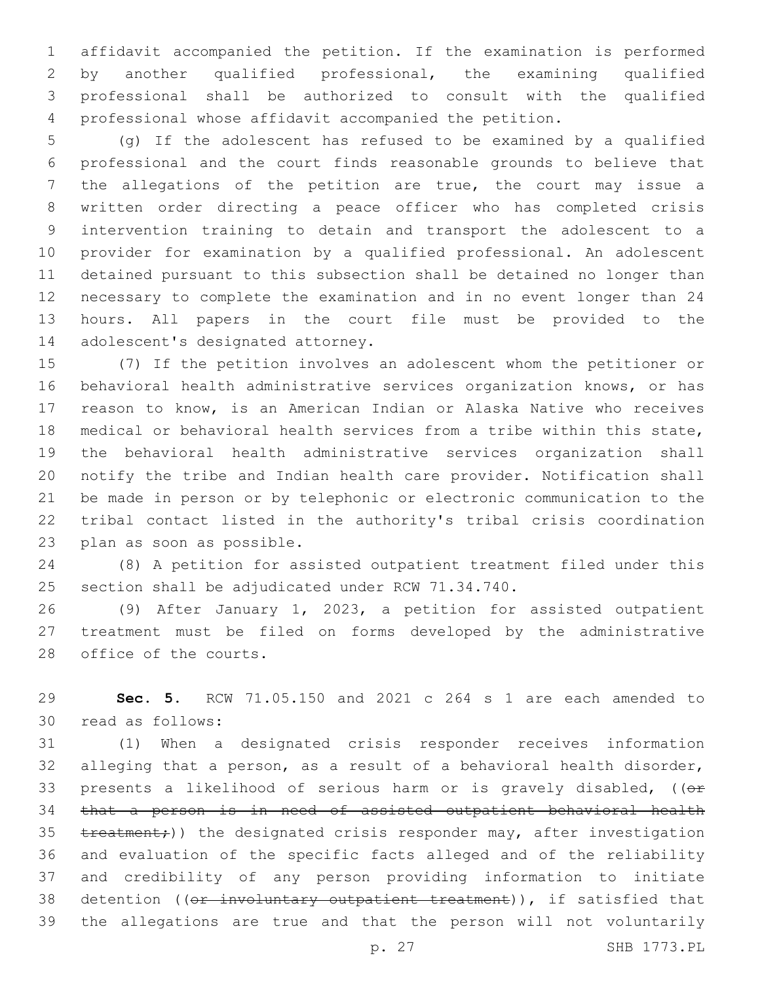affidavit accompanied the petition. If the examination is performed by another qualified professional, the examining qualified professional shall be authorized to consult with the qualified professional whose affidavit accompanied the petition.

 (g) If the adolescent has refused to be examined by a qualified professional and the court finds reasonable grounds to believe that the allegations of the petition are true, the court may issue a written order directing a peace officer who has completed crisis intervention training to detain and transport the adolescent to a provider for examination by a qualified professional. An adolescent detained pursuant to this subsection shall be detained no longer than necessary to complete the examination and in no event longer than 24 hours. All papers in the court file must be provided to the 14 adolescent's designated attorney.

 (7) If the petition involves an adolescent whom the petitioner or behavioral health administrative services organization knows, or has reason to know, is an American Indian or Alaska Native who receives medical or behavioral health services from a tribe within this state, the behavioral health administrative services organization shall notify the tribe and Indian health care provider. Notification shall be made in person or by telephonic or electronic communication to the tribal contact listed in the authority's tribal crisis coordination 23 plan as soon as possible.

 (8) A petition for assisted outpatient treatment filed under this 25 section shall be adjudicated under RCW 71.34.740.

 (9) After January 1, 2023, a petition for assisted outpatient treatment must be filed on forms developed by the administrative 28 office of the courts.

 **Sec. 5.** RCW 71.05.150 and 2021 c 264 s 1 are each amended to 30 read as follows:

 (1) When a designated crisis responder receives information alleging that a person, as a result of a behavioral health disorder, 33 presents a likelihood of serious harm or is gravely disabled,  $(0 +$  that a person is in need of assisted outpatient behavioral health 35 treatment;)) the designated crisis responder may, after investigation and evaluation of the specific facts alleged and of the reliability and credibility of any person providing information to initiate 38 detention ((or involuntary outpatient treatment)), if satisfied that the allegations are true and that the person will not voluntarily

p. 27 SHB 1773.PL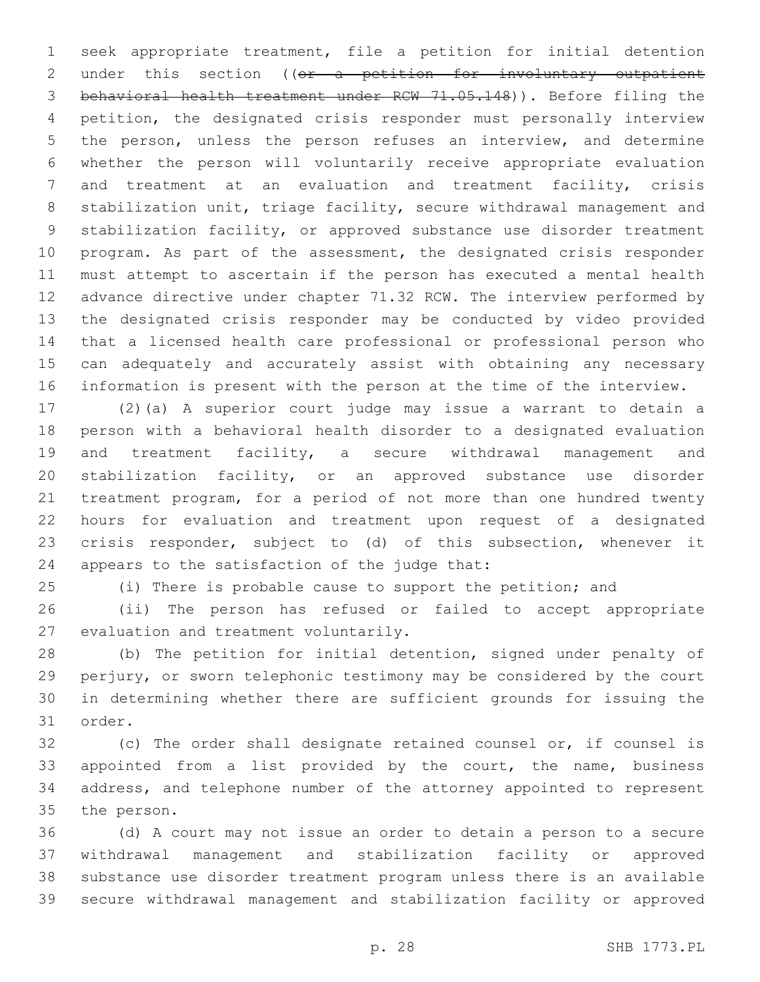seek appropriate treatment, file a petition for initial detention 2 under this section ((or a petition for involuntary outpatient behavioral health treatment under RCW 71.05.148)). Before filing the petition, the designated crisis responder must personally interview the person, unless the person refuses an interview, and determine whether the person will voluntarily receive appropriate evaluation and treatment at an evaluation and treatment facility, crisis stabilization unit, triage facility, secure withdrawal management and stabilization facility, or approved substance use disorder treatment program. As part of the assessment, the designated crisis responder must attempt to ascertain if the person has executed a mental health advance directive under chapter 71.32 RCW. The interview performed by the designated crisis responder may be conducted by video provided that a licensed health care professional or professional person who can adequately and accurately assist with obtaining any necessary information is present with the person at the time of the interview.

 (2)(a) A superior court judge may issue a warrant to detain a person with a behavioral health disorder to a designated evaluation and treatment facility, a secure withdrawal management and stabilization facility, or an approved substance use disorder treatment program, for a period of not more than one hundred twenty hours for evaluation and treatment upon request of a designated crisis responder, subject to (d) of this subsection, whenever it 24 appears to the satisfaction of the judge that:

(i) There is probable cause to support the petition; and

 (ii) The person has refused or failed to accept appropriate 27 evaluation and treatment voluntarily.

 (b) The petition for initial detention, signed under penalty of perjury, or sworn telephonic testimony may be considered by the court in determining whether there are sufficient grounds for issuing the 31 order.

 (c) The order shall designate retained counsel or, if counsel is appointed from a list provided by the court, the name, business address, and telephone number of the attorney appointed to represent 35 the person.

 (d) A court may not issue an order to detain a person to a secure withdrawal management and stabilization facility or approved substance use disorder treatment program unless there is an available secure withdrawal management and stabilization facility or approved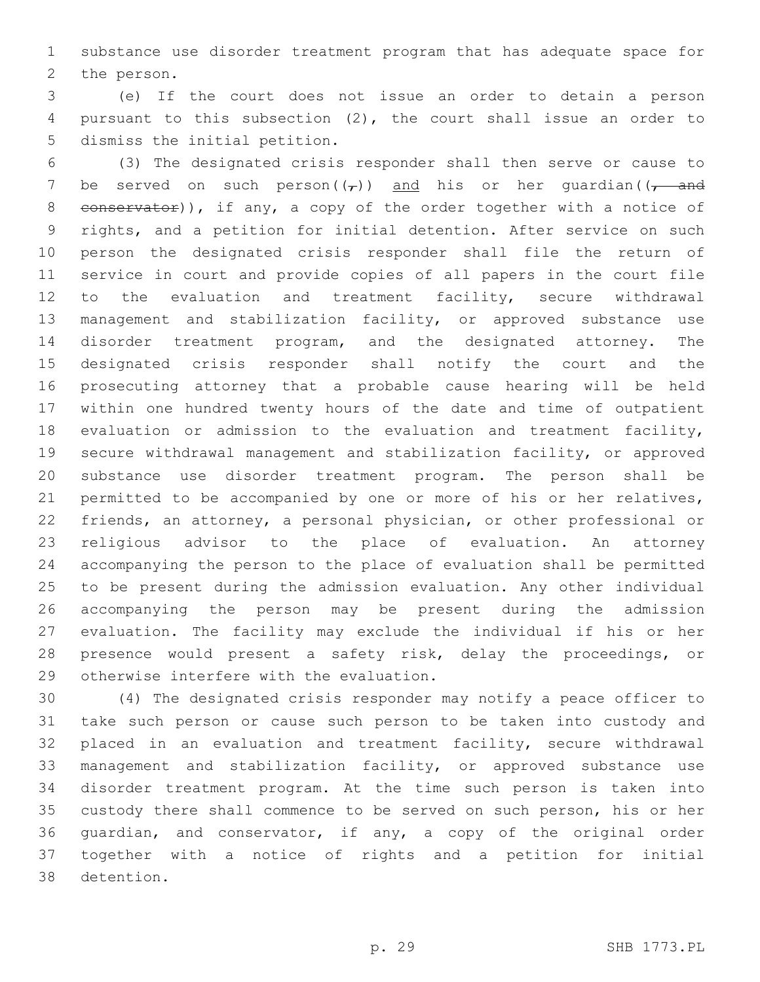substance use disorder treatment program that has adequate space for 2 the person.

 (e) If the court does not issue an order to detain a person pursuant to this subsection (2), the court shall issue an order to 5 dismiss the initial petition.

 (3) The designated crisis responder shall then serve or cause to 7 be served on such person $((\tau))$  and his or her quardian $((\tau)^{-}$ 8 conservator)), if any, a copy of the order together with a notice of rights, and a petition for initial detention. After service on such person the designated crisis responder shall file the return of service in court and provide copies of all papers in the court file to the evaluation and treatment facility, secure withdrawal management and stabilization facility, or approved substance use disorder treatment program, and the designated attorney. The designated crisis responder shall notify the court and the prosecuting attorney that a probable cause hearing will be held within one hundred twenty hours of the date and time of outpatient evaluation or admission to the evaluation and treatment facility, secure withdrawal management and stabilization facility, or approved substance use disorder treatment program. The person shall be permitted to be accompanied by one or more of his or her relatives, friends, an attorney, a personal physician, or other professional or religious advisor to the place of evaluation. An attorney accompanying the person to the place of evaluation shall be permitted to be present during the admission evaluation. Any other individual accompanying the person may be present during the admission evaluation. The facility may exclude the individual if his or her presence would present a safety risk, delay the proceedings, or 29 otherwise interfere with the evaluation.

 (4) The designated crisis responder may notify a peace officer to take such person or cause such person to be taken into custody and placed in an evaluation and treatment facility, secure withdrawal management and stabilization facility, or approved substance use disorder treatment program. At the time such person is taken into custody there shall commence to be served on such person, his or her guardian, and conservator, if any, a copy of the original order together with a notice of rights and a petition for initial 38 detention.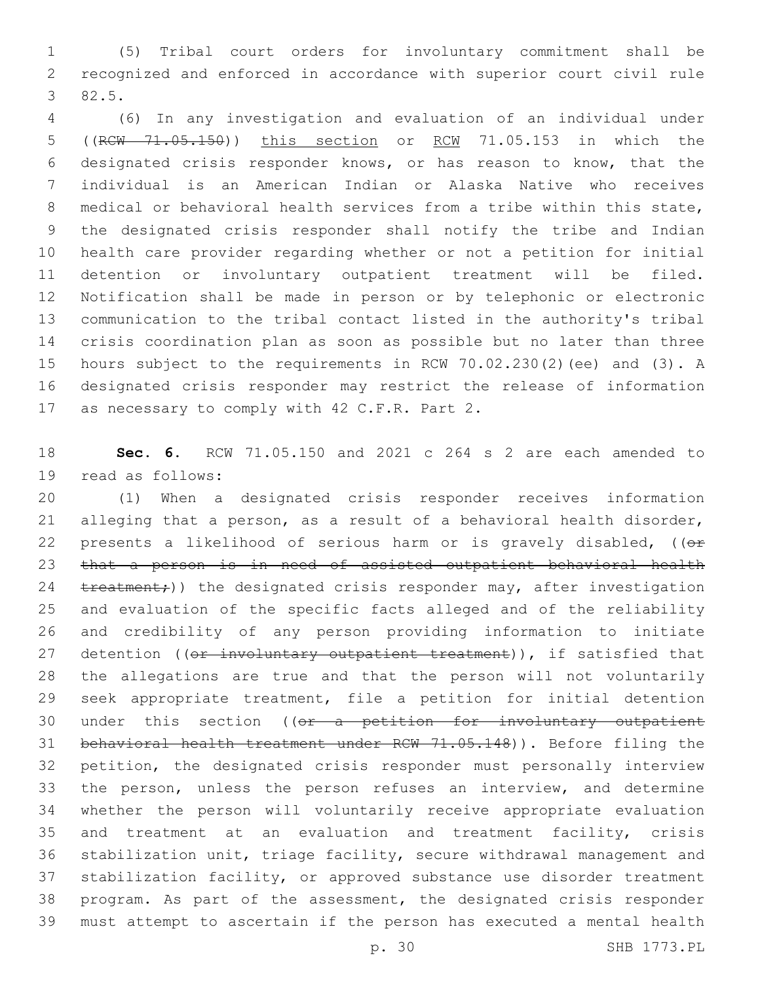(5) Tribal court orders for involuntary commitment shall be recognized and enforced in accordance with superior court civil rule 82.5.3

 (6) In any investigation and evaluation of an individual under ((RCW 71.05.150)) this section or RCW 71.05.153 in which the designated crisis responder knows, or has reason to know, that the individual is an American Indian or Alaska Native who receives medical or behavioral health services from a tribe within this state, the designated crisis responder shall notify the tribe and Indian health care provider regarding whether or not a petition for initial detention or involuntary outpatient treatment will be filed. Notification shall be made in person or by telephonic or electronic communication to the tribal contact listed in the authority's tribal crisis coordination plan as soon as possible but no later than three hours subject to the requirements in RCW 70.02.230(2)(ee) and (3). A designated crisis responder may restrict the release of information 17 as necessary to comply with 42 C.F.R. Part 2.

 **Sec. 6.** RCW 71.05.150 and 2021 c 264 s 2 are each amended to 19 read as follows:

 (1) When a designated crisis responder receives information alleging that a person, as a result of a behavioral health disorder, 22 presents a likelihood of serious harm or is gravely disabled,  $(0 +$  that a person is in need of assisted outpatient behavioral health 24 treatment;)) the designated crisis responder may, after investigation and evaluation of the specific facts alleged and of the reliability and credibility of any person providing information to initiate 27 detention ((or involuntary outpatient treatment)), if satisfied that the allegations are true and that the person will not voluntarily seek appropriate treatment, file a petition for initial detention 30 under this section ((or a petition for involuntary outpatient behavioral health treatment under RCW 71.05.148)). Before filing the petition, the designated crisis responder must personally interview the person, unless the person refuses an interview, and determine whether the person will voluntarily receive appropriate evaluation and treatment at an evaluation and treatment facility, crisis stabilization unit, triage facility, secure withdrawal management and stabilization facility, or approved substance use disorder treatment program. As part of the assessment, the designated crisis responder must attempt to ascertain if the person has executed a mental health

p. 30 SHB 1773.PL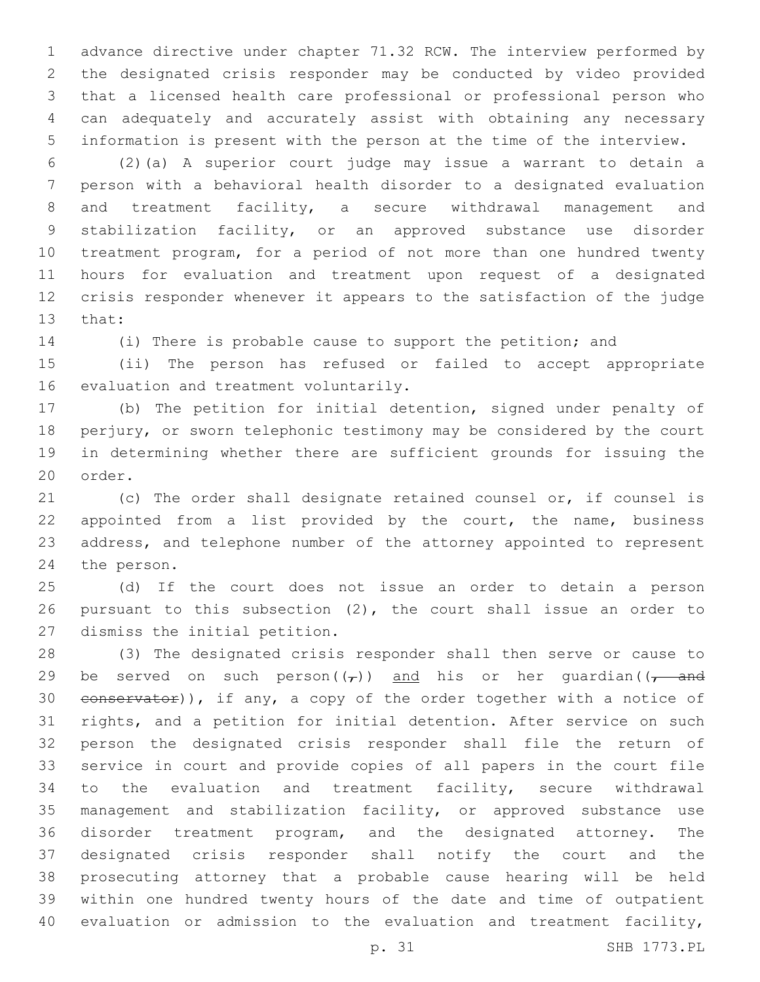advance directive under chapter 71.32 RCW. The interview performed by the designated crisis responder may be conducted by video provided that a licensed health care professional or professional person who can adequately and accurately assist with obtaining any necessary information is present with the person at the time of the interview.

 (2)(a) A superior court judge may issue a warrant to detain a person with a behavioral health disorder to a designated evaluation and treatment facility, a secure withdrawal management and stabilization facility, or an approved substance use disorder treatment program, for a period of not more than one hundred twenty hours for evaluation and treatment upon request of a designated crisis responder whenever it appears to the satisfaction of the judge 13 that:

(i) There is probable cause to support the petition; and

 (ii) The person has refused or failed to accept appropriate 16 evaluation and treatment voluntarily.

 (b) The petition for initial detention, signed under penalty of perjury, or sworn telephonic testimony may be considered by the court in determining whether there are sufficient grounds for issuing the 20 order.

 (c) The order shall designate retained counsel or, if counsel is 22 appointed from a list provided by the court, the name, business address, and telephone number of the attorney appointed to represent 24 the person.

 (d) If the court does not issue an order to detain a person pursuant to this subsection (2), the court shall issue an order to 27 dismiss the initial petition.

 (3) The designated crisis responder shall then serve or cause to 29 be served on such person( $(\tau)$ ) and his or her quardian( $(\tau$  and 30 conservator)), if any, a copy of the order together with a notice of rights, and a petition for initial detention. After service on such person the designated crisis responder shall file the return of service in court and provide copies of all papers in the court file to the evaluation and treatment facility, secure withdrawal management and stabilization facility, or approved substance use disorder treatment program, and the designated attorney. The designated crisis responder shall notify the court and the prosecuting attorney that a probable cause hearing will be held within one hundred twenty hours of the date and time of outpatient evaluation or admission to the evaluation and treatment facility,

p. 31 SHB 1773.PL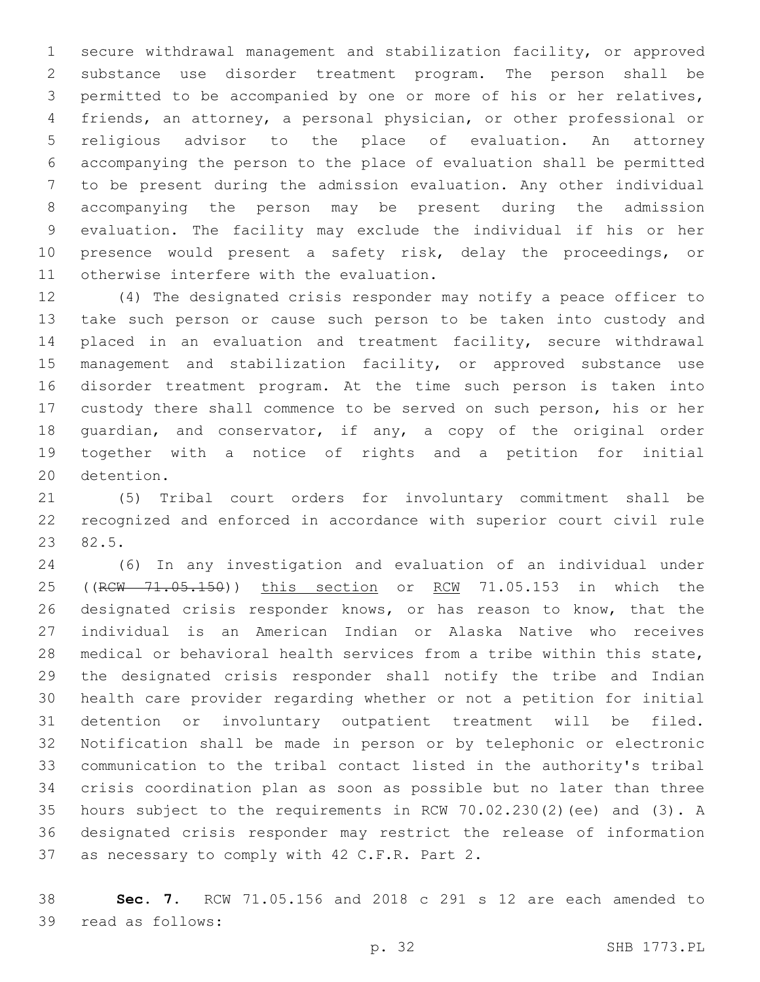secure withdrawal management and stabilization facility, or approved substance use disorder treatment program. The person shall be permitted to be accompanied by one or more of his or her relatives, friends, an attorney, a personal physician, or other professional or religious advisor to the place of evaluation. An attorney accompanying the person to the place of evaluation shall be permitted to be present during the admission evaluation. Any other individual accompanying the person may be present during the admission evaluation. The facility may exclude the individual if his or her presence would present a safety risk, delay the proceedings, or 11 otherwise interfere with the evaluation.

 (4) The designated crisis responder may notify a peace officer to take such person or cause such person to be taken into custody and placed in an evaluation and treatment facility, secure withdrawal 15 management and stabilization facility, or approved substance use disorder treatment program. At the time such person is taken into custody there shall commence to be served on such person, his or her guardian, and conservator, if any, a copy of the original order together with a notice of rights and a petition for initial 20 detention.

 (5) Tribal court orders for involuntary commitment shall be recognized and enforced in accordance with superior court civil rule 23 82.5.

 (6) In any investigation and evaluation of an individual under 25 ((RCW 71.05.150)) this section or RCW 71.05.153 in which the designated crisis responder knows, or has reason to know, that the individual is an American Indian or Alaska Native who receives medical or behavioral health services from a tribe within this state, the designated crisis responder shall notify the tribe and Indian health care provider regarding whether or not a petition for initial detention or involuntary outpatient treatment will be filed. Notification shall be made in person or by telephonic or electronic communication to the tribal contact listed in the authority's tribal crisis coordination plan as soon as possible but no later than three hours subject to the requirements in RCW 70.02.230(2)(ee) and (3). A designated crisis responder may restrict the release of information 37 as necessary to comply with 42 C.F.R. Part 2.

 **Sec. 7.** RCW 71.05.156 and 2018 c 291 s 12 are each amended to 39 read as follows: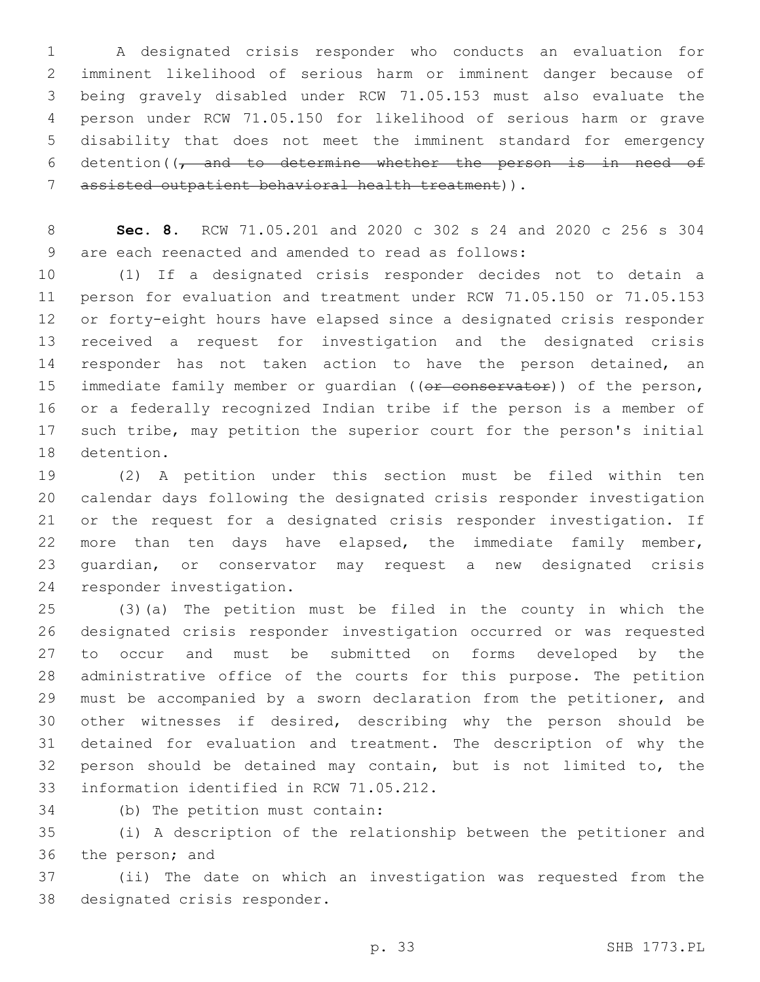A designated crisis responder who conducts an evaluation for imminent likelihood of serious harm or imminent danger because of being gravely disabled under RCW 71.05.153 must also evaluate the person under RCW 71.05.150 for likelihood of serious harm or grave disability that does not meet the imminent standard for emergency 6 detention( $\sqrt{t}$  and to determine whether the person is in need of assisted outpatient behavioral health treatment)).7

 **Sec. 8.** RCW 71.05.201 and 2020 c 302 s 24 and 2020 c 256 s 304 9 are each reenacted and amended to read as follows:

 (1) If a designated crisis responder decides not to detain a person for evaluation and treatment under RCW 71.05.150 or 71.05.153 or forty-eight hours have elapsed since a designated crisis responder received a request for investigation and the designated crisis 14 responder has not taken action to have the person detained, an 15 immediate family member or quardian ((or conservator)) of the person, or a federally recognized Indian tribe if the person is a member of such tribe, may petition the superior court for the person's initial 18 detention.

 (2) A petition under this section must be filed within ten calendar days following the designated crisis responder investigation or the request for a designated crisis responder investigation. If more than ten days have elapsed, the immediate family member, guardian, or conservator may request a new designated crisis 24 responder investigation.

 (3)(a) The petition must be filed in the county in which the designated crisis responder investigation occurred or was requested to occur and must be submitted on forms developed by the administrative office of the courts for this purpose. The petition must be accompanied by a sworn declaration from the petitioner, and other witnesses if desired, describing why the person should be detained for evaluation and treatment. The description of why the person should be detained may contain, but is not limited to, the 33 information identified in RCW 71.05.212.

34 (b) The petition must contain:

 (i) A description of the relationship between the petitioner and 36 the person; and

 (ii) The date on which an investigation was requested from the 38 designated crisis responder.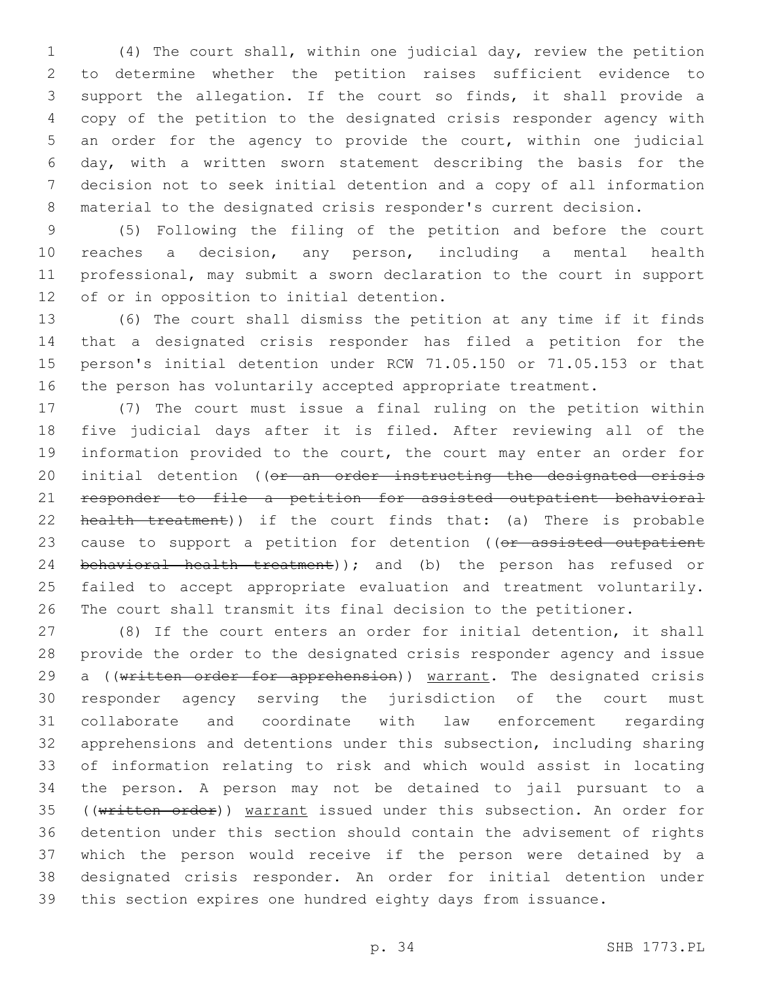(4) The court shall, within one judicial day, review the petition to determine whether the petition raises sufficient evidence to support the allegation. If the court so finds, it shall provide a copy of the petition to the designated crisis responder agency with an order for the agency to provide the court, within one judicial day, with a written sworn statement describing the basis for the decision not to seek initial detention and a copy of all information material to the designated crisis responder's current decision.

 (5) Following the filing of the petition and before the court reaches a decision, any person, including a mental health professional, may submit a sworn declaration to the court in support 12 of or in opposition to initial detention.

 (6) The court shall dismiss the petition at any time if it finds that a designated crisis responder has filed a petition for the person's initial detention under RCW 71.05.150 or 71.05.153 or that the person has voluntarily accepted appropriate treatment.

 (7) The court must issue a final ruling on the petition within five judicial days after it is filed. After reviewing all of the information provided to the court, the court may enter an order for 20 initial detention ((or an order instructing the designated crisis responder to file a petition for assisted outpatient behavioral 22 health treatment)) if the court finds that: (a) There is probable 23 cause to support a petition for detention ((or assisted outpatient 24 behavioral health treatment)); and (b) the person has refused or failed to accept appropriate evaluation and treatment voluntarily. The court shall transmit its final decision to the petitioner.

 (8) If the court enters an order for initial detention, it shall provide the order to the designated crisis responder agency and issue 29 a ((written order for apprehension)) warrant. The designated crisis responder agency serving the jurisdiction of the court must collaborate and coordinate with law enforcement regarding apprehensions and detentions under this subsection, including sharing of information relating to risk and which would assist in locating the person. A person may not be detained to jail pursuant to a 35 ((written order)) warrant issued under this subsection. An order for detention under this section should contain the advisement of rights which the person would receive if the person were detained by a designated crisis responder. An order for initial detention under this section expires one hundred eighty days from issuance.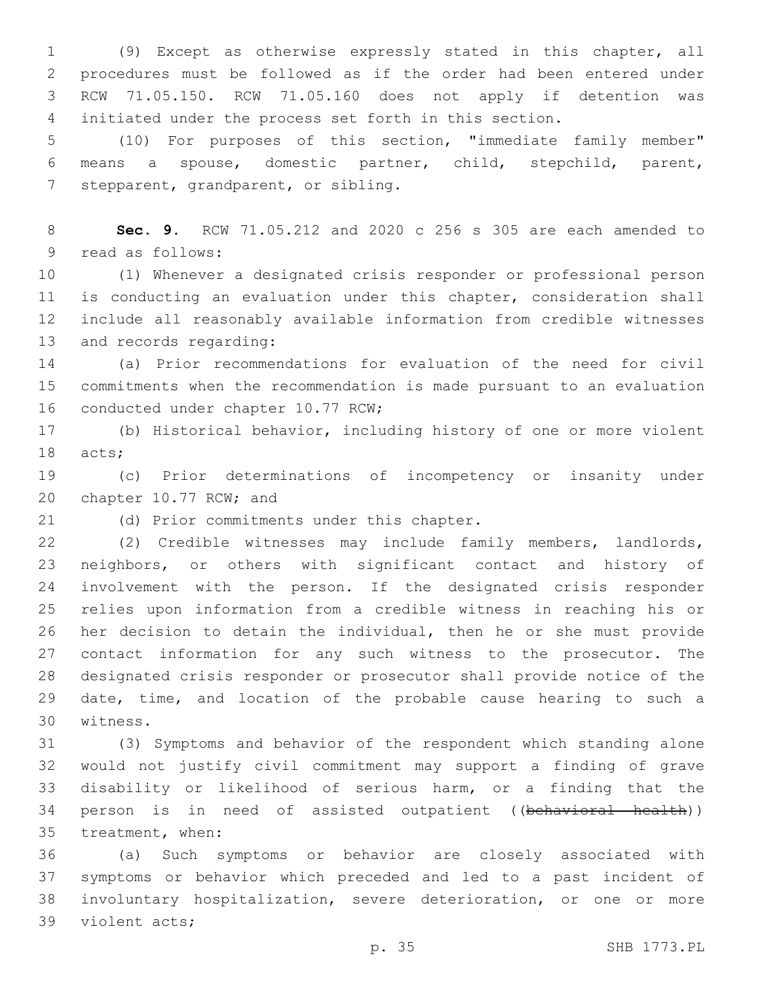(9) Except as otherwise expressly stated in this chapter, all procedures must be followed as if the order had been entered under RCW 71.05.150. RCW 71.05.160 does not apply if detention was initiated under the process set forth in this section.

 (10) For purposes of this section, "immediate family member" means a spouse, domestic partner, child, stepchild, parent, 7 stepparent, grandparent, or sibling.

 **Sec. 9.** RCW 71.05.212 and 2020 c 256 s 305 are each amended to 9 read as follows:

 (1) Whenever a designated crisis responder or professional person is conducting an evaluation under this chapter, consideration shall include all reasonably available information from credible witnesses 13 and records regarding:

 (a) Prior recommendations for evaluation of the need for civil commitments when the recommendation is made pursuant to an evaluation 16 conducted under chapter 10.77 RCW;

 (b) Historical behavior, including history of one or more violent 18 acts;

 (c) Prior determinations of incompetency or insanity under 20 chapter 10.77 RCW; and

21 (d) Prior commitments under this chapter.

 (2) Credible witnesses may include family members, landlords, neighbors, or others with significant contact and history of involvement with the person. If the designated crisis responder relies upon information from a credible witness in reaching his or her decision to detain the individual, then he or she must provide contact information for any such witness to the prosecutor. The designated crisis responder or prosecutor shall provide notice of the date, time, and location of the probable cause hearing to such a 30 witness.

 (3) Symptoms and behavior of the respondent which standing alone would not justify civil commitment may support a finding of grave disability or likelihood of serious harm, or a finding that the 34 person is in need of assisted outpatient ((behavioral health)) 35 treatment, when:

 (a) Such symptoms or behavior are closely associated with symptoms or behavior which preceded and led to a past incident of involuntary hospitalization, severe deterioration, or one or more 39 violent acts;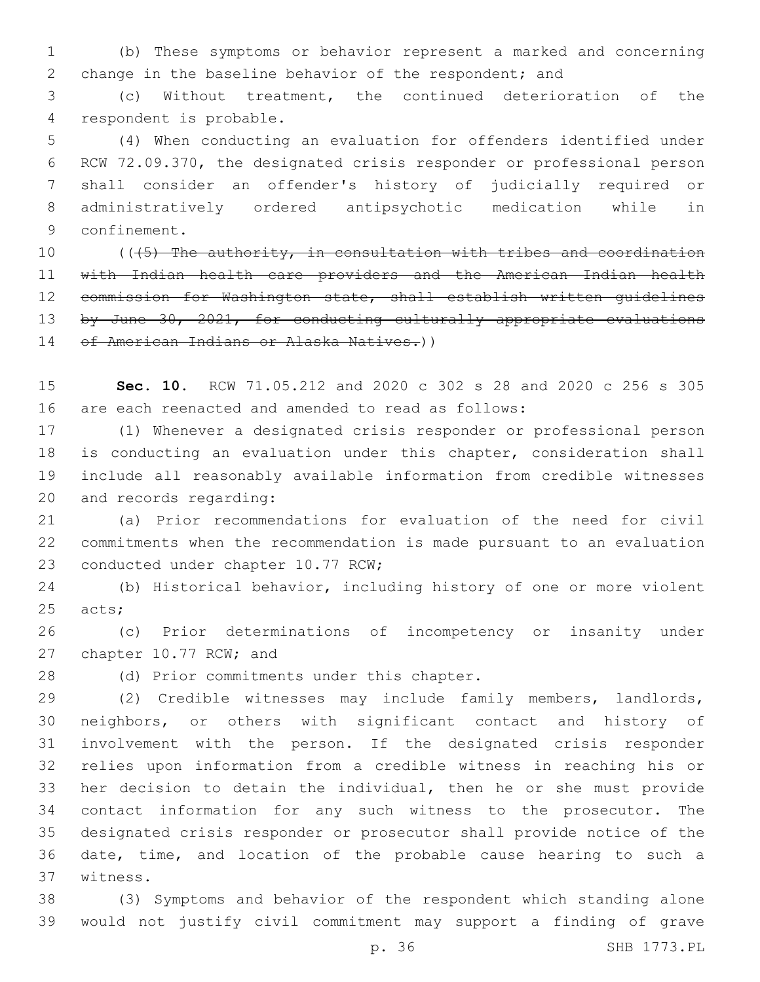(b) These symptoms or behavior represent a marked and concerning change in the baseline behavior of the respondent; and

 (c) Without treatment, the continued deterioration of the 4 respondent is probable.

 (4) When conducting an evaluation for offenders identified under RCW 72.09.370, the designated crisis responder or professional person shall consider an offender's history of judicially required or administratively ordered antipsychotic medication while in 9 confinement.

10 ((45) The authority, in consultation with tribes and coordination with Indian health care providers and the American Indian health commission for Washington state, shall establish written guidelines 13 by June 30, 2021, for conducting culturally appropriate evaluations 14 of American Indians or Alaska Natives.))

 **Sec. 10.** RCW 71.05.212 and 2020 c 302 s 28 and 2020 c 256 s 305 are each reenacted and amended to read as follows:

 (1) Whenever a designated crisis responder or professional person is conducting an evaluation under this chapter, consideration shall include all reasonably available information from credible witnesses 20 and records regarding:

 (a) Prior recommendations for evaluation of the need for civil commitments when the recommendation is made pursuant to an evaluation 23 conducted under chapter 10.77 RCW;

 (b) Historical behavior, including history of one or more violent 25 acts;

 (c) Prior determinations of incompetency or insanity under 27 chapter 10.77 RCW; and

28 (d) Prior commitments under this chapter.

 (2) Credible witnesses may include family members, landlords, neighbors, or others with significant contact and history of involvement with the person. If the designated crisis responder relies upon information from a credible witness in reaching his or her decision to detain the individual, then he or she must provide contact information for any such witness to the prosecutor. The designated crisis responder or prosecutor shall provide notice of the date, time, and location of the probable cause hearing to such a 37 witness.

 (3) Symptoms and behavior of the respondent which standing alone would not justify civil commitment may support a finding of grave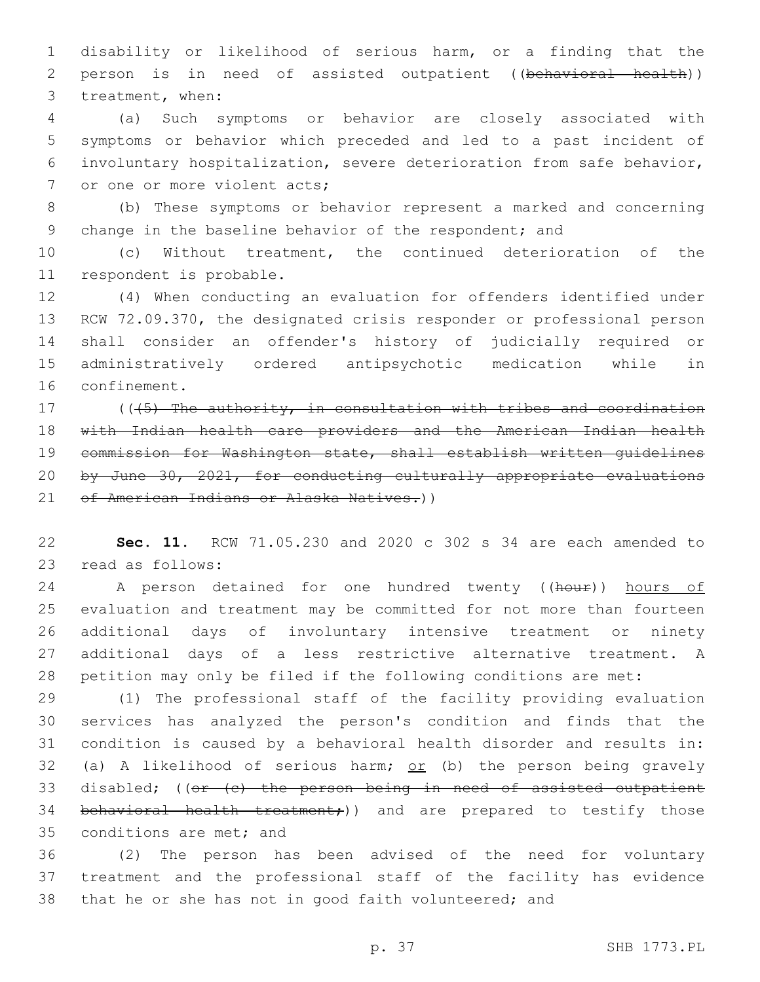disability or likelihood of serious harm, or a finding that the person is in need of assisted outpatient ((behavioral health)) 3 treatment, when:

 (a) Such symptoms or behavior are closely associated with symptoms or behavior which preceded and led to a past incident of involuntary hospitalization, severe deterioration from safe behavior, 7 or one or more violent acts;

 (b) These symptoms or behavior represent a marked and concerning 9 change in the baseline behavior of the respondent; and

 (c) Without treatment, the continued deterioration of the 11 respondent is probable.

 (4) When conducting an evaluation for offenders identified under RCW 72.09.370, the designated crisis responder or professional person shall consider an offender's history of judicially required or administratively ordered antipsychotic medication while in 16 confinement.

17 ((45) The authority, in consultation with tribes and coordination with Indian health care providers and the American Indian health commission for Washington state, shall establish written guidelines by June 30, 2021, for conducting culturally appropriate evaluations 21 of American Indians or Alaska Natives.))

 **Sec. 11.** RCW 71.05.230 and 2020 c 302 s 34 are each amended to 23 read as follows:

24 A person detained for one hundred twenty ((hour)) hours of evaluation and treatment may be committed for not more than fourteen additional days of involuntary intensive treatment or ninety additional days of a less restrictive alternative treatment. A petition may only be filed if the following conditions are met:

 (1) The professional staff of the facility providing evaluation services has analyzed the person's condition and finds that the condition is caused by a behavioral health disorder and results in: 32 (a) A likelihood of serious harm;  $or$  (b) the person being gravely 33 disabled; ((or (c) the person being in need of assisted outpatient 34 behavioral health treatment;)) and are prepared to testify those 35 conditions are met; and

 (2) The person has been advised of the need for voluntary treatment and the professional staff of the facility has evidence that he or she has not in good faith volunteered; and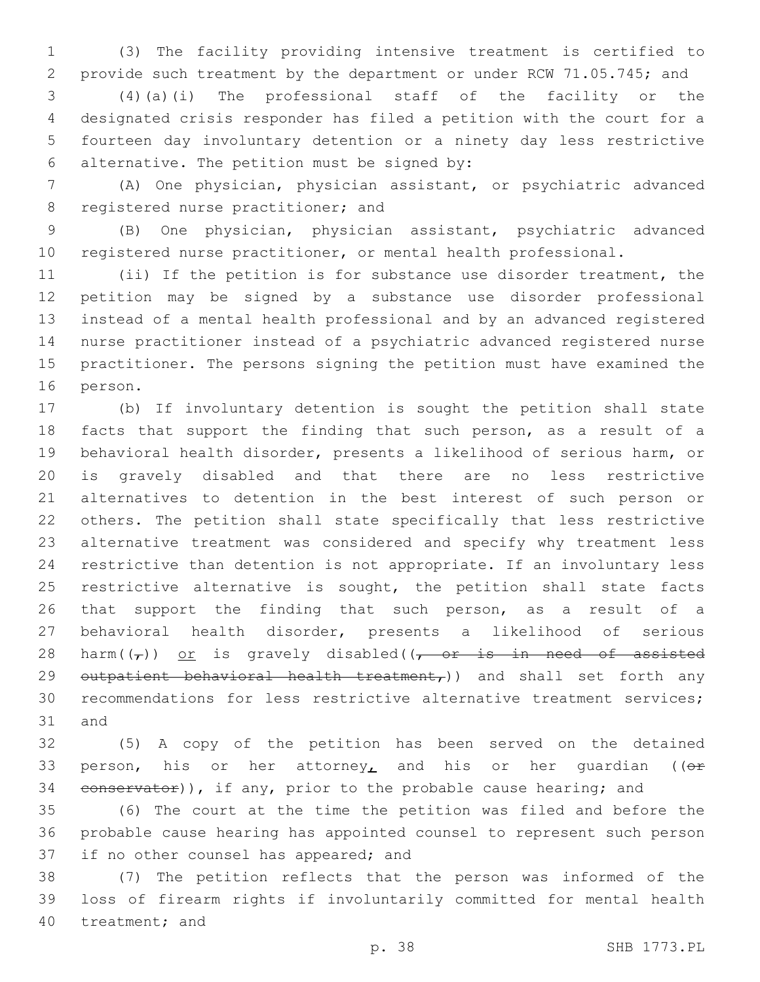(3) The facility providing intensive treatment is certified to provide such treatment by the department or under RCW 71.05.745; and

 (4)(a)(i) The professional staff of the facility or the designated crisis responder has filed a petition with the court for a fourteen day involuntary detention or a ninety day less restrictive alternative. The petition must be signed by:6

 (A) One physician, physician assistant, or psychiatric advanced 8 registered nurse practitioner; and

 (B) One physician, physician assistant, psychiatric advanced registered nurse practitioner, or mental health professional.

 (ii) If the petition is for substance use disorder treatment, the petition may be signed by a substance use disorder professional instead of a mental health professional and by an advanced registered nurse practitioner instead of a psychiatric advanced registered nurse practitioner. The persons signing the petition must have examined the 16 person.

 (b) If involuntary detention is sought the petition shall state facts that support the finding that such person, as a result of a behavioral health disorder, presents a likelihood of serious harm, or is gravely disabled and that there are no less restrictive alternatives to detention in the best interest of such person or others. The petition shall state specifically that less restrictive alternative treatment was considered and specify why treatment less restrictive than detention is not appropriate. If an involuntary less 25 restrictive alternative is sought, the petition shall state facts 26 that support the finding that such person, as a result of a behavioral health disorder, presents a likelihood of serious 28 harm( $(\tau)$ ) or is gravely disabled( $\tau$  or is in need of assisted 29 outpatient behavioral health treatment,)) and shall set forth any recommendations for less restrictive alternative treatment services; 31 and

 (5) A copy of the petition has been served on the detained 33 person, his or her attorney, and his or her quardian ( $(e^+e^-)$ 34 conservator)), if any, prior to the probable cause hearing; and

 (6) The court at the time the petition was filed and before the probable cause hearing has appointed counsel to represent such person 37 if no other counsel has appeared; and

 (7) The petition reflects that the person was informed of the loss of firearm rights if involuntarily committed for mental health 40 treatment; and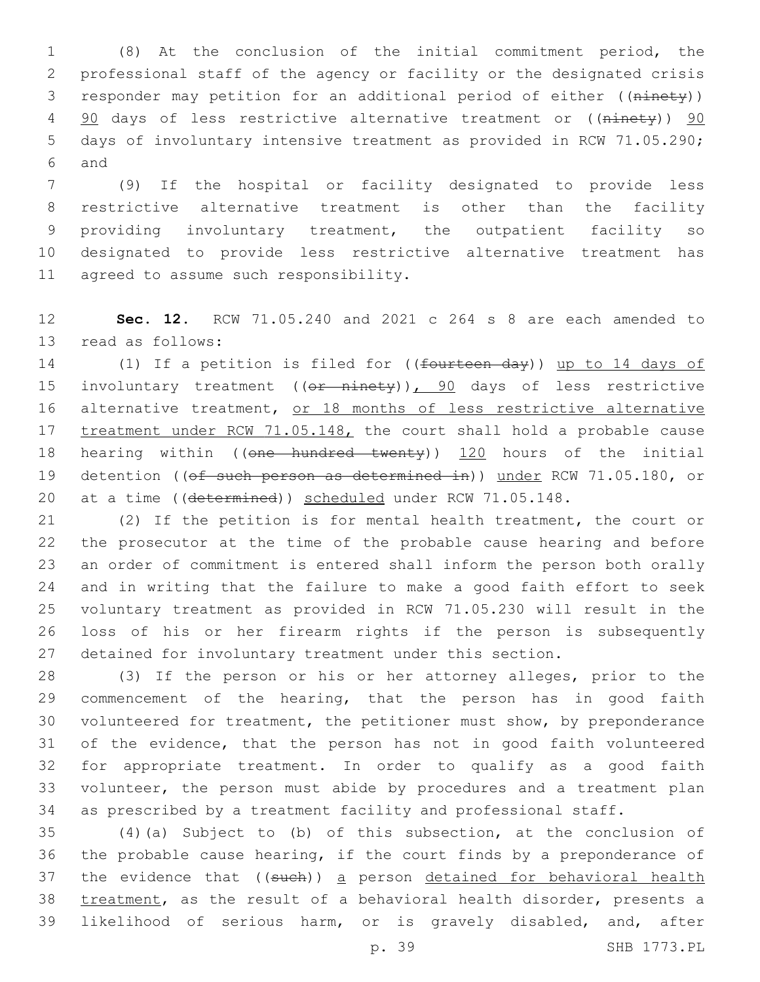(8) At the conclusion of the initial commitment period, the professional staff of the agency or facility or the designated crisis responder may petition for an additional period of either ((ninety)) 4 90 days of less restrictive alternative treatment or ((ninety)) 90 days of involuntary intensive treatment as provided in RCW 71.05.290; 6 and

 (9) If the hospital or facility designated to provide less restrictive alternative treatment is other than the facility providing involuntary treatment, the outpatient facility so designated to provide less restrictive alternative treatment has 11 agreed to assume such responsibility.

 **Sec. 12.** RCW 71.05.240 and 2021 c 264 s 8 are each amended to 13 read as follows:

14 (1) If a petition is filed for ((fourteen day)) up to 14 days of 15 involuntary treatment ((or ninety)), 90 days of less restrictive 16 alternative treatment, or 18 months of less restrictive alternative 17 treatment under RCW 71.05.148, the court shall hold a probable cause 18 hearing within ((one hundred twenty)) 120 hours of the initial 19 detention ((of such person as determined in)) under RCW 71.05.180, or 20 at a time ((determined)) scheduled under RCW 71.05.148.

 (2) If the petition is for mental health treatment, the court or the prosecutor at the time of the probable cause hearing and before an order of commitment is entered shall inform the person both orally and in writing that the failure to make a good faith effort to seek voluntary treatment as provided in RCW 71.05.230 will result in the loss of his or her firearm rights if the person is subsequently detained for involuntary treatment under this section.

 (3) If the person or his or her attorney alleges, prior to the commencement of the hearing, that the person has in good faith volunteered for treatment, the petitioner must show, by preponderance of the evidence, that the person has not in good faith volunteered for appropriate treatment. In order to qualify as a good faith volunteer, the person must abide by procedures and a treatment plan as prescribed by a treatment facility and professional staff.

 (4)(a) Subject to (b) of this subsection, at the conclusion of the probable cause hearing, if the court finds by a preponderance of 37 the evidence that ((such)) a person detained for behavioral health treatment, as the result of a behavioral health disorder, presents a likelihood of serious harm, or is gravely disabled, and, after

p. 39 SHB 1773.PL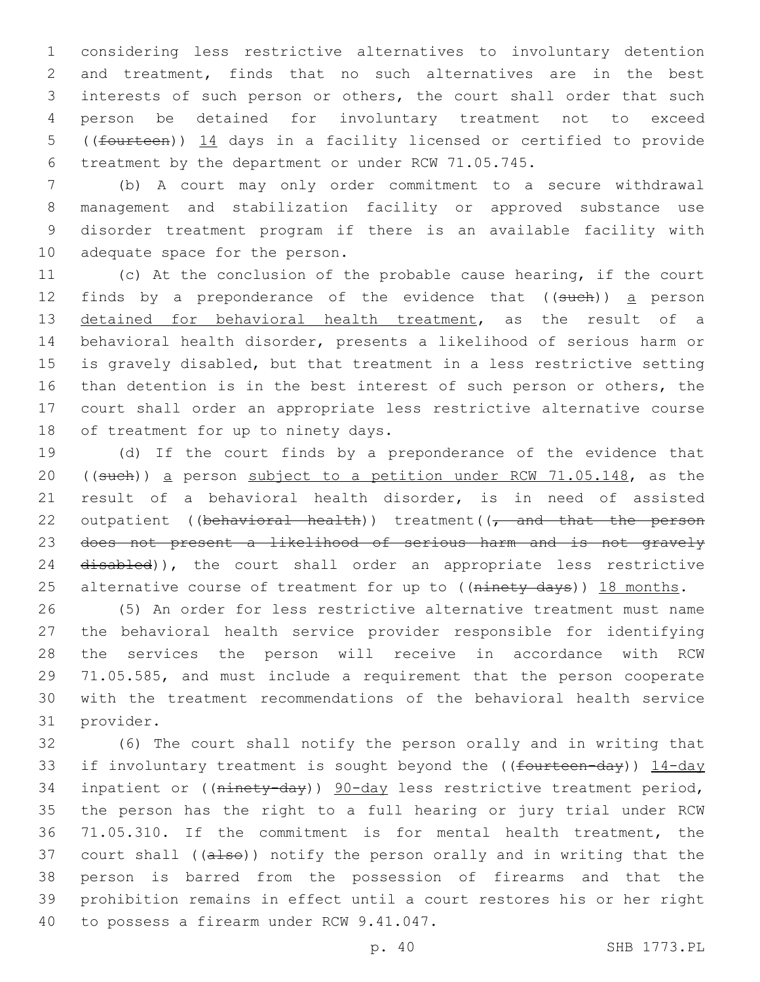considering less restrictive alternatives to involuntary detention and treatment, finds that no such alternatives are in the best interests of such person or others, the court shall order that such person be detained for involuntary treatment not to exceed ((fourteen)) 14 days in a facility licensed or certified to provide treatment by the department or under RCW 71.05.745.

 (b) A court may only order commitment to a secure withdrawal management and stabilization facility or approved substance use disorder treatment program if there is an available facility with 10 adequate space for the person.

 (c) At the conclusion of the probable cause hearing, if the court 12 finds by a preponderance of the evidence that ((such)) a person detained for behavioral health treatment, as the result of a behavioral health disorder, presents a likelihood of serious harm or is gravely disabled, but that treatment in a less restrictive setting than detention is in the best interest of such person or others, the court shall order an appropriate less restrictive alternative course 18 of treatment for up to ninety days.

 (d) If the court finds by a preponderance of the evidence that ((such)) a person subject to a petition under RCW 71.05.148, as the result of a behavioral health disorder, is in need of assisted 22 outpatient ((behavioral health)) treatment( $\sqrt{\tau}$  and that the person does not present a likelihood of serious harm and is not gravely 24 disabled)), the court shall order an appropriate less restrictive 25 alternative course of treatment for up to ((ninety days)) 18 months.

 (5) An order for less restrictive alternative treatment must name the behavioral health service provider responsible for identifying the services the person will receive in accordance with RCW 71.05.585, and must include a requirement that the person cooperate with the treatment recommendations of the behavioral health service 31 provider.

 (6) The court shall notify the person orally and in writing that 33 if involuntary treatment is sought beyond the ((fourteen-day)) 14-day 34 inpatient or ((ninety-day)) 90-day less restrictive treatment period, the person has the right to a full hearing or jury trial under RCW 71.05.310. If the commitment is for mental health treatment, the 37 court shall ((also)) notify the person orally and in writing that the person is barred from the possession of firearms and that the prohibition remains in effect until a court restores his or her right 40 to possess a firearm under RCW 9.41.047.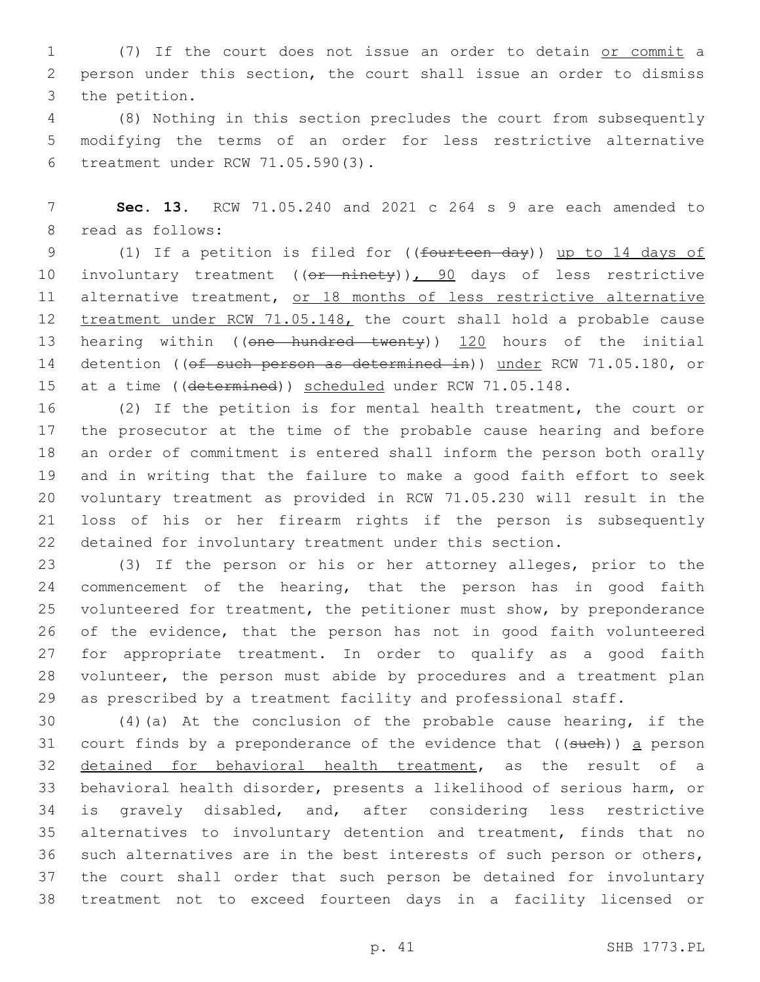(7) If the court does not issue an order to detain or commit a person under this section, the court shall issue an order to dismiss 3 the petition.

 (8) Nothing in this section precludes the court from subsequently modifying the terms of an order for less restrictive alternative treatment under RCW 71.05.590(3).6

 **Sec. 13.** RCW 71.05.240 and 2021 c 264 s 9 are each amended to 8 read as follows:

 (1) If a petition is filed for ((fourteen day)) up to 14 days of 10 involuntary treatment ((or ninety)), 90 days of less restrictive 11 alternative treatment, or 18 months of less restrictive alternative 12 treatment under RCW 71.05.148, the court shall hold a probable cause 13 hearing within ((one hundred twenty)) 120 hours of the initial 14 detention ((of such person as determined in)) under RCW 71.05.180, or 15 at a time ((determined)) scheduled under RCW 71.05.148.

 (2) If the petition is for mental health treatment, the court or the prosecutor at the time of the probable cause hearing and before an order of commitment is entered shall inform the person both orally and in writing that the failure to make a good faith effort to seek voluntary treatment as provided in RCW 71.05.230 will result in the loss of his or her firearm rights if the person is subsequently detained for involuntary treatment under this section.

 (3) If the person or his or her attorney alleges, prior to the 24 commencement of the hearing, that the person has in good faith volunteered for treatment, the petitioner must show, by preponderance of the evidence, that the person has not in good faith volunteered for appropriate treatment. In order to qualify as a good faith volunteer, the person must abide by procedures and a treatment plan as prescribed by a treatment facility and professional staff.

 (4)(a) At the conclusion of the probable cause hearing, if the 31 court finds by a preponderance of the evidence that  $($  (such)) a person detained for behavioral health treatment, as the result of a behavioral health disorder, presents a likelihood of serious harm, or is gravely disabled, and, after considering less restrictive alternatives to involuntary detention and treatment, finds that no such alternatives are in the best interests of such person or others, the court shall order that such person be detained for involuntary treatment not to exceed fourteen days in a facility licensed or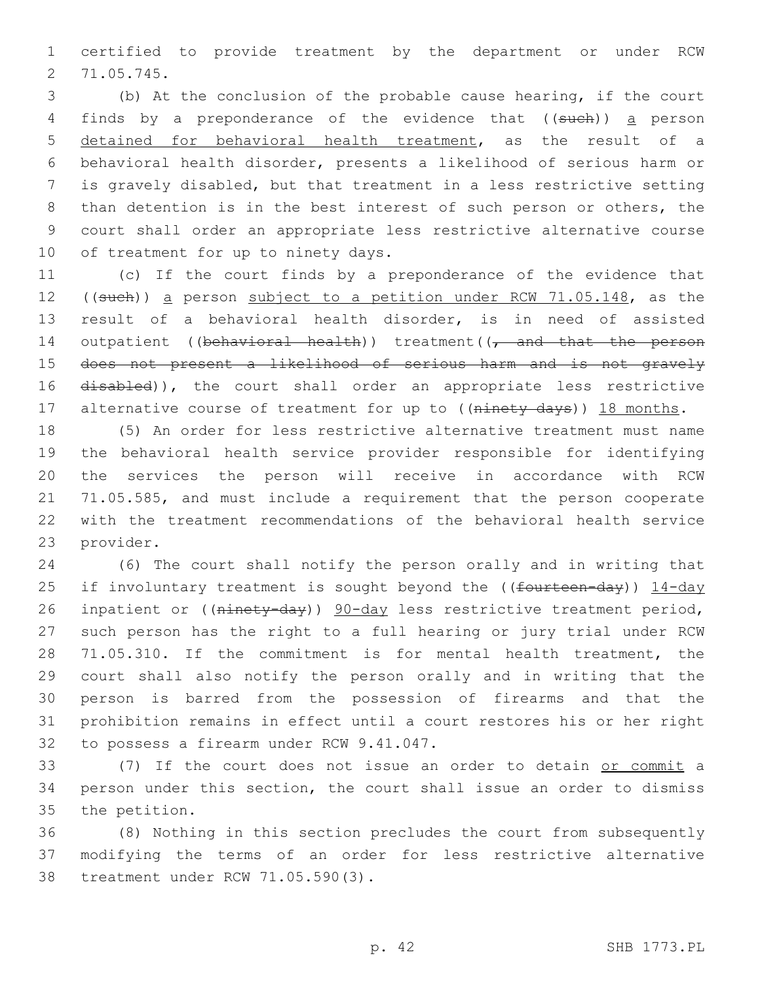certified to provide treatment by the department or under RCW 71.05.745.2

 (b) At the conclusion of the probable cause hearing, if the court 4 finds by a preponderance of the evidence that ((such)) a person detained for behavioral health treatment, as the result of a behavioral health disorder, presents a likelihood of serious harm or is gravely disabled, but that treatment in a less restrictive setting than detention is in the best interest of such person or others, the court shall order an appropriate less restrictive alternative course 10 of treatment for up to ninety days.

 (c) If the court finds by a preponderance of the evidence that 12 ((such)) a person subject to a petition under RCW 71.05.148, as the result of a behavioral health disorder, is in need of assisted 14 outpatient ((behavioral health)) treatment((, and that the person does not present a likelihood of serious harm and is not gravely 16 disabled)), the court shall order an appropriate less restrictive 17 alternative course of treatment for up to ((ninety days)) 18 months.

 (5) An order for less restrictive alternative treatment must name the behavioral health service provider responsible for identifying the services the person will receive in accordance with RCW 71.05.585, and must include a requirement that the person cooperate with the treatment recommendations of the behavioral health service 23 provider.

 (6) The court shall notify the person orally and in writing that 25 if involuntary treatment is sought beyond the ((fourteen-day)) 14-day 26 inpatient or ((ninety-day)) 90-day less restrictive treatment period, such person has the right to a full hearing or jury trial under RCW 71.05.310. If the commitment is for mental health treatment, the court shall also notify the person orally and in writing that the person is barred from the possession of firearms and that the prohibition remains in effect until a court restores his or her right 32 to possess a firearm under RCW 9.41.047.

 (7) If the court does not issue an order to detain or commit a person under this section, the court shall issue an order to dismiss 35 the petition.

 (8) Nothing in this section precludes the court from subsequently modifying the terms of an order for less restrictive alternative 38 treatment under RCW 71.05.590(3).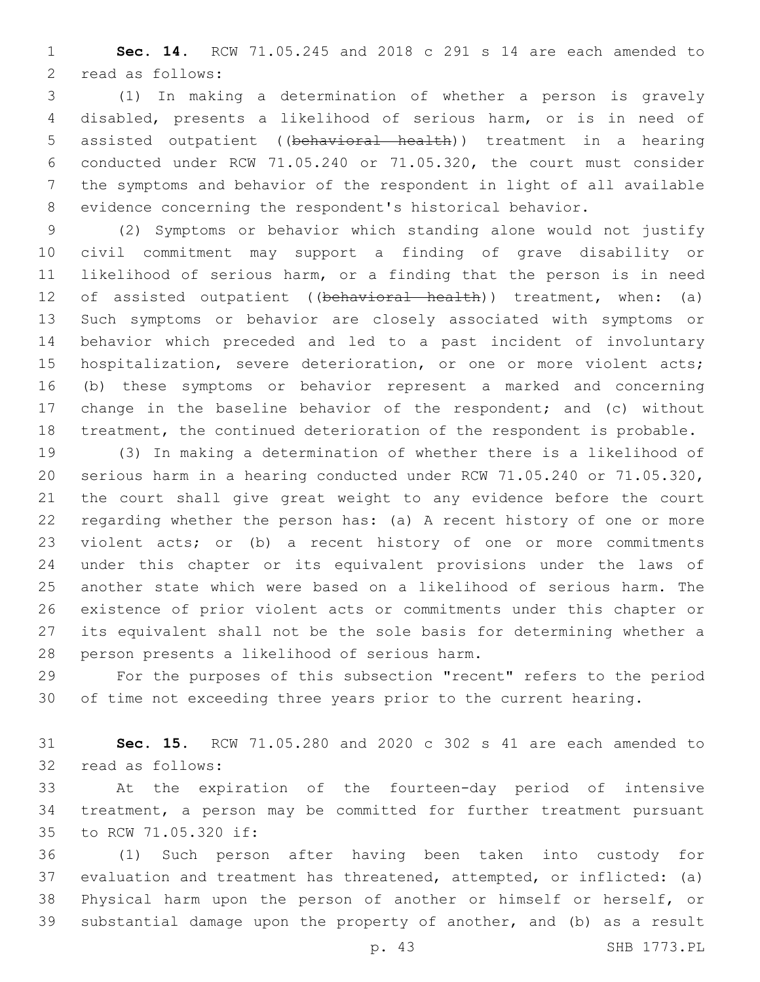**Sec. 14.** RCW 71.05.245 and 2018 c 291 s 14 are each amended to 2 read as follows:

 (1) In making a determination of whether a person is gravely disabled, presents a likelihood of serious harm, or is in need of assisted outpatient ((behavioral health)) treatment in a hearing conducted under RCW 71.05.240 or 71.05.320, the court must consider the symptoms and behavior of the respondent in light of all available evidence concerning the respondent's historical behavior.

 (2) Symptoms or behavior which standing alone would not justify civil commitment may support a finding of grave disability or likelihood of serious harm, or a finding that the person is in need 12 of assisted outpatient ((behavioral health)) treatment, when: (a) Such symptoms or behavior are closely associated with symptoms or behavior which preceded and led to a past incident of involuntary hospitalization, severe deterioration, or one or more violent acts; (b) these symptoms or behavior represent a marked and concerning change in the baseline behavior of the respondent; and (c) without treatment, the continued deterioration of the respondent is probable.

 (3) In making a determination of whether there is a likelihood of serious harm in a hearing conducted under RCW 71.05.240 or 71.05.320, the court shall give great weight to any evidence before the court regarding whether the person has: (a) A recent history of one or more violent acts; or (b) a recent history of one or more commitments under this chapter or its equivalent provisions under the laws of another state which were based on a likelihood of serious harm. The existence of prior violent acts or commitments under this chapter or its equivalent shall not be the sole basis for determining whether a 28 person presents a likelihood of serious harm.

 For the purposes of this subsection "recent" refers to the period of time not exceeding three years prior to the current hearing.

 **Sec. 15.** RCW 71.05.280 and 2020 c 302 s 41 are each amended to 32 read as follows:

 At the expiration of the fourteen-day period of intensive treatment, a person may be committed for further treatment pursuant 35 to RCW 71.05.320 if:

 (1) Such person after having been taken into custody for evaluation and treatment has threatened, attempted, or inflicted: (a) Physical harm upon the person of another or himself or herself, or substantial damage upon the property of another, and (b) as a result

p. 43 SHB 1773.PL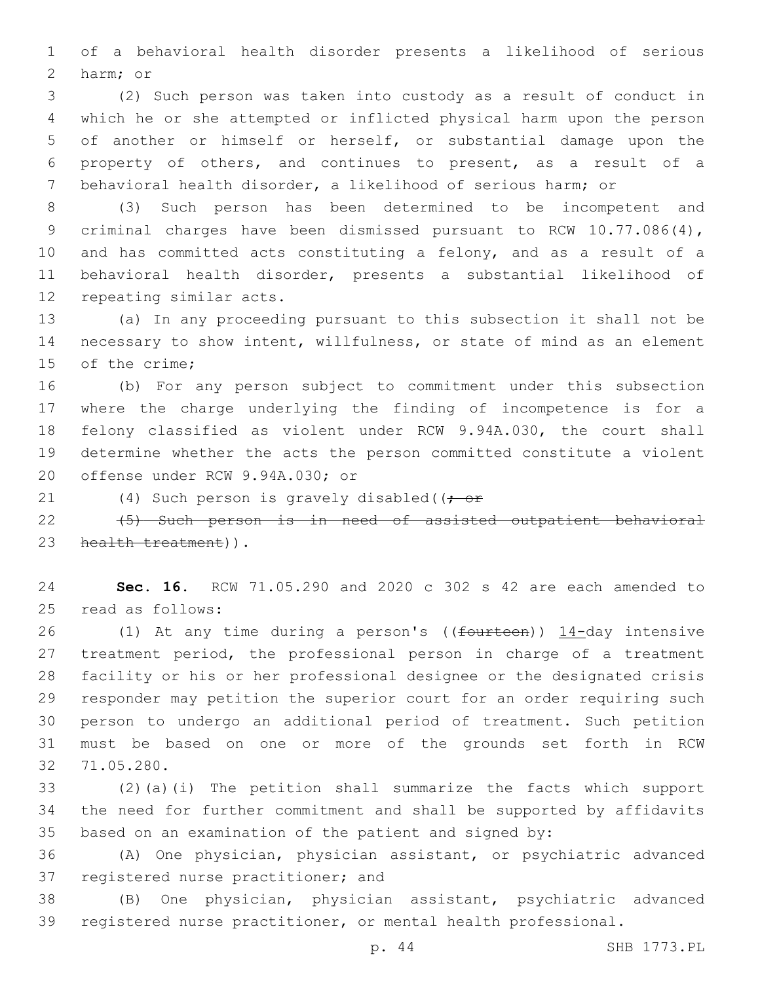of a behavioral health disorder presents a likelihood of serious 2 harm; or

 (2) Such person was taken into custody as a result of conduct in which he or she attempted or inflicted physical harm upon the person of another or himself or herself, or substantial damage upon the property of others, and continues to present, as a result of a behavioral health disorder, a likelihood of serious harm; or

 (3) Such person has been determined to be incompetent and criminal charges have been dismissed pursuant to RCW 10.77.086(4), and has committed acts constituting a felony, and as a result of a behavioral health disorder, presents a substantial likelihood of 12 repeating similar acts.

 (a) In any proceeding pursuant to this subsection it shall not be necessary to show intent, willfulness, or state of mind as an element 15 of the crime:

 (b) For any person subject to commitment under this subsection where the charge underlying the finding of incompetence is for a felony classified as violent under RCW 9.94A.030, the court shall determine whether the acts the person committed constitute a violent 20 offense under RCW 9.94A.030; or

21 (4) Such person is gravely disabled((; or

22 (5) Such person is in need of assisted outpatient behavioral 23 health treatment)).

 **Sec. 16.** RCW 71.05.290 and 2020 c 302 s 42 are each amended to 25 read as follows:

26 (1) At any time during a person's ((fourteen)) 14-day intensive treatment period, the professional person in charge of a treatment facility or his or her professional designee or the designated crisis responder may petition the superior court for an order requiring such person to undergo an additional period of treatment. Such petition must be based on one or more of the grounds set forth in RCW 71.05.280.32

 (2)(a)(i) The petition shall summarize the facts which support the need for further commitment and shall be supported by affidavits based on an examination of the patient and signed by:

 (A) One physician, physician assistant, or psychiatric advanced 37 registered nurse practitioner; and

 (B) One physician, physician assistant, psychiatric advanced registered nurse practitioner, or mental health professional.

p. 44 SHB 1773.PL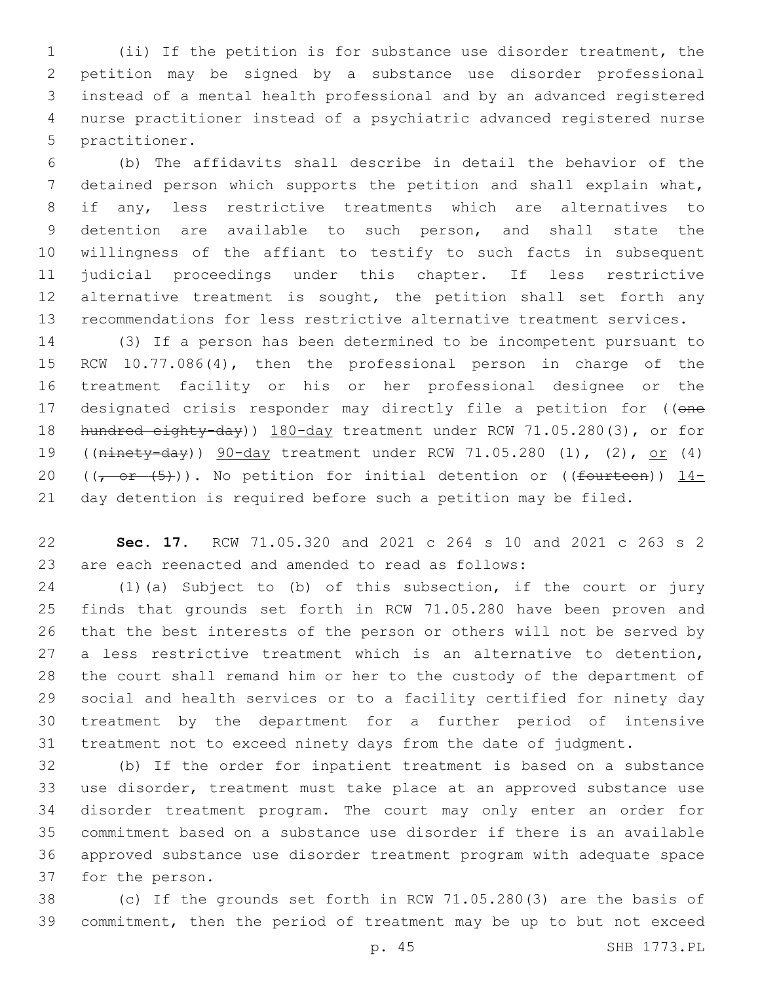(ii) If the petition is for substance use disorder treatment, the petition may be signed by a substance use disorder professional instead of a mental health professional and by an advanced registered nurse practitioner instead of a psychiatric advanced registered nurse 5 practitioner.

 (b) The affidavits shall describe in detail the behavior of the detained person which supports the petition and shall explain what, if any, less restrictive treatments which are alternatives to detention are available to such person, and shall state the willingness of the affiant to testify to such facts in subsequent judicial proceedings under this chapter. If less restrictive 12 alternative treatment is sought, the petition shall set forth any recommendations for less restrictive alternative treatment services.

 (3) If a person has been determined to be incompetent pursuant to RCW 10.77.086(4), then the professional person in charge of the treatment facility or his or her professional designee or the 17 designated crisis responder may directly file a petition for ((one 18 hundred eighty-day)) 180-day treatment under RCW 71.05.280(3), or for ((ninety-day)) 90-day treatment under RCW 71.05.280 (1), (2), or (4) 20 ( $(-$  or  $(5)$ )). No petition for initial detention or ((fourteen)) 14-day detention is required before such a petition may be filed.

 **Sec. 17.** RCW 71.05.320 and 2021 c 264 s 10 and 2021 c 263 s 2 are each reenacted and amended to read as follows:

 (1)(a) Subject to (b) of this subsection, if the court or jury finds that grounds set forth in RCW 71.05.280 have been proven and that the best interests of the person or others will not be served by a less restrictive treatment which is an alternative to detention, the court shall remand him or her to the custody of the department of social and health services or to a facility certified for ninety day treatment by the department for a further period of intensive treatment not to exceed ninety days from the date of judgment.

 (b) If the order for inpatient treatment is based on a substance use disorder, treatment must take place at an approved substance use disorder treatment program. The court may only enter an order for commitment based on a substance use disorder if there is an available approved substance use disorder treatment program with adequate space 37 for the person.

 (c) If the grounds set forth in RCW 71.05.280(3) are the basis of commitment, then the period of treatment may be up to but not exceed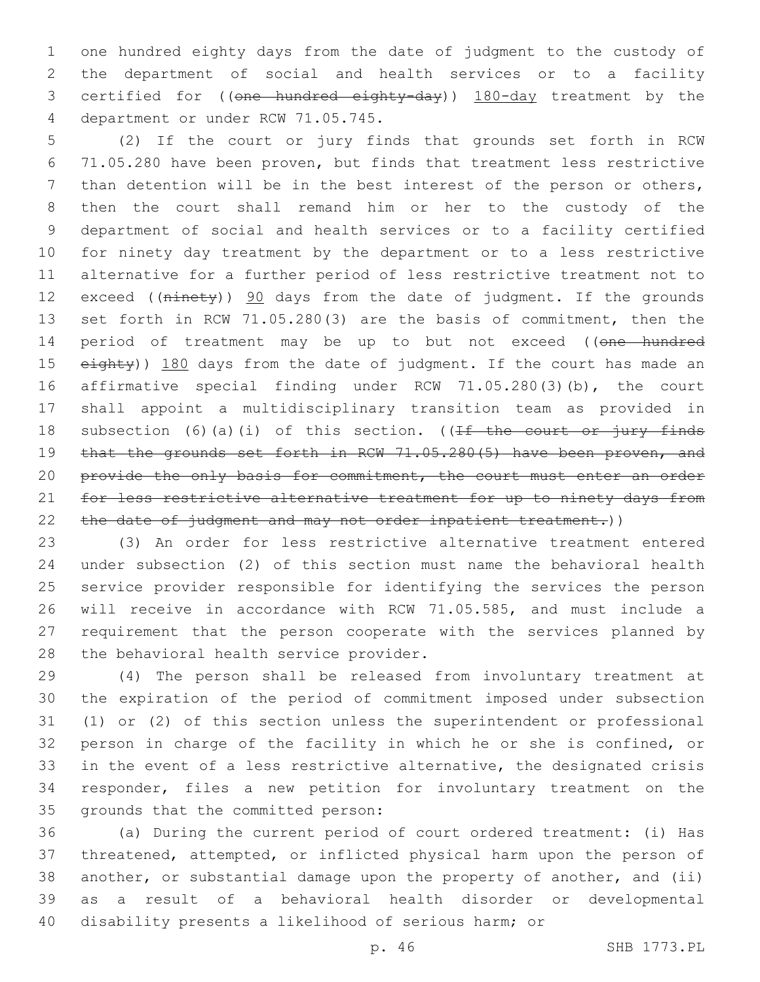one hundred eighty days from the date of judgment to the custody of the department of social and health services or to a facility certified for ((one hundred eighty-day)) 180-day treatment by the 4 department or under RCW 71.05.745.

 (2) If the court or jury finds that grounds set forth in RCW 71.05.280 have been proven, but finds that treatment less restrictive than detention will be in the best interest of the person or others, then the court shall remand him or her to the custody of the department of social and health services or to a facility certified for ninety day treatment by the department or to a less restrictive alternative for a further period of less restrictive treatment not to 12 exceed ((ninety)) 90 days from the date of judgment. If the grounds set forth in RCW 71.05.280(3) are the basis of commitment, then the 14 period of treatment may be up to but not exceed ((one hundred 15 eighty)) 180 days from the date of judgment. If the court has made an affirmative special finding under RCW 71.05.280(3)(b), the court shall appoint a multidisciplinary transition team as provided in 18 subsection (6)(a)(i) of this section. ((If the court or jury finds 19 that the grounds set forth in RCW 71.05.280(5) have been proven, and 20 provide the only basis for commitment, the court must enter an order for less restrictive alternative treatment for up to ninety days from 22 the date of judgment and may not order inpatient treatment.))

 (3) An order for less restrictive alternative treatment entered under subsection (2) of this section must name the behavioral health service provider responsible for identifying the services the person will receive in accordance with RCW 71.05.585, and must include a requirement that the person cooperate with the services planned by 28 the behavioral health service provider.

 (4) The person shall be released from involuntary treatment at the expiration of the period of commitment imposed under subsection (1) or (2) of this section unless the superintendent or professional person in charge of the facility in which he or she is confined, or in the event of a less restrictive alternative, the designated crisis responder, files a new petition for involuntary treatment on the 35 grounds that the committed person:

 (a) During the current period of court ordered treatment: (i) Has threatened, attempted, or inflicted physical harm upon the person of another, or substantial damage upon the property of another, and (ii) as a result of a behavioral health disorder or developmental disability presents a likelihood of serious harm; or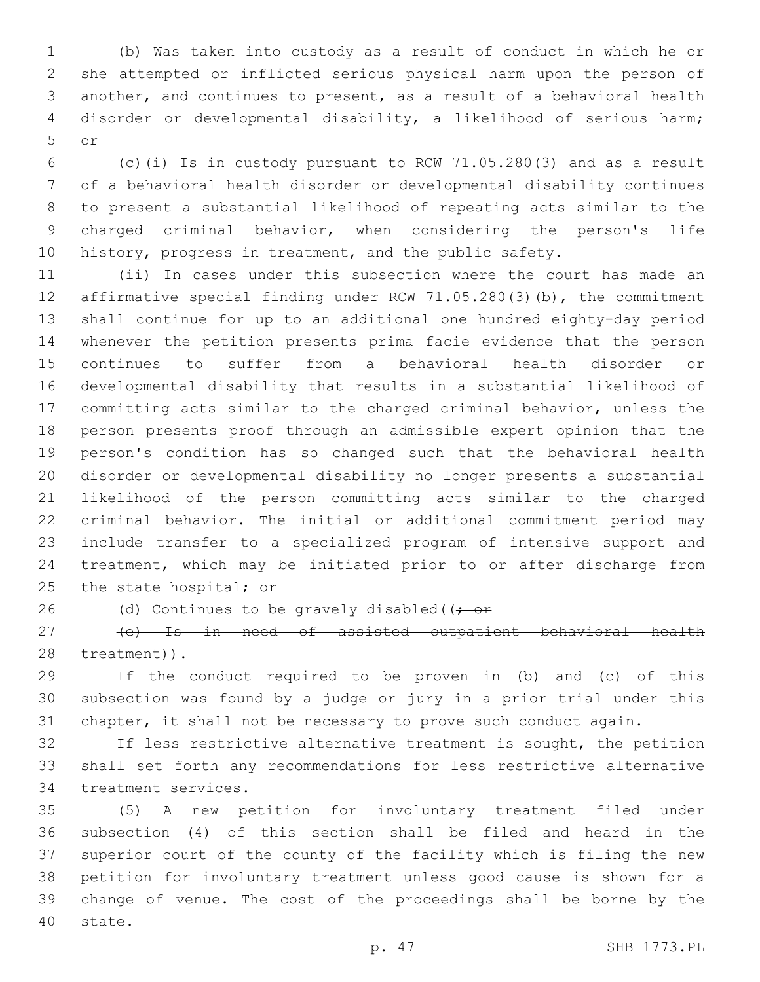(b) Was taken into custody as a result of conduct in which he or she attempted or inflicted serious physical harm upon the person of another, and continues to present, as a result of a behavioral health disorder or developmental disability, a likelihood of serious harm; or5

 (c)(i) Is in custody pursuant to RCW 71.05.280(3) and as a result of a behavioral health disorder or developmental disability continues to present a substantial likelihood of repeating acts similar to the charged criminal behavior, when considering the person's life history, progress in treatment, and the public safety.

 (ii) In cases under this subsection where the court has made an affirmative special finding under RCW 71.05.280(3)(b), the commitment shall continue for up to an additional one hundred eighty-day period whenever the petition presents prima facie evidence that the person continues to suffer from a behavioral health disorder or developmental disability that results in a substantial likelihood of committing acts similar to the charged criminal behavior, unless the person presents proof through an admissible expert opinion that the person's condition has so changed such that the behavioral health disorder or developmental disability no longer presents a substantial likelihood of the person committing acts similar to the charged criminal behavior. The initial or additional commitment period may include transfer to a specialized program of intensive support and treatment, which may be initiated prior to or after discharge from 25 the state hospital; or

26 (d) Continues to be gravely disabled( $(-e^+e^-)$ 

 (e) Is in need of assisted outpatient behavioral health 28 treatment)).

 If the conduct required to be proven in (b) and (c) of this subsection was found by a judge or jury in a prior trial under this chapter, it shall not be necessary to prove such conduct again.

 If less restrictive alternative treatment is sought, the petition shall set forth any recommendations for less restrictive alternative 34 treatment services.

 (5) A new petition for involuntary treatment filed under subsection (4) of this section shall be filed and heard in the superior court of the county of the facility which is filing the new petition for involuntary treatment unless good cause is shown for a change of venue. The cost of the proceedings shall be borne by the 40 state.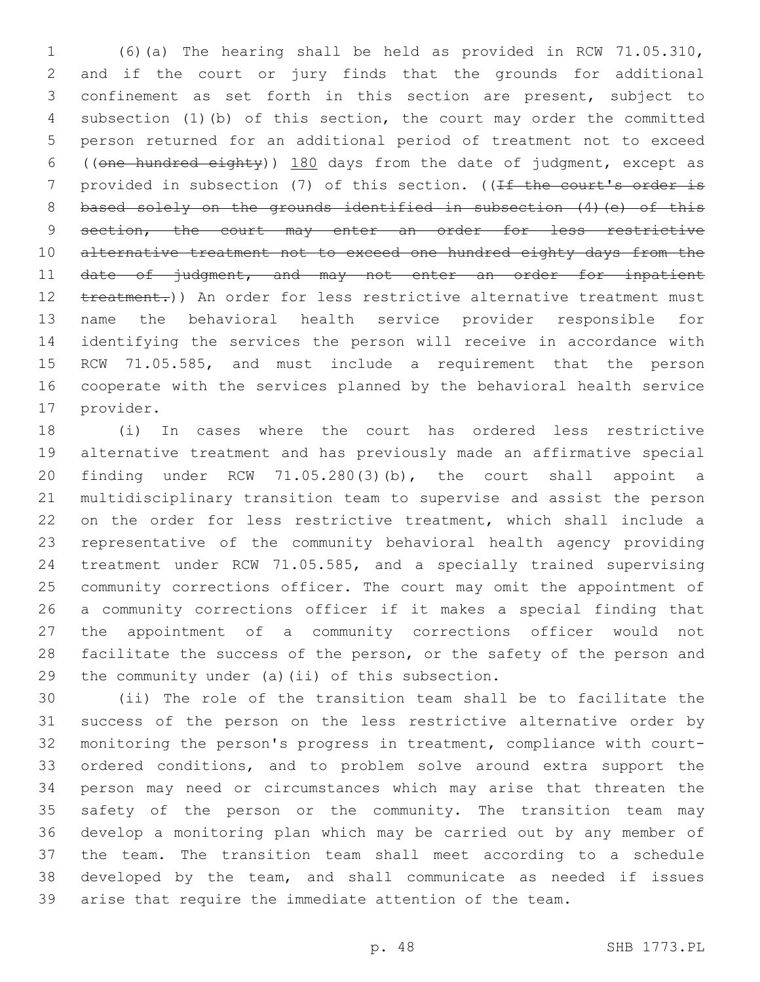(6)(a) The hearing shall be held as provided in RCW 71.05.310, and if the court or jury finds that the grounds for additional confinement as set forth in this section are present, subject to subsection (1)(b) of this section, the court may order the committed person returned for an additional period of treatment not to exceed ((one hundred eighty)) 180 days from the date of judgment, except as 7 provided in subsection (7) of this section. ((If the court's order is 8 based solely on the grounds identified in subsection (4) (e) of this 9 section, the court may enter an order for less restrictive 10 alternative treatment not to exceed one hundred eighty days from the 11 date of judgment, and may not enter an order for inpatient 12 treatment.)) An order for less restrictive alternative treatment must name the behavioral health service provider responsible for identifying the services the person will receive in accordance with RCW 71.05.585, and must include a requirement that the person cooperate with the services planned by the behavioral health service 17 provider.

 (i) In cases where the court has ordered less restrictive alternative treatment and has previously made an affirmative special finding under RCW 71.05.280(3)(b), the court shall appoint a multidisciplinary transition team to supervise and assist the person on the order for less restrictive treatment, which shall include a representative of the community behavioral health agency providing treatment under RCW 71.05.585, and a specially trained supervising community corrections officer. The court may omit the appointment of a community corrections officer if it makes a special finding that the appointment of a community corrections officer would not facilitate the success of the person, or the safety of the person and 29 the community under (a)(ii) of this subsection.

 (ii) The role of the transition team shall be to facilitate the success of the person on the less restrictive alternative order by monitoring the person's progress in treatment, compliance with court- ordered conditions, and to problem solve around extra support the person may need or circumstances which may arise that threaten the safety of the person or the community. The transition team may develop a monitoring plan which may be carried out by any member of the team. The transition team shall meet according to a schedule developed by the team, and shall communicate as needed if issues arise that require the immediate attention of the team.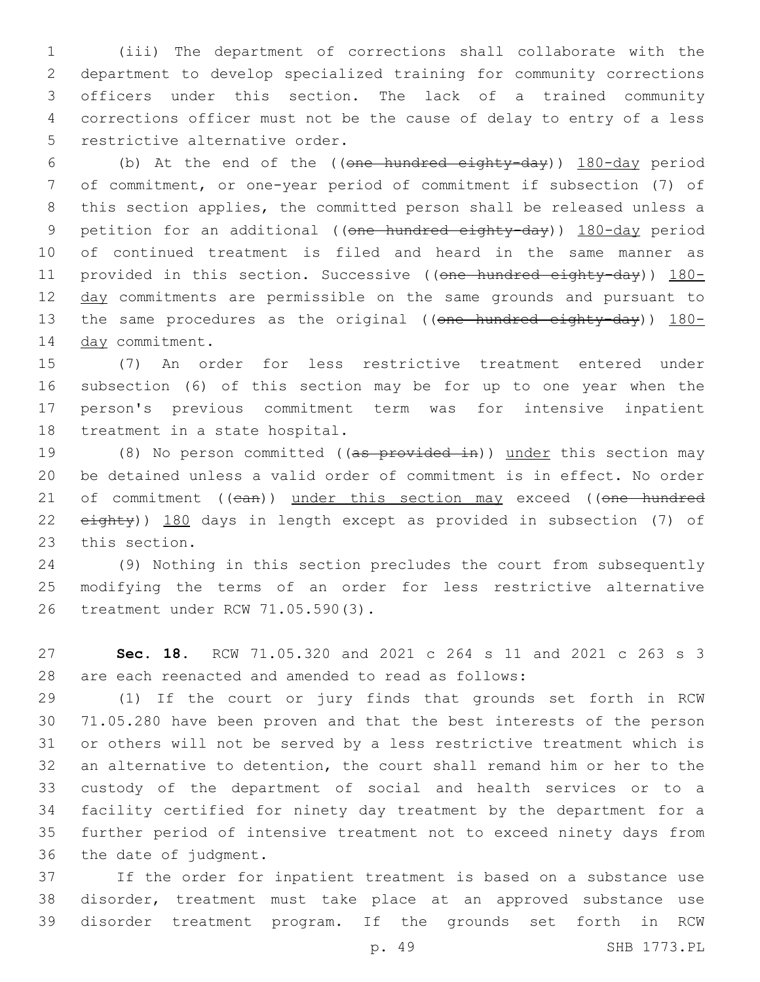(iii) The department of corrections shall collaborate with the department to develop specialized training for community corrections officers under this section. The lack of a trained community corrections officer must not be the cause of delay to entry of a less 5 restrictive alternative order.

 (b) At the end of the ((one hundred eighty-day)) 180-day period of commitment, or one-year period of commitment if subsection (7) of this section applies, the committed person shall be released unless a 9 petition for an additional ((one hundred eighty-day)) 180-day period of continued treatment is filed and heard in the same manner as 11 provided in this section. Successive ((one hundred eighty-day)) 180-12 day commitments are permissible on the same grounds and pursuant to 13 the same procedures as the original ((one hundred eighty-day)) 180-14 day commitment.

 (7) An order for less restrictive treatment entered under subsection (6) of this section may be for up to one year when the person's previous commitment term was for intensive inpatient 18 treatment in a state hospital.

19 (8) No person committed ((as provided in)) under this section may be detained unless a valid order of commitment is in effect. No order 21 of commitment ((can)) under this section may exceed ((one hundred 22 eighty)) 180 days in length except as provided in subsection (7) of 23 this section.

 (9) Nothing in this section precludes the court from subsequently modifying the terms of an order for less restrictive alternative 26 treatment under RCW 71.05.590(3).

 **Sec. 18.** RCW 71.05.320 and 2021 c 264 s 11 and 2021 c 263 s 3 are each reenacted and amended to read as follows:

 (1) If the court or jury finds that grounds set forth in RCW 71.05.280 have been proven and that the best interests of the person or others will not be served by a less restrictive treatment which is an alternative to detention, the court shall remand him or her to the custody of the department of social and health services or to a facility certified for ninety day treatment by the department for a further period of intensive treatment not to exceed ninety days from 36 the date of judgment.

 If the order for inpatient treatment is based on a substance use disorder, treatment must take place at an approved substance use disorder treatment program. If the grounds set forth in RCW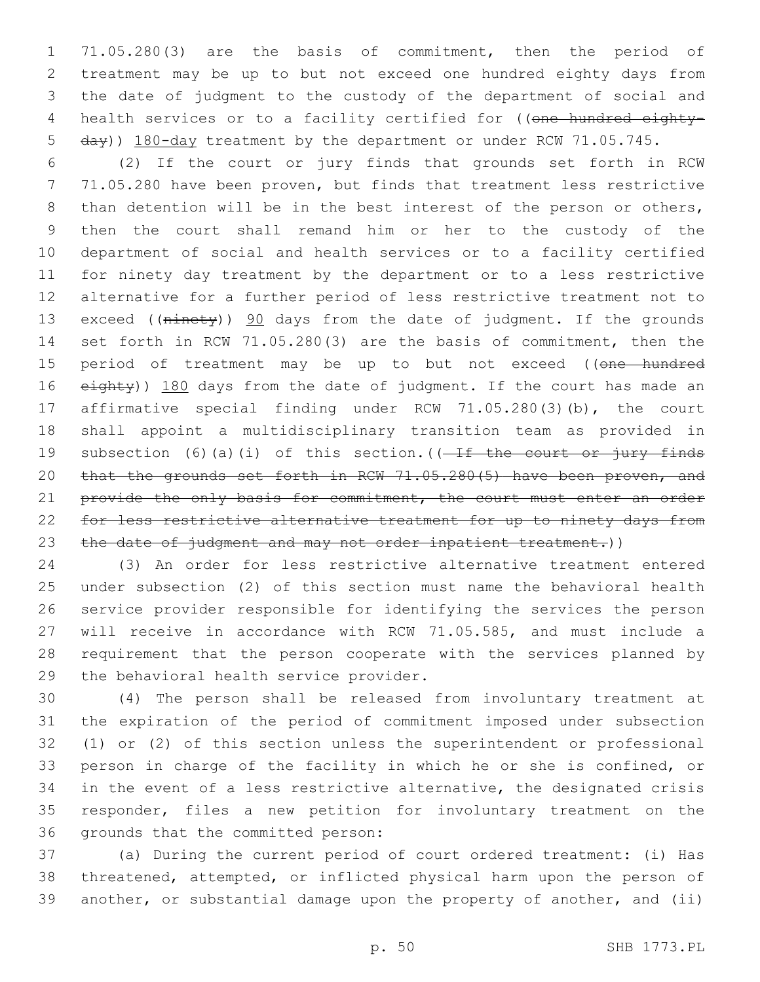71.05.280(3) are the basis of commitment, then the period of treatment may be up to but not exceed one hundred eighty days from the date of judgment to the custody of the department of social and 4 health services or to a facility certified for ((one hundred eighty-day)) 180-day treatment by the department or under RCW 71.05.745.

 (2) If the court or jury finds that grounds set forth in RCW 71.05.280 have been proven, but finds that treatment less restrictive 8 than detention will be in the best interest of the person or others, then the court shall remand him or her to the custody of the department of social and health services or to a facility certified for ninety day treatment by the department or to a less restrictive alternative for a further period of less restrictive treatment not to 13 exceed ((ninety)) 90 days from the date of judgment. If the grounds set forth in RCW 71.05.280(3) are the basis of commitment, then the 15 period of treatment may be up to but not exceed ((one hundred 16 eighty)) 180 days from the date of judgment. If the court has made an affirmative special finding under RCW 71.05.280(3)(b), the court shall appoint a multidisciplinary transition team as provided in 19 subsection (6)(a)(i) of this section.( $(-If$  the court or jury finds that the grounds set forth in RCW 71.05.280(5) have been proven, and 21 provide the only basis for commitment, the court must enter an order 22 for less restrictive alternative treatment for up to ninety days from 23 the date of judgment and may not order inpatient treatment.))

 (3) An order for less restrictive alternative treatment entered under subsection (2) of this section must name the behavioral health service provider responsible for identifying the services the person will receive in accordance with RCW 71.05.585, and must include a requirement that the person cooperate with the services planned by 29 the behavioral health service provider.

 (4) The person shall be released from involuntary treatment at the expiration of the period of commitment imposed under subsection (1) or (2) of this section unless the superintendent or professional person in charge of the facility in which he or she is confined, or in the event of a less restrictive alternative, the designated crisis responder, files a new petition for involuntary treatment on the 36 grounds that the committed person:

 (a) During the current period of court ordered treatment: (i) Has threatened, attempted, or inflicted physical harm upon the person of another, or substantial damage upon the property of another, and (ii)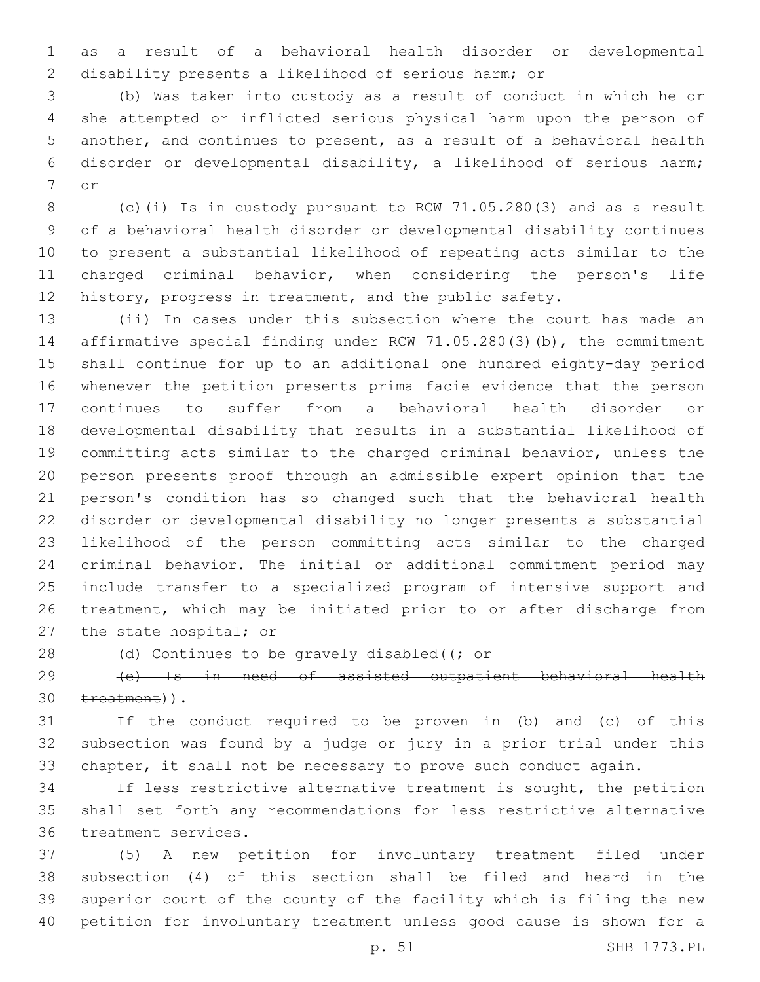as a result of a behavioral health disorder or developmental disability presents a likelihood of serious harm; or

 (b) Was taken into custody as a result of conduct in which he or she attempted or inflicted serious physical harm upon the person of another, and continues to present, as a result of a behavioral health disorder or developmental disability, a likelihood of serious harm; 7 or

 (c)(i) Is in custody pursuant to RCW 71.05.280(3) and as a result of a behavioral health disorder or developmental disability continues to present a substantial likelihood of repeating acts similar to the charged criminal behavior, when considering the person's life history, progress in treatment, and the public safety.

 (ii) In cases under this subsection where the court has made an affirmative special finding under RCW 71.05.280(3)(b), the commitment shall continue for up to an additional one hundred eighty-day period whenever the petition presents prima facie evidence that the person continues to suffer from a behavioral health disorder or developmental disability that results in a substantial likelihood of committing acts similar to the charged criminal behavior, unless the person presents proof through an admissible expert opinion that the person's condition has so changed such that the behavioral health disorder or developmental disability no longer presents a substantial likelihood of the person committing acts similar to the charged criminal behavior. The initial or additional commitment period may include transfer to a specialized program of intensive support and treatment, which may be initiated prior to or after discharge from 27 the state hospital; or

28 (d) Continues to be gravely disabled( $(-e^+e^-)$ 

 (e) Is in need of assisted outpatient behavioral health 30 treatment)).

 If the conduct required to be proven in (b) and (c) of this subsection was found by a judge or jury in a prior trial under this chapter, it shall not be necessary to prove such conduct again.

 If less restrictive alternative treatment is sought, the petition shall set forth any recommendations for less restrictive alternative 36 treatment services.

 (5) A new petition for involuntary treatment filed under subsection (4) of this section shall be filed and heard in the superior court of the county of the facility which is filing the new petition for involuntary treatment unless good cause is shown for a

p. 51 SHB 1773.PL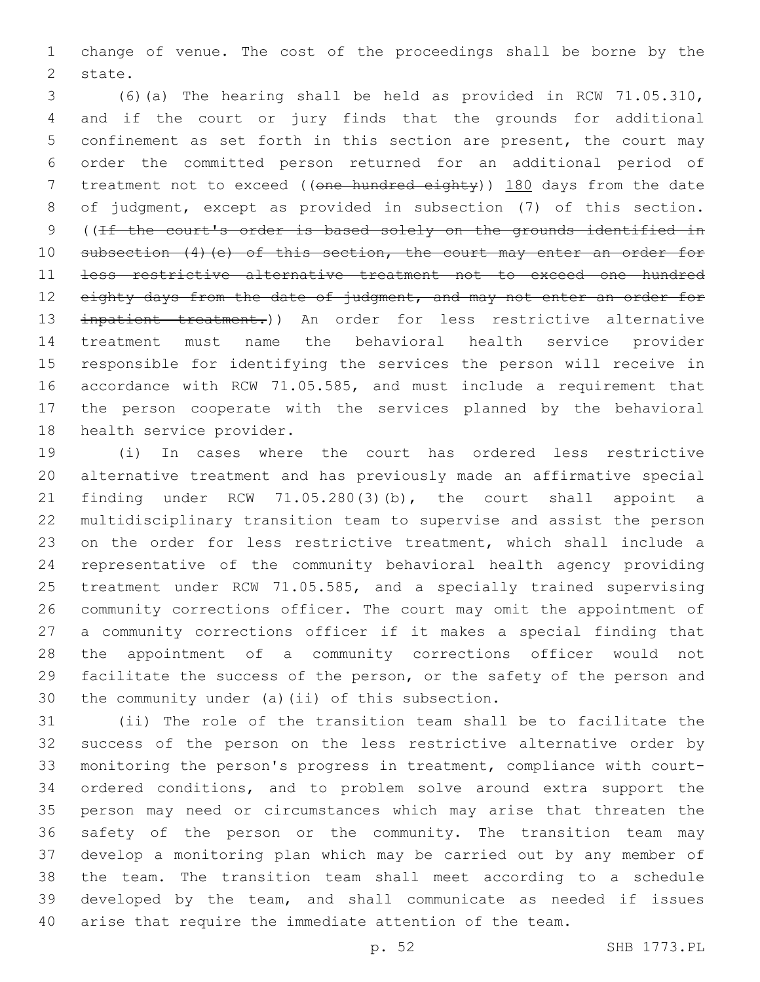change of venue. The cost of the proceedings shall be borne by the 2 state.

 (6)(a) The hearing shall be held as provided in RCW 71.05.310, and if the court or jury finds that the grounds for additional confinement as set forth in this section are present, the court may order the committed person returned for an additional period of 7 treatment not to exceed ((one hundred eighty)) 180 days from the date of judgment, except as provided in subsection (7) of this section. ((If the court's order is based solely on the grounds identified in 10 subsection (4) (e) of this section, the court may enter an order for less restrictive alternative treatment not to exceed one hundred 12 eighty days from the date of judgment, and may not enter an order for inpatient treatment.)) An order for less restrictive alternative treatment must name the behavioral health service provider responsible for identifying the services the person will receive in accordance with RCW 71.05.585, and must include a requirement that the person cooperate with the services planned by the behavioral 18 health service provider.

 (i) In cases where the court has ordered less restrictive alternative treatment and has previously made an affirmative special finding under RCW 71.05.280(3)(b), the court shall appoint a multidisciplinary transition team to supervise and assist the person on the order for less restrictive treatment, which shall include a representative of the community behavioral health agency providing treatment under RCW 71.05.585, and a specially trained supervising community corrections officer. The court may omit the appointment of a community corrections officer if it makes a special finding that the appointment of a community corrections officer would not facilitate the success of the person, or the safety of the person and 30 the community under (a)(ii) of this subsection.

 (ii) The role of the transition team shall be to facilitate the success of the person on the less restrictive alternative order by monitoring the person's progress in treatment, compliance with court- ordered conditions, and to problem solve around extra support the person may need or circumstances which may arise that threaten the safety of the person or the community. The transition team may develop a monitoring plan which may be carried out by any member of the team. The transition team shall meet according to a schedule developed by the team, and shall communicate as needed if issues arise that require the immediate attention of the team.

p. 52 SHB 1773.PL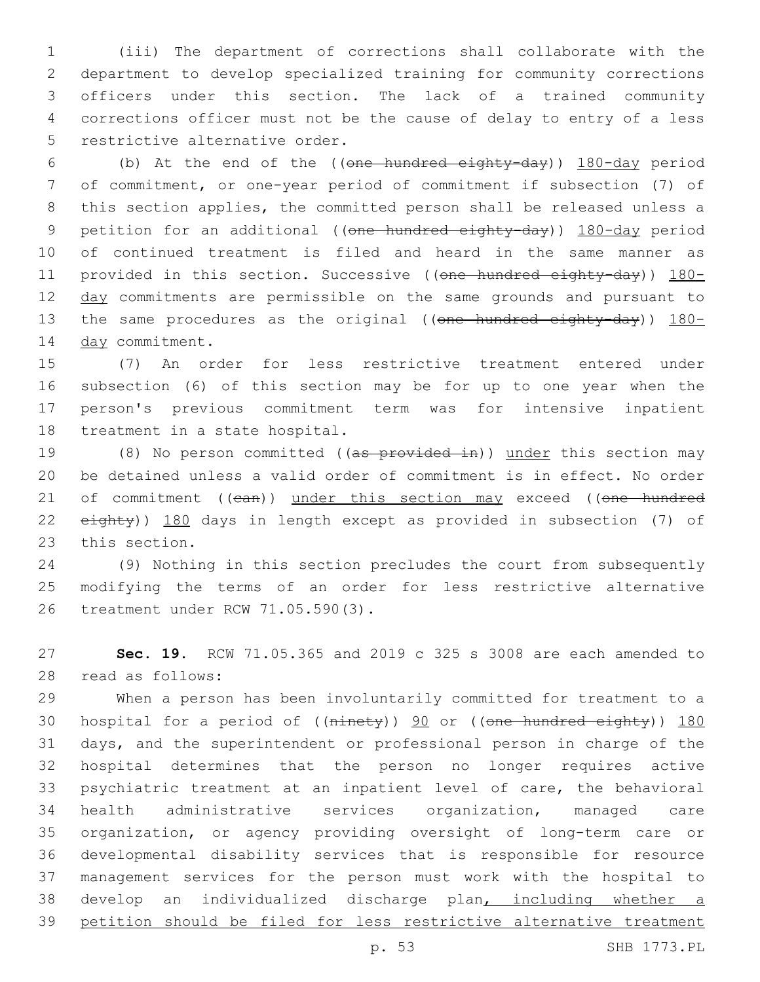(iii) The department of corrections shall collaborate with the department to develop specialized training for community corrections officers under this section. The lack of a trained community corrections officer must not be the cause of delay to entry of a less 5 restrictive alternative order.

 (b) At the end of the ((one hundred eighty-day)) 180-day period of commitment, or one-year period of commitment if subsection (7) of this section applies, the committed person shall be released unless a 9 petition for an additional ((one hundred eighty-day)) 180-day period of continued treatment is filed and heard in the same manner as 11 provided in this section. Successive ((one hundred eighty-day)) 180-12 day commitments are permissible on the same grounds and pursuant to 13 the same procedures as the original ((one hundred eighty-day)) 180-14 day commitment.

 (7) An order for less restrictive treatment entered under subsection (6) of this section may be for up to one year when the person's previous commitment term was for intensive inpatient 18 treatment in a state hospital.

19 (8) No person committed ((as provided in)) under this section may be detained unless a valid order of commitment is in effect. No order 21 of commitment ((can)) under this section may exceed ((one hundred eighty)) 180 days in length except as provided in subsection (7) of 23 this section.

 (9) Nothing in this section precludes the court from subsequently modifying the terms of an order for less restrictive alternative 26 treatment under RCW 71.05.590(3).

 **Sec. 19.** RCW 71.05.365 and 2019 c 325 s 3008 are each amended to read as follows:28

 When a person has been involuntarily committed for treatment to a 30 hospital for a period of ((ninety)) 90 or ((one hundred eighty)) 180 days, and the superintendent or professional person in charge of the hospital determines that the person no longer requires active psychiatric treatment at an inpatient level of care, the behavioral health administrative services organization, managed care organization, or agency providing oversight of long-term care or developmental disability services that is responsible for resource management services for the person must work with the hospital to develop an individualized discharge plan, including whether a petition should be filed for less restrictive alternative treatment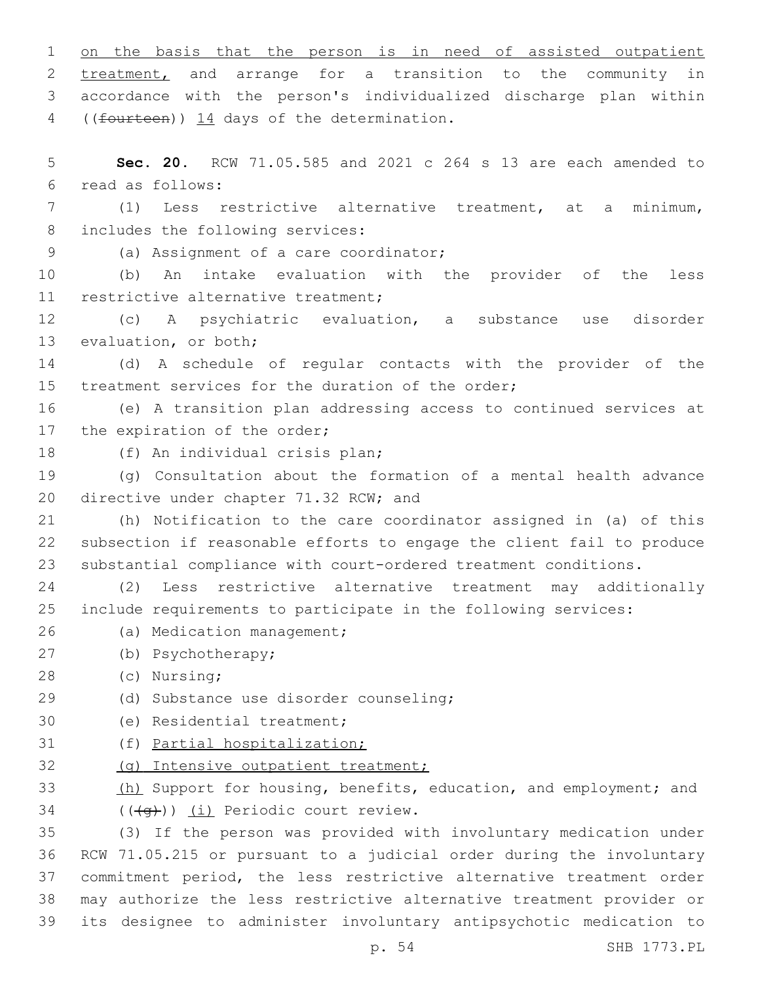1 on the basis that the person is in need of assisted outpatient 2 treatment, and arrange for a transition to the community in 3 accordance with the person's individualized discharge plan within 4 ((fourteen)) 14 days of the determination. 5 **Sec. 20.** RCW 71.05.585 and 2021 c 264 s 13 are each amended to read as follows:6 7 (1) Less restrictive alternative treatment, at a minimum, 8 includes the following services: (a) Assignment of a care coordinator;9 10 (b) An intake evaluation with the provider of the less 11 restrictive alternative treatment; 12 (c) A psychiatric evaluation, a substance use disorder 13 evaluation, or both; 14 (d) A schedule of regular contacts with the provider of the 15 treatment services for the duration of the order;

16 (e) A transition plan addressing access to continued services at 17 the expiration of the order;

18 (f) An individual crisis plan;

19 (g) Consultation about the formation of a mental health advance 20 directive under chapter 71.32 RCW; and

21 (h) Notification to the care coordinator assigned in (a) of this 22 subsection if reasonable efforts to engage the client fail to produce 23 substantial compliance with court-ordered treatment conditions.

24 (2) Less restrictive alternative treatment may additionally 25 include requirements to participate in the following services:

- 26 (a) Medication management;
- (b) Psychotherapy;27
- (c) Nursing;28
- (d) Substance use disorder counseling;29
- 30 (e) Residential treatment;
- 31 (f) Partial hospitalization;
- 32 (g) Intensive outpatient treatment;

33 (h) Support for housing, benefits, education, and employment; and  $($  $((\neg \rightarrow))$   $(i)$  Periodic court review.

 (3) If the person was provided with involuntary medication under RCW 71.05.215 or pursuant to a judicial order during the involuntary commitment period, the less restrictive alternative treatment order may authorize the less restrictive alternative treatment provider or its designee to administer involuntary antipsychotic medication to

p. 54 SHB 1773.PL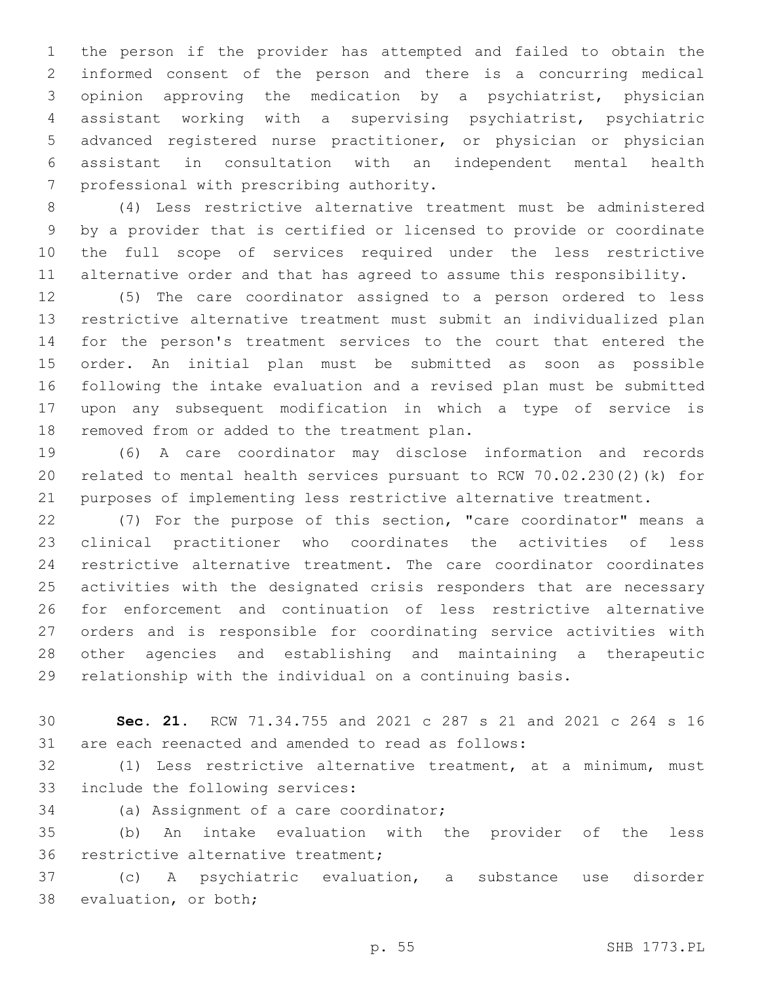the person if the provider has attempted and failed to obtain the informed consent of the person and there is a concurring medical opinion approving the medication by a psychiatrist, physician assistant working with a supervising psychiatrist, psychiatric advanced registered nurse practitioner, or physician or physician assistant in consultation with an independent mental health 7 professional with prescribing authority.

 (4) Less restrictive alternative treatment must be administered by a provider that is certified or licensed to provide or coordinate the full scope of services required under the less restrictive alternative order and that has agreed to assume this responsibility.

 (5) The care coordinator assigned to a person ordered to less restrictive alternative treatment must submit an individualized plan for the person's treatment services to the court that entered the order. An initial plan must be submitted as soon as possible following the intake evaluation and a revised plan must be submitted upon any subsequent modification in which a type of service is 18 removed from or added to the treatment plan.

 (6) A care coordinator may disclose information and records related to mental health services pursuant to RCW 70.02.230(2)(k) for purposes of implementing less restrictive alternative treatment.

 (7) For the purpose of this section, "care coordinator" means a clinical practitioner who coordinates the activities of less restrictive alternative treatment. The care coordinator coordinates activities with the designated crisis responders that are necessary for enforcement and continuation of less restrictive alternative orders and is responsible for coordinating service activities with other agencies and establishing and maintaining a therapeutic relationship with the individual on a continuing basis.

 **Sec. 21.** RCW 71.34.755 and 2021 c 287 s 21 and 2021 c 264 s 16 are each reenacted and amended to read as follows:

 (1) Less restrictive alternative treatment, at a minimum, must 33 include the following services:

34 (a) Assignment of a care coordinator;

 (b) An intake evaluation with the provider of the less 36 restrictive alternative treatment;

 (c) A psychiatric evaluation, a substance use disorder 38 evaluation, or both;

p. 55 SHB 1773.PL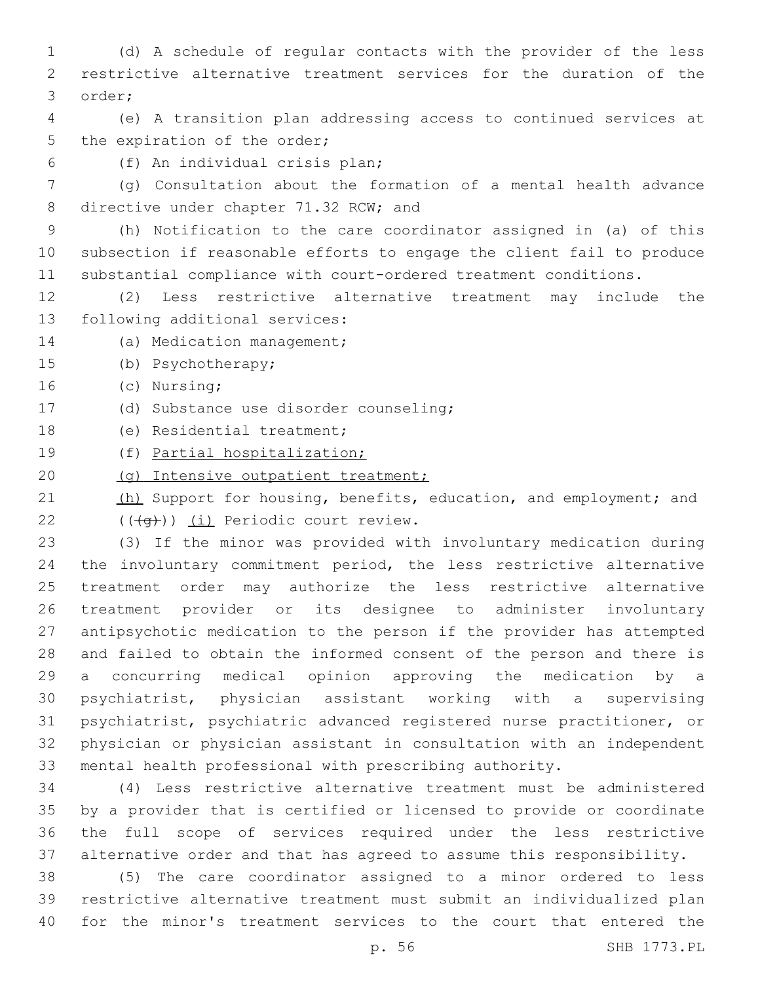(d) A schedule of regular contacts with the provider of the less restrictive alternative treatment services for the duration of the 3 order;

 (e) A transition plan addressing access to continued services at 5 the expiration of the order;

(f) An individual crisis plan;6

 (g) Consultation about the formation of a mental health advance 8 directive under chapter 71.32 RCW; and

 (h) Notification to the care coordinator assigned in (a) of this subsection if reasonable efforts to engage the client fail to produce substantial compliance with court-ordered treatment conditions.

 (2) Less restrictive alternative treatment may include the 13 following additional services:

14 (a) Medication management;

15 (b) Psychotherapy;

16 (c) Nursing;

(d) Substance use disorder counseling;17

18 (e) Residential treatment;

(f) Partial hospitalization;

20 (g) Intensive outpatient treatment;

21 (h) Support for housing, benefits, education, and employment; and  $(4a)$ ) (i) Periodic court review.

 (3) If the minor was provided with involuntary medication during the involuntary commitment period, the less restrictive alternative treatment order may authorize the less restrictive alternative treatment provider or its designee to administer involuntary antipsychotic medication to the person if the provider has attempted and failed to obtain the informed consent of the person and there is a concurring medical opinion approving the medication by a psychiatrist, physician assistant working with a supervising psychiatrist, psychiatric advanced registered nurse practitioner, or physician or physician assistant in consultation with an independent mental health professional with prescribing authority.

 (4) Less restrictive alternative treatment must be administered by a provider that is certified or licensed to provide or coordinate the full scope of services required under the less restrictive alternative order and that has agreed to assume this responsibility.

 (5) The care coordinator assigned to a minor ordered to less restrictive alternative treatment must submit an individualized plan for the minor's treatment services to the court that entered the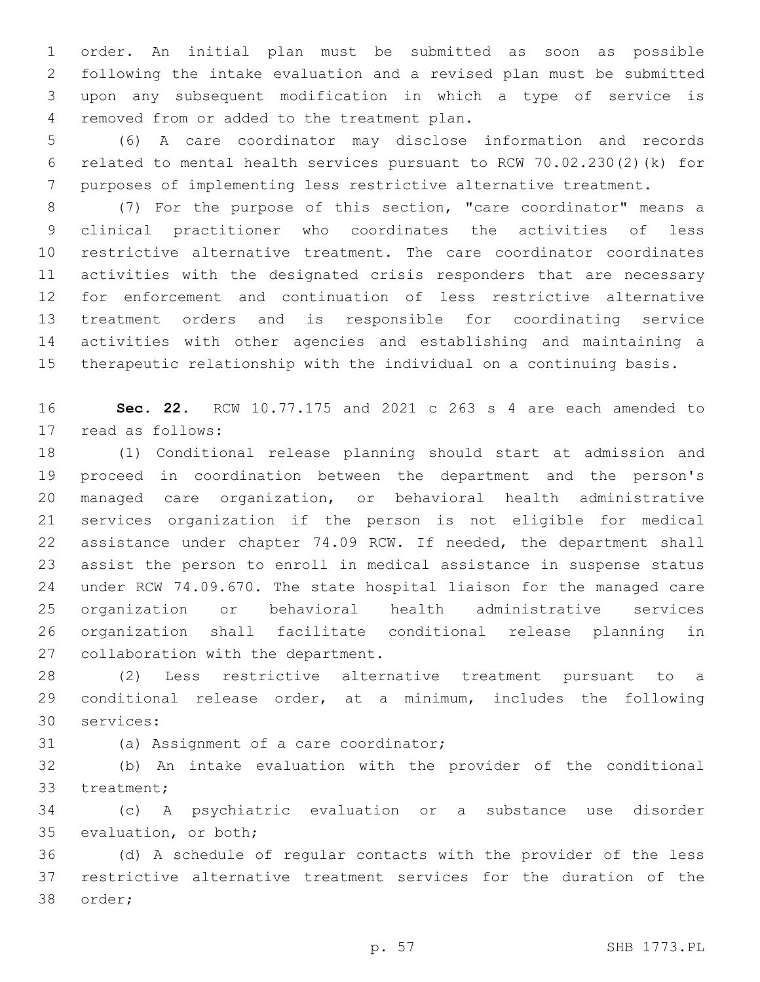order. An initial plan must be submitted as soon as possible following the intake evaluation and a revised plan must be submitted upon any subsequent modification in which a type of service is removed from or added to the treatment plan.4

 (6) A care coordinator may disclose information and records related to mental health services pursuant to RCW 70.02.230(2)(k) for purposes of implementing less restrictive alternative treatment.

 (7) For the purpose of this section, "care coordinator" means a clinical practitioner who coordinates the activities of less restrictive alternative treatment. The care coordinator coordinates activities with the designated crisis responders that are necessary for enforcement and continuation of less restrictive alternative treatment orders and is responsible for coordinating service activities with other agencies and establishing and maintaining a therapeutic relationship with the individual on a continuing basis.

 **Sec. 22.** RCW 10.77.175 and 2021 c 263 s 4 are each amended to 17 read as follows:

 (1) Conditional release planning should start at admission and proceed in coordination between the department and the person's managed care organization, or behavioral health administrative services organization if the person is not eligible for medical assistance under chapter 74.09 RCW. If needed, the department shall assist the person to enroll in medical assistance in suspense status under RCW 74.09.670. The state hospital liaison for the managed care organization or behavioral health administrative services organization shall facilitate conditional release planning in 27 collaboration with the department.

 (2) Less restrictive alternative treatment pursuant to a conditional release order, at a minimum, includes the following 30 services:

31 (a) Assignment of a care coordinator;

 (b) An intake evaluation with the provider of the conditional 33 treatment;

 (c) A psychiatric evaluation or a substance use disorder 35 evaluation, or both;

 (d) A schedule of regular contacts with the provider of the less restrictive alternative treatment services for the duration of the 38 order;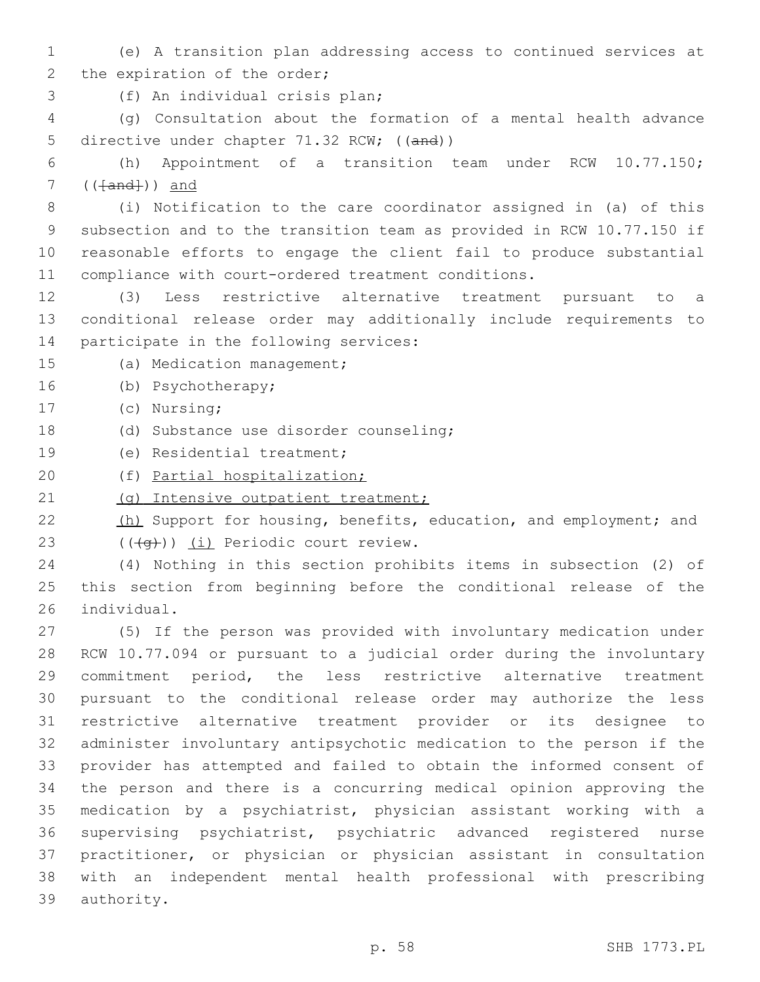- (e) A transition plan addressing access to continued services at 2 the expiration of the order;
- (f) An individual crisis plan;3

 (g) Consultation about the formation of a mental health advance 5 directive under chapter 71.32 RCW; ((and))

 (h) Appointment of a transition team under RCW 10.77.150; ( $(Hand+)$ ) and

 (i) Notification to the care coordinator assigned in (a) of this subsection and to the transition team as provided in RCW 10.77.150 if reasonable efforts to engage the client fail to produce substantial compliance with court-ordered treatment conditions.

- (3) Less restrictive alternative treatment pursuant to a conditional release order may additionally include requirements to 14 participate in the following services:
- 15 (a) Medication management;
- 16 (b) Psychotherapy;
- 17 (c) Nursing;
- (d) Substance use disorder counseling;18
- 19 (e) Residential treatment;
- (f) Partial hospitalization;

21 (g) Intensive outpatient treatment;

- 22 (h) Support for housing, benefits, education, and employment; and 23  $((\overline{q}))(\underline{i})$  Periodic court review.
- (4) Nothing in this section prohibits items in subsection (2) of this section from beginning before the conditional release of the 26 individual.

 (5) If the person was provided with involuntary medication under RCW 10.77.094 or pursuant to a judicial order during the involuntary commitment period, the less restrictive alternative treatment pursuant to the conditional release order may authorize the less restrictive alternative treatment provider or its designee to administer involuntary antipsychotic medication to the person if the provider has attempted and failed to obtain the informed consent of the person and there is a concurring medical opinion approving the medication by a psychiatrist, physician assistant working with a supervising psychiatrist, psychiatric advanced registered nurse practitioner, or physician or physician assistant in consultation with an independent mental health professional with prescribing 39 authority.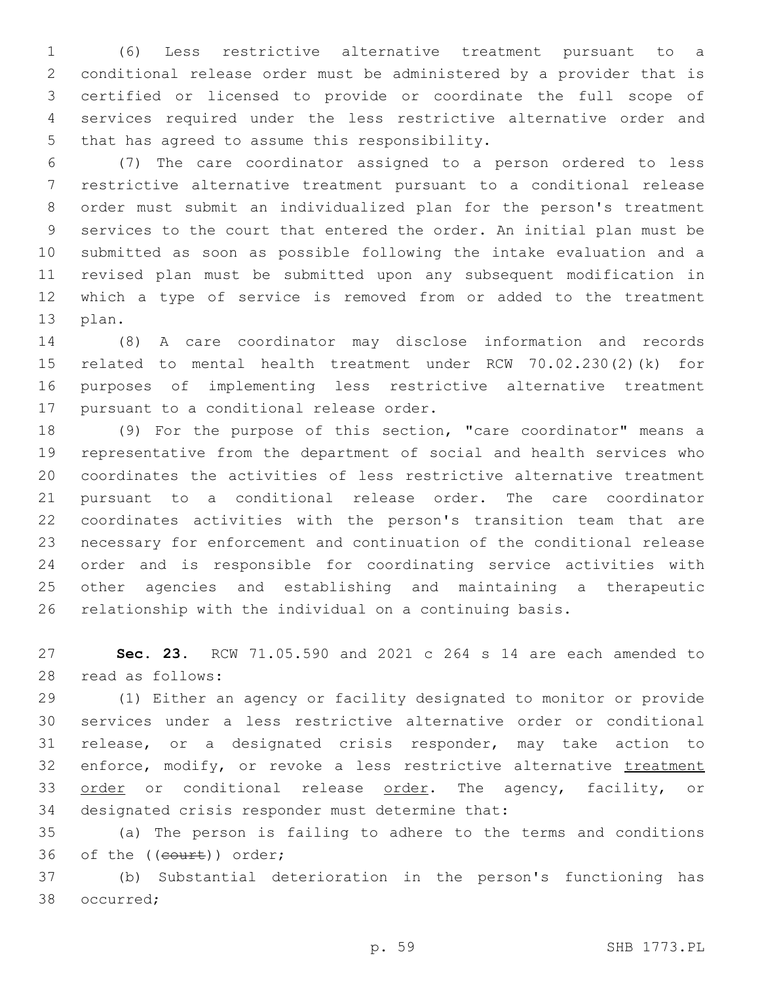(6) Less restrictive alternative treatment pursuant to a conditional release order must be administered by a provider that is certified or licensed to provide or coordinate the full scope of services required under the less restrictive alternative order and 5 that has agreed to assume this responsibility.

 (7) The care coordinator assigned to a person ordered to less restrictive alternative treatment pursuant to a conditional release order must submit an individualized plan for the person's treatment services to the court that entered the order. An initial plan must be submitted as soon as possible following the intake evaluation and a revised plan must be submitted upon any subsequent modification in which a type of service is removed from or added to the treatment 13 plan.

 (8) A care coordinator may disclose information and records related to mental health treatment under RCW 70.02.230(2)(k) for purposes of implementing less restrictive alternative treatment 17 pursuant to a conditional release order.

 (9) For the purpose of this section, "care coordinator" means a representative from the department of social and health services who coordinates the activities of less restrictive alternative treatment pursuant to a conditional release order. The care coordinator coordinates activities with the person's transition team that are necessary for enforcement and continuation of the conditional release order and is responsible for coordinating service activities with other agencies and establishing and maintaining a therapeutic relationship with the individual on a continuing basis.

 **Sec. 23.** RCW 71.05.590 and 2021 c 264 s 14 are each amended to read as follows:28

 (1) Either an agency or facility designated to monitor or provide services under a less restrictive alternative order or conditional release, or a designated crisis responder, may take action to 32 enforce, modify, or revoke a less restrictive alternative treatment 33 order or conditional release order. The agency, facility, or 34 designated crisis responder must determine that:

 (a) The person is failing to adhere to the terms and conditions 36 of the ((court)) order;

 (b) Substantial deterioration in the person's functioning has 38 occurred;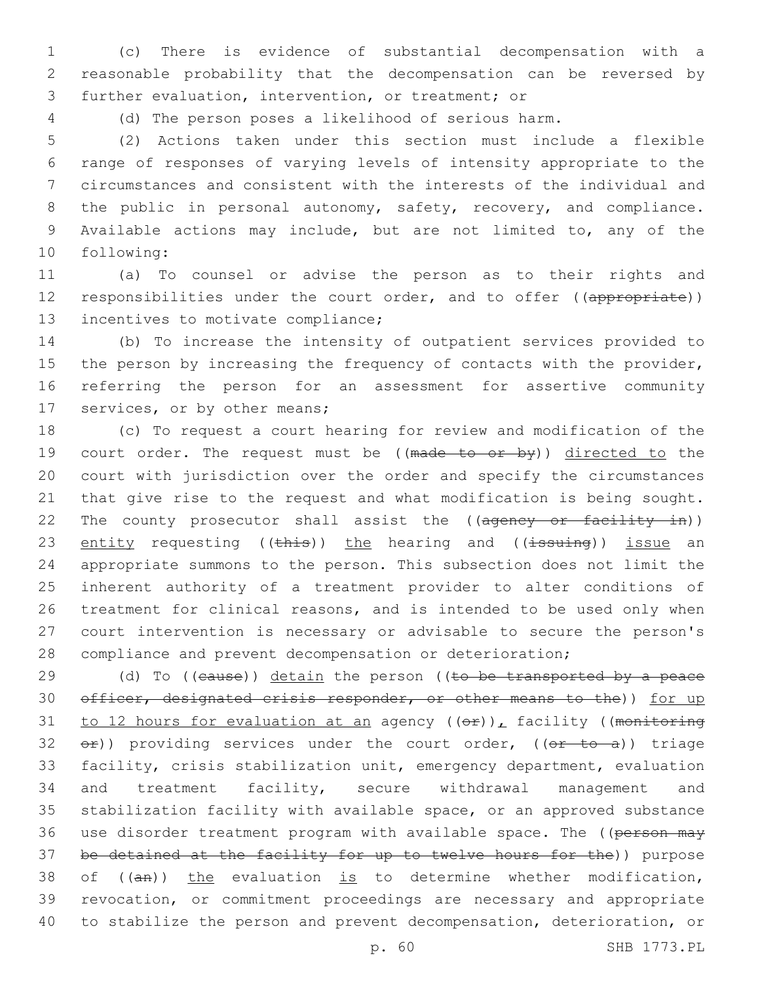1 (c) There is evidence of substantial decompensation with a 2 reasonable probability that the decompensation can be reversed by 3 further evaluation, intervention, or treatment; or

4 (d) The person poses a likelihood of serious harm.

 (2) Actions taken under this section must include a flexible range of responses of varying levels of intensity appropriate to the circumstances and consistent with the interests of the individual and 8 the public in personal autonomy, safety, recovery, and compliance. Available actions may include, but are not limited to, any of the 10 following:

11 (a) To counsel or advise the person as to their rights and 12 responsibilities under the court order, and to offer ((appropriate)) 13 incentives to motivate compliance;

14 (b) To increase the intensity of outpatient services provided to 15 the person by increasing the frequency of contacts with the provider, 16 referring the person for an assessment for assertive community 17 services, or by other means;

 (c) To request a court hearing for review and modification of the 19 court order. The request must be ((made to or by)) directed to the court with jurisdiction over the order and specify the circumstances that give rise to the request and what modification is being sought. 22 The county prosecutor shall assist the ((ageney or facility in)) 23 entity requesting (( $\frac{1}{2}$ ) the hearing and (( $\frac{1}{3}$ suing)) issue an appropriate summons to the person. This subsection does not limit the inherent authority of a treatment provider to alter conditions of treatment for clinical reasons, and is intended to be used only when court intervention is necessary or advisable to secure the person's compliance and prevent decompensation or deterioration;

 $(d)$  To ((eause)) detain the person ((to be transported by a peace 30 officer, designated crisis responder, or other means to the)) for up 31 to 12 hours for evaluation at an agency  $((\theta \cdot \hat{r}))_L$  facility ((monitoring  $e^{\pm}$ ) providing services under the court order, (( $e^{\pm}$  to a)) triage facility, crisis stabilization unit, emergency department, evaluation and treatment facility, secure withdrawal management and stabilization facility with available space, or an approved substance 36 use disorder treatment program with available space. The ((person may be detained at the facility for up to twelve hours for the)) purpose 38 of  $((an))$  the evaluation is to determine whether modification, revocation, or commitment proceedings are necessary and appropriate to stabilize the person and prevent decompensation, deterioration, or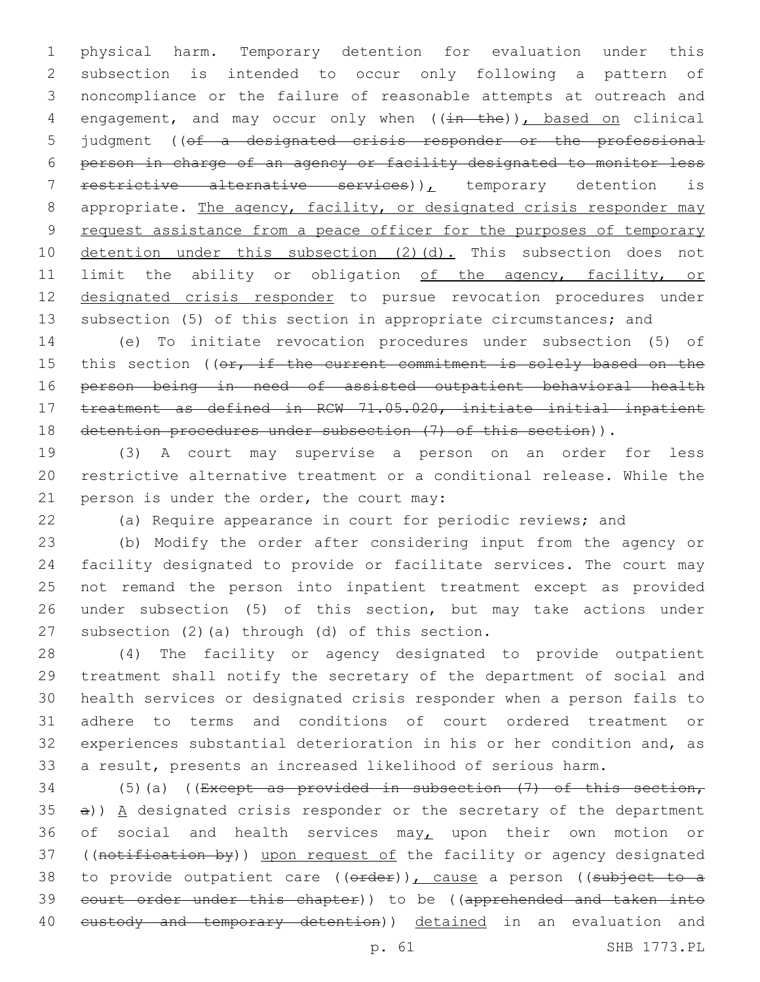physical harm. Temporary detention for evaluation under this subsection is intended to occur only following a pattern of noncompliance or the failure of reasonable attempts at outreach and 4 engagement, and may occur only when ((in the)), based on clinical judgment ((of a designated crisis responder or the professional person in charge of an agency or facility designated to monitor less 7 restrictive alternative services)), temporary detention is 8 appropriate. The agency, facility, or designated crisis responder may 9 request assistance from a peace officer for the purposes of temporary 10 detention under this subsection (2)(d). This subsection does not 11 limit the ability or obligation of the agency, facility, or designated crisis responder to pursue revocation procedures under subsection (5) of this section in appropriate circumstances; and

 (e) To initiate revocation procedures under subsection (5) of 15 this section ((or, if the current commitment is solely based on the person being in need of assisted outpatient behavioral health treatment as defined in RCW 71.05.020, initiate initial inpatient detention procedures under subsection (7) of this section)).

 (3) A court may supervise a person on an order for less restrictive alternative treatment or a conditional release. While the 21 person is under the order, the court may:

(a) Require appearance in court for periodic reviews; and

 (b) Modify the order after considering input from the agency or facility designated to provide or facilitate services. The court may not remand the person into inpatient treatment except as provided under subsection (5) of this section, but may take actions under 27 subsection  $(2)$  (a) through  $(d)$  of this section.

 (4) The facility or agency designated to provide outpatient treatment shall notify the secretary of the department of social and health services or designated crisis responder when a person fails to adhere to terms and conditions of court ordered treatment or experiences substantial deterioration in his or her condition and, as a result, presents an increased likelihood of serious harm.

34 (5)(a) ((Except as provided in subsection  $(7)$  of this section, a))  $A$  designated crisis responder or the secretary of the department 36 of social and health services may, upon their own motion or 37 ((notification by)) upon request of the facility or agency designated 38 to provide outpatient care ((order)), cause a person ((subject to a court order under this chapter)) to be ((apprehended and taken into 40 eustody and temporary detention)) detained in an evaluation and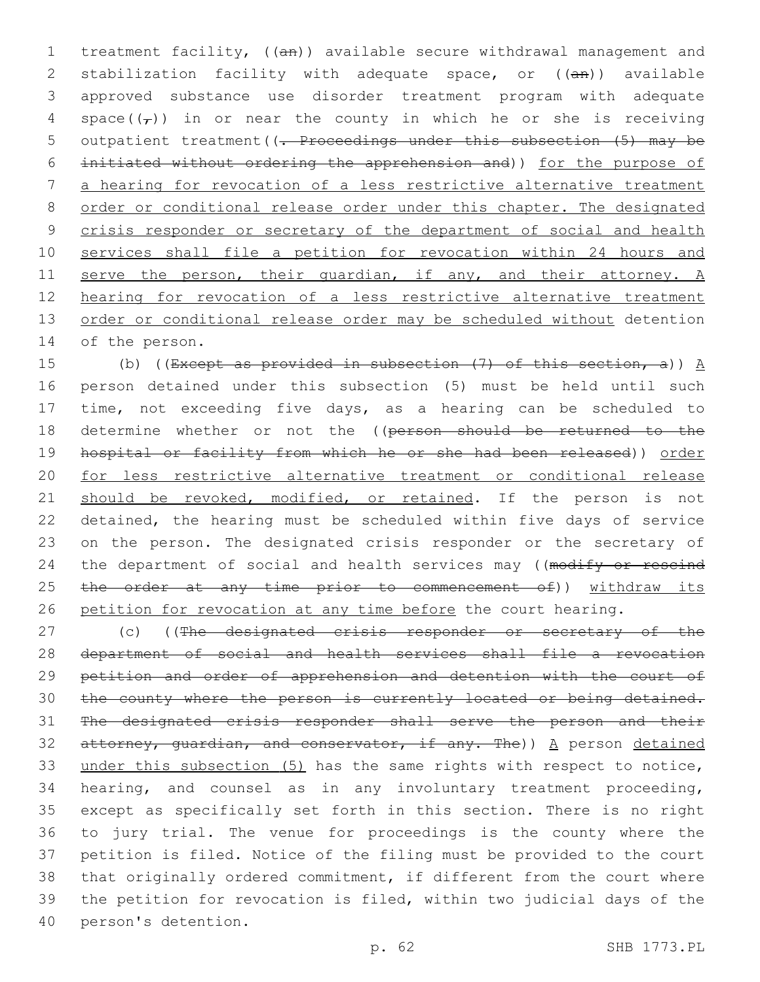1 treatment facility, ((an)) available secure withdrawal management and 2 stabilization facility with adequate space, or ((an)) available 3 approved substance use disorder treatment program with adequate 4 space( $(\tau)$ ) in or near the county in which he or she is receiving 5 outpatient treatment ((. Proceedings under this subsection (5) may be 6 initiated without ordering the apprehension and)) for the purpose of 7 a hearing for revocation of a less restrictive alternative treatment 8 order or conditional release order under this chapter. The designated 9 crisis responder or secretary of the department of social and health 10 services shall file a petition for revocation within 24 hours and 11 serve the person, their quardian, if any, and their attorney. A 12 hearing for revocation of a less restrictive alternative treatment 13 order or conditional release order may be scheduled without detention 14 of the person.

15 (b) ((Except as provided in subsection  $(7)$  of this section, a))  $\underline{A}$ 16 person detained under this subsection (5) must be held until such 17 time, not exceeding five days, as a hearing can be scheduled to 18 determine whether or not the ((person should be returned to the 19 hospital or facility from which he or she had been released)) order 20 for less restrictive alternative treatment or conditional release 21 should be revoked, modified, or retained. If the person is not 22 detained, the hearing must be scheduled within five days of service 23 on the person. The designated crisis responder or the secretary of 24 the department of social and health services may ((modify or rescind 25 the order at any time prior to commencement of)) withdraw its 26 petition for revocation at any time before the court hearing.

27 (c) ((The designated crisis responder or secretary of the department of social and health services shall file a revocation petition and order of apprehension and detention with the court of 30 the county where the person is currently located or being detained. The designated crisis responder shall serve the person and their 32 attorney, quardian, and conservator, if any. The))  $A$  person detained under this subsection (5) has the same rights with respect to notice, hearing, and counsel as in any involuntary treatment proceeding, except as specifically set forth in this section. There is no right to jury trial. The venue for proceedings is the county where the petition is filed. Notice of the filing must be provided to the court that originally ordered commitment, if different from the court where the petition for revocation is filed, within two judicial days of the 40 person's detention.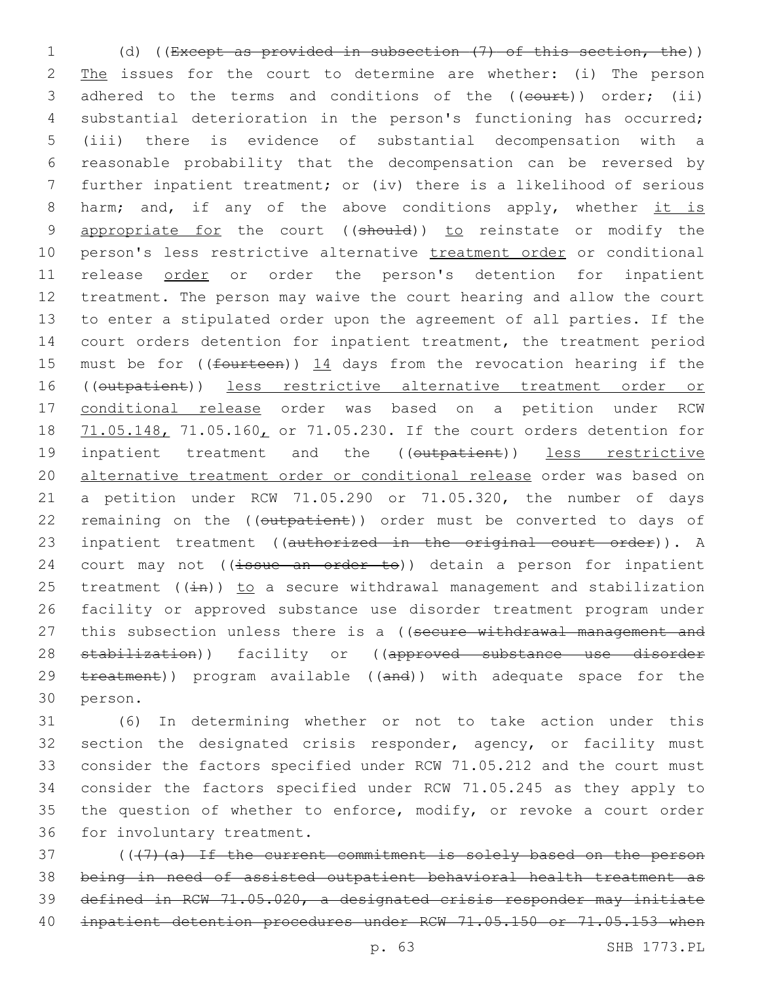1 (d) ((Except as provided in subsection (7) of this section, the)) 2 The issues for the court to determine are whether: (i) The person 3 adhered to the terms and conditions of the ((court)) order; (ii) 4 substantial deterioration in the person's functioning has occurred; 5 (iii) there is evidence of substantial decompensation with a 6 reasonable probability that the decompensation can be reversed by 7 further inpatient treatment; or (iv) there is a likelihood of serious 8 harm; and, if any of the above conditions apply, whether it is 9 appropriate for the court ((should)) to reinstate or modify the 10 person's less restrictive alternative treatment order or conditional 11 release order or order the person's detention for inpatient 12 treatment. The person may waive the court hearing and allow the court 13 to enter a stipulated order upon the agreement of all parties. If the 14 court orders detention for inpatient treatment, the treatment period 15 must be for ((fourteen)) 14 days from the revocation hearing if the 16 ((outpatient)) less restrictive alternative treatment order or 17 conditional release order was based on a petition under RCW 18 71.05.148, 71.05.160, or 71.05.230. If the court orders detention for 19 inpatient treatment and the ((outpatient)) less restrictive 20 alternative treatment order or conditional release order was based on 21 a petition under RCW 71.05.290 or 71.05.320, the number of days 22 remaining on the ((outpatient)) order must be converted to days of 23 inpatient treatment ((authorized in the original court order)). A 24 court may not  $((\frac{1}{15} + \frac{1}{15})$  detain a person for inpatient 25 treatment ( $(i+n)$ ) to a secure withdrawal management and stabilization 26 facility or approved substance use disorder treatment program under 27 this subsection unless there is a ((secure withdrawal management and 28 stabilization)) facility or ((approved substance use disorder 29 treatment)) program available ((and)) with adequate space for the 30 person.

31 (6) In determining whether or not to take action under this 32 section the designated crisis responder, agency, or facility must 33 consider the factors specified under RCW 71.05.212 and the court must 34 consider the factors specified under RCW 71.05.245 as they apply to 35 the question of whether to enforce, modify, or revoke a court order 36 for involuntary treatment.

37 (((7)(a) If the current commitment is solely based on the person 38 being in need of assisted outpatient behavioral health treatment as 39 defined in RCW 71.05.020, a designated crisis responder may initiate 40 inpatient detention procedures under RCW 71.05.150 or 71.05.153 when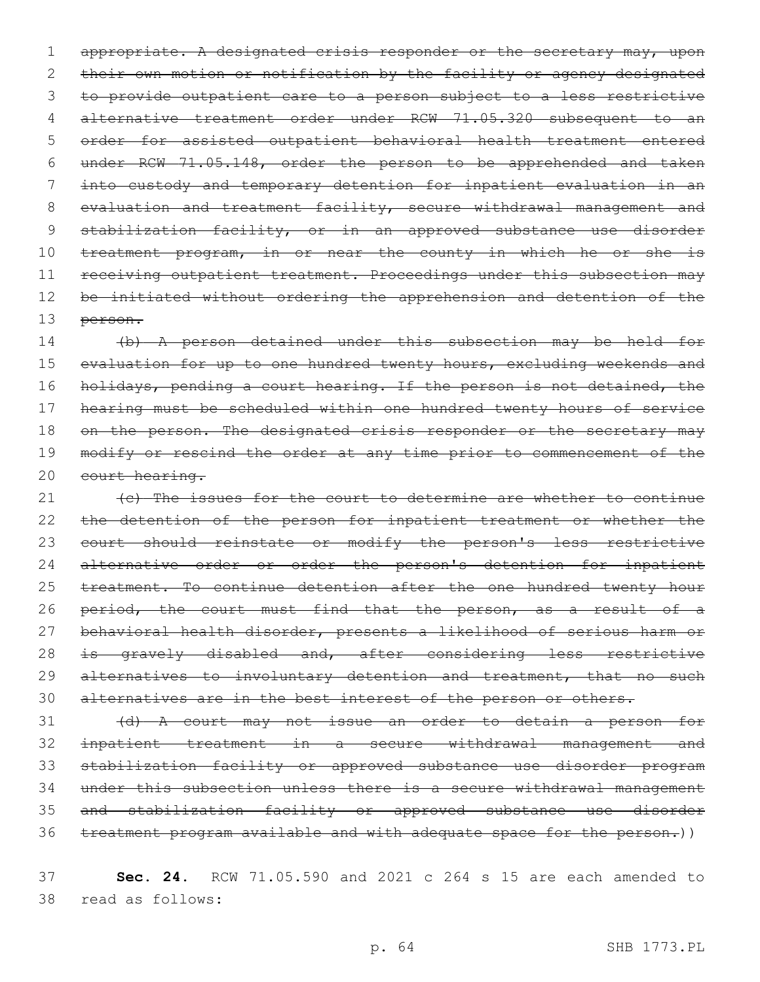1 appropriate. A designated crisis responder or the secretary may, upon 2 their own motion or notification by the facility or agency designated 3 to provide outpatient care to a person subject to a less restrictive 4 alternative treatment order under RCW 71.05.320 subsequent to an 5 order for assisted outpatient behavioral health treatment entered 6 under RCW 71.05.148, order the person to be apprehended and taken 7 into custody and temporary detention for inpatient evaluation in an 8 evaluation and treatment facility, secure withdrawal management and 9 stabilization facility, or in an approved substance use disorder 10 treatment program, in or near the county in which he or she is 11 receiving outpatient treatment. Proceedings under this subsection may 12 be initiated without ordering the apprehension and detention of the 13 person.

14 (b) A person detained under this subsection may be held for 15 evaluation for up to one hundred twenty hours, excluding weekends and 16 holidays, pending a court hearing. If the person is not detained, the 17 hearing must be scheduled within one hundred twenty hours of service 18 on the person. The designated crisis responder or the secretary may 19 modify or rescind the order at any time prior to commencement of the 20 court hearing.

21 (e) The issues for the court to determine are whether to continue 22 the detention of the person for inpatient treatment or whether the 23 court should reinstate or modify the person's less restrictive 24 alternative order or order the person's detention for inpatient 25 treatment. To continue detention after the one hundred twenty hour 26 period, the court must find that the person, as a result of a 27 behavioral health disorder, presents a likelihood of serious harm or 28 is gravely disabled and, after considering less restrictive 29 alternatives to involuntary detention and treatment, that no such 30 alternatives are in the best interest of the person or others.

 (d) A court may not issue an order to detain a person for inpatient treatment in a secure withdrawal management and stabilization facility or approved substance use disorder program under this subsection unless there is a secure withdrawal management and stabilization facility or approved substance use disorder treatment program available and with adequate space for the person.))

37 **Sec. 24.** RCW 71.05.590 and 2021 c 264 s 15 are each amended to read as follows:38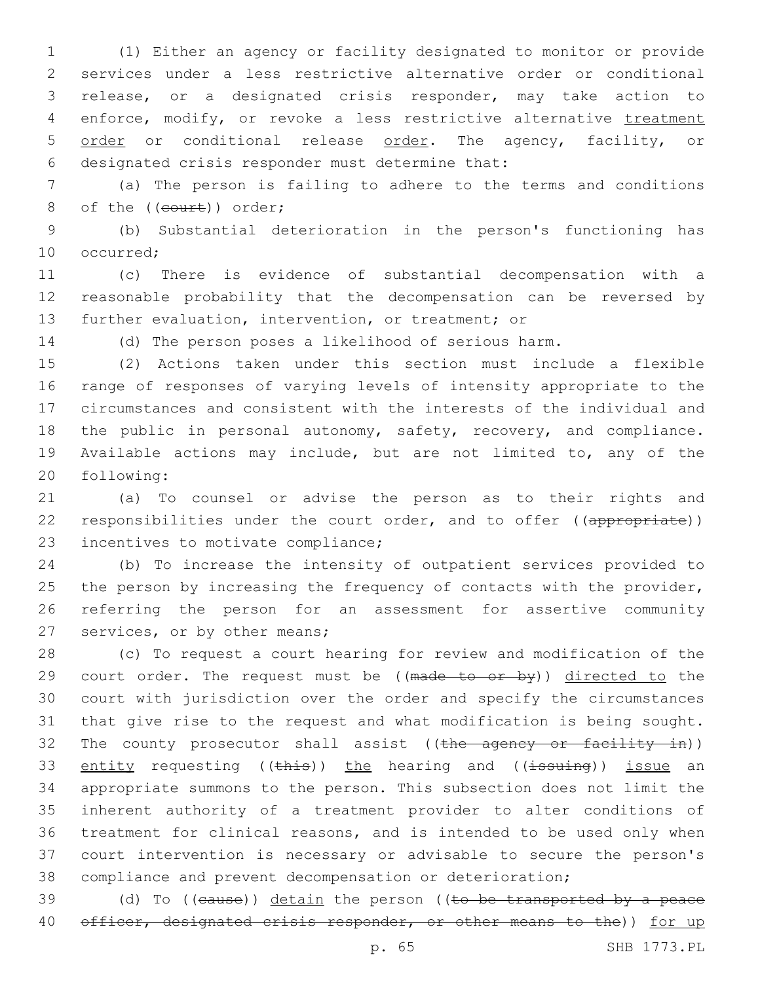(1) Either an agency or facility designated to monitor or provide services under a less restrictive alternative order or conditional release, or a designated crisis responder, may take action to 4 enforce, modify, or revoke a less restrictive alternative treatment 5 order or conditional release order. The agency, facility, or 6 designated crisis responder must determine that:

 (a) The person is failing to adhere to the terms and conditions 8 of the ((court)) order;

 (b) Substantial deterioration in the person's functioning has 10 occurred:

 (c) There is evidence of substantial decompensation with a reasonable probability that the decompensation can be reversed by further evaluation, intervention, or treatment; or

(d) The person poses a likelihood of serious harm.

 (2) Actions taken under this section must include a flexible range of responses of varying levels of intensity appropriate to the circumstances and consistent with the interests of the individual and the public in personal autonomy, safety, recovery, and compliance. Available actions may include, but are not limited to, any of the 20 following:

 (a) To counsel or advise the person as to their rights and 22 responsibilities under the court order, and to offer ((appropriate)) 23 incentives to motivate compliance;

 (b) To increase the intensity of outpatient services provided to 25 the person by increasing the frequency of contacts with the provider, referring the person for an assessment for assertive community 27 services, or by other means;

 (c) To request a court hearing for review and modification of the 29 court order. The request must be ((made to or by)) directed to the court with jurisdiction over the order and specify the circumstances that give rise to the request and what modification is being sought. 32 The county prosecutor shall assist ((the agency or facility in)) 33 entity requesting ((this)) the hearing and ((issuing)) issue an appropriate summons to the person. This subsection does not limit the inherent authority of a treatment provider to alter conditions of treatment for clinical reasons, and is intended to be used only when court intervention is necessary or advisable to secure the person's compliance and prevent decompensation or deterioration;

39 (d) To ((cause)) detain the person ((to be transported by a peace 40 officer, designated crisis responder, or other means to the)) for up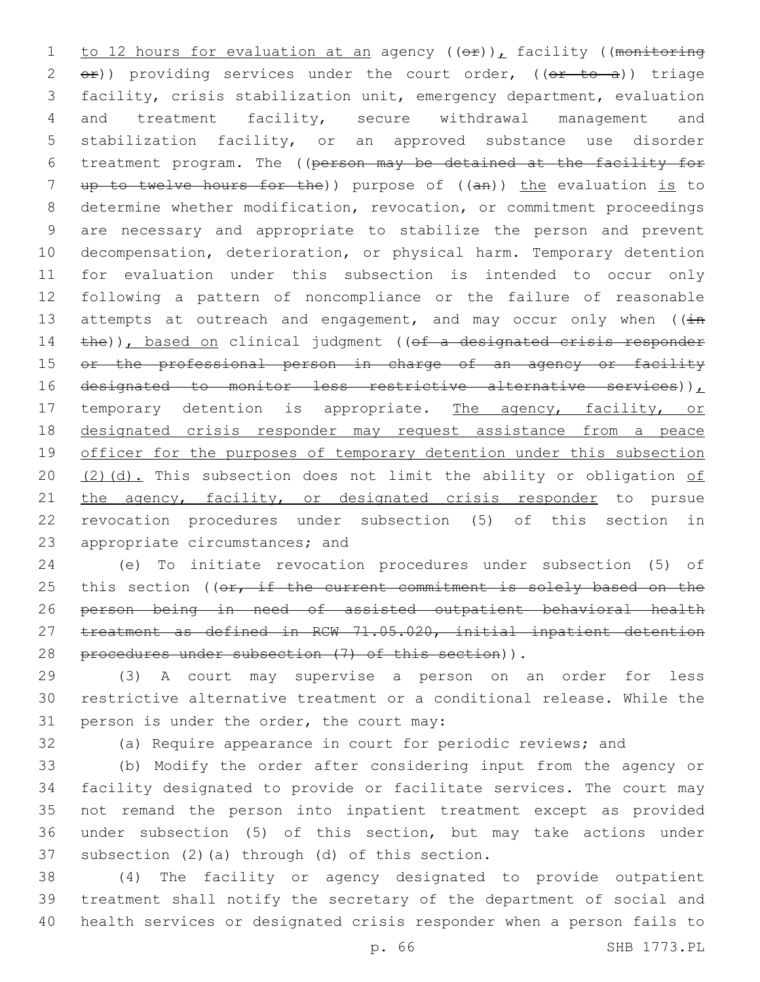1 to 12 hours for evaluation at an agency  $((e f) )$ , facility ((monitoring 2  $e$ )) providing services under the court order, ( $(e<sup>r</sup>$  to a)) triage 3 facility, crisis stabilization unit, emergency department, evaluation 4 and treatment facility, secure withdrawal management and 5 stabilization facility, or an approved substance use disorder 6 treatment program. The ((person may be detained at the facility for 7 up to twelve hours for the)) purpose of ((an)) the evaluation is to 8 determine whether modification, revocation, or commitment proceedings 9 are necessary and appropriate to stabilize the person and prevent 10 decompensation, deterioration, or physical harm. Temporary detention 11 for evaluation under this subsection is intended to occur only 12 following a pattern of noncompliance or the failure of reasonable 13 attempts at outreach and engagement, and may occur only when  $((\pm n)^2)^2$ 14 the)), based on clinical judgment ((of a designated crisis responder 15 or the professional person in charge of an agency or facility 16 designated to monitor less restrictive alternative services)), 17 temporary detention is appropriate. The agency, facility, or 18 designated crisis responder may request assistance from a peace 19 officer for the purposes of temporary detention under this subsection 20  $(2)(d)$ . This subsection does not limit the ability or obligation of 21 the agency, facility, or designated crisis responder to pursue 22 revocation procedures under subsection (5) of this section in 23 appropriate circumstances; and

24 (e) To initiate revocation procedures under subsection (5) of 25 this section ((or, if the current commitment is solely based on the 26 person being in need of assisted outpatient behavioral health 27 treatment as defined in RCW 71.05.020, initial inpatient detention 28 procedures under subsection (7) of this section)).

29 (3) A court may supervise a person on an order for less 30 restrictive alternative treatment or a conditional release. While the 31 person is under the order, the court may:

32 (a) Require appearance in court for periodic reviews; and

 (b) Modify the order after considering input from the agency or facility designated to provide or facilitate services. The court may not remand the person into inpatient treatment except as provided under subsection (5) of this section, but may take actions under 37 subsection  $(2)$  (a) through  $(d)$  of this section.

38 (4) The facility or agency designated to provide outpatient 39 treatment shall notify the secretary of the department of social and 40 health services or designated crisis responder when a person fails to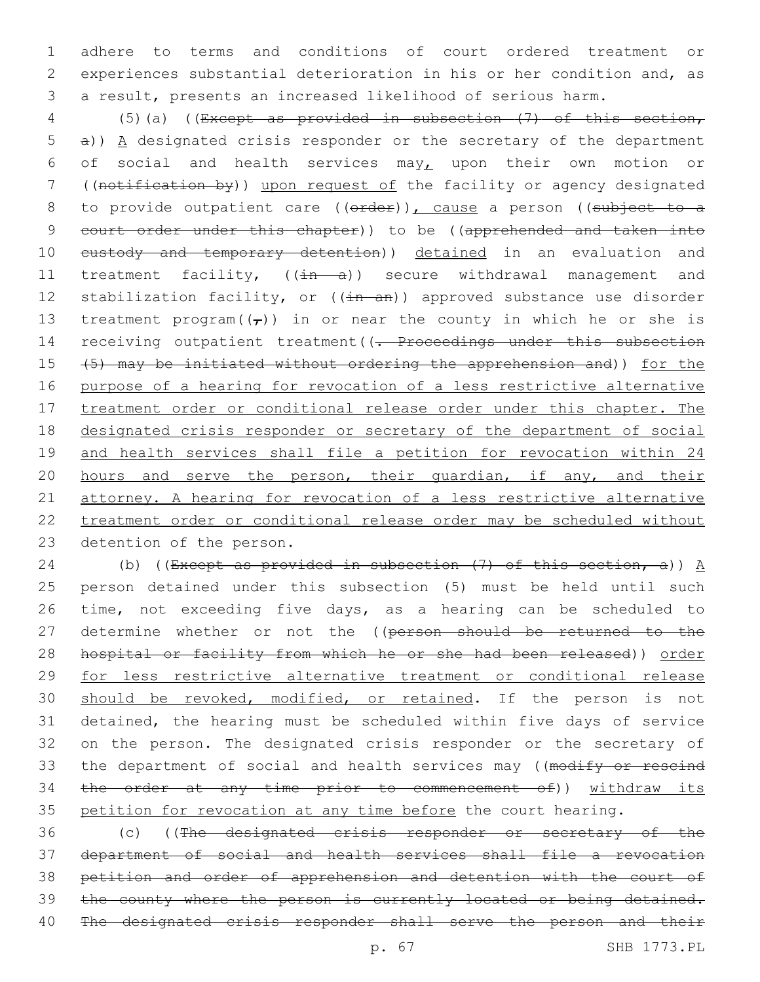adhere to terms and conditions of court ordered treatment or experiences substantial deterioration in his or her condition and, as a result, presents an increased likelihood of serious harm.

 (5)(a) ((Except as provided in subsection (7) of this section, a)) A designated crisis responder or the secretary of the department 6 of social and health services may<sub> $L$ </sub> upon their own motion or ((notification by)) upon request of the facility or agency designated 8 to provide outpatient care ((erder)), cause a person ((subject to a court order under this chapter)) to be ((apprehended and taken into 10 eustody and temporary detention)) detained in an evaluation and 11 treatment facility, ((in a)) secure withdrawal management and 12 stabilization facility, or ((in an)) approved substance use disorder 13 treatment program $((\tau))$  in or near the county in which he or she is 14 receiving outpatient treatment ((- Proceedings under this subsection (5) may be initiated without ordering the apprehension and)) for the purpose of a hearing for revocation of a less restrictive alternative 17 treatment order or conditional release order under this chapter. The designated crisis responder or secretary of the department of social and health services shall file a petition for revocation within 24 20 hours and serve the person, their guardian, if any, and their attorney. A hearing for revocation of a less restrictive alternative treatment order or conditional release order may be scheduled without 23 detention of the person.

24 (b) ((Except as provided in subsection  $(7)$  of this section, a))  $\underline{A}$  person detained under this subsection (5) must be held until such time, not exceeding five days, as a hearing can be scheduled to 27 determine whether or not the ((person should be returned to the hospital or facility from which he or she had been released)) order for less restrictive alternative treatment or conditional release 30 should be revoked, modified, or retained. If the person is not detained, the hearing must be scheduled within five days of service on the person. The designated crisis responder or the secretary of 33 the department of social and health services may ((modify or rescind the order at any time prior to commencement of)) withdraw its petition for revocation at any time before the court hearing.

 (c) ((The designated crisis responder or secretary of the department of social and health services shall file a revocation petition and order of apprehension and detention with the court of 39 the county where the person is currently located or being detained. The designated crisis responder shall serve the person and their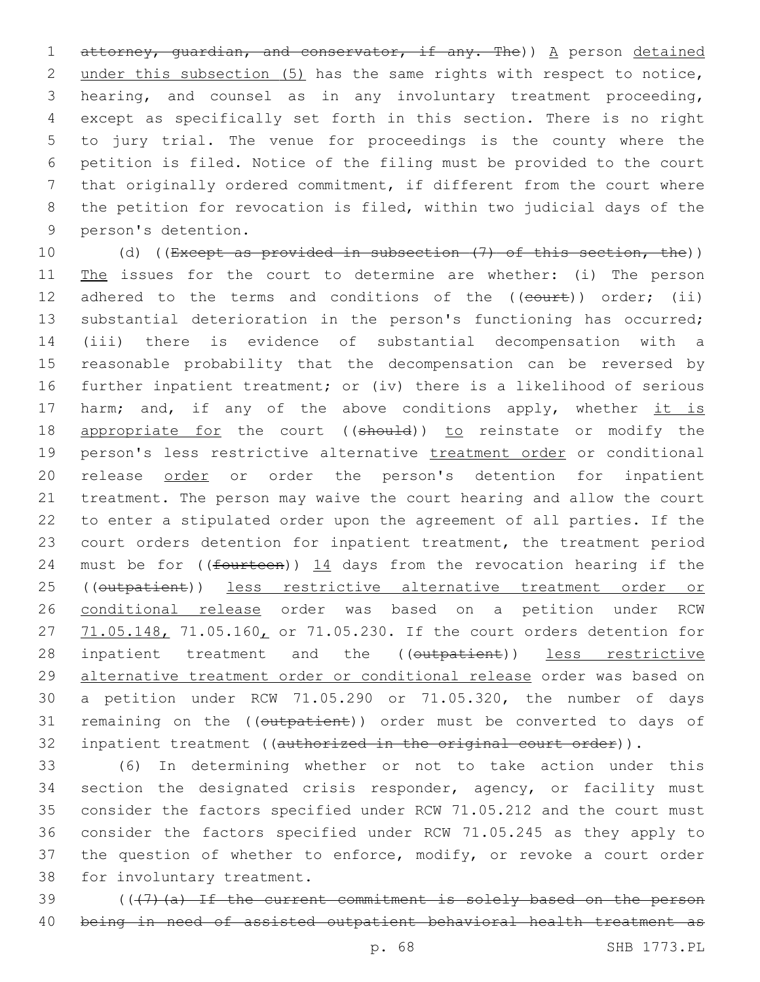1 attorney, quardian, and conservator, if any. The)) A person detained under this subsection (5) has the same rights with respect to notice, hearing, and counsel as in any involuntary treatment proceeding, except as specifically set forth in this section. There is no right to jury trial. The venue for proceedings is the county where the petition is filed. Notice of the filing must be provided to the court that originally ordered commitment, if different from the court where the petition for revocation is filed, within two judicial days of the 9 person's detention.

10 (d) ((Except as provided in subsection (7) of this section, the)) 11 The issues for the court to determine are whether: (i) The person 12 adhered to the terms and conditions of the ((court)) order; (ii) 13 substantial deterioration in the person's functioning has occurred; 14 (iii) there is evidence of substantial decompensation with a 15 reasonable probability that the decompensation can be reversed by 16 further inpatient treatment; or (iv) there is a likelihood of serious 17 harm; and, if any of the above conditions apply, whether it is 18 appropriate for the court ((should)) to reinstate or modify the 19 person's less restrictive alternative treatment order or conditional 20 release order or order the person's detention for inpatient 21 treatment. The person may waive the court hearing and allow the court 22 to enter a stipulated order upon the agreement of all parties. If the 23 court orders detention for inpatient treatment, the treatment period 24 must be for (( $f$ ourteen))  $14$  days from the revocation hearing if the 25 ((outpatient)) less restrictive alternative treatment order or 26 conditional release order was based on a petition under RCW 27 71.05.148, 71.05.160, or 71.05.230. If the court orders detention for 28 inpatient treatment and the ((outpatient)) less restrictive 29 alternative treatment order or conditional release order was based on 30 a petition under RCW 71.05.290 or 71.05.320, the number of days 31 remaining on the ((outpatient)) order must be converted to days of 32 inpatient treatment ((authorized in the original court order)).

33 (6) In determining whether or not to take action under this 34 section the designated crisis responder, agency, or facility must 35 consider the factors specified under RCW 71.05.212 and the court must 36 consider the factors specified under RCW 71.05.245 as they apply to 37 the question of whether to enforce, modify, or revoke a court order 38 for involuntary treatment.

39 (((7)(a) If the current commitment is solely based on the person 40 being in need of assisted outpatient behavioral health treatment as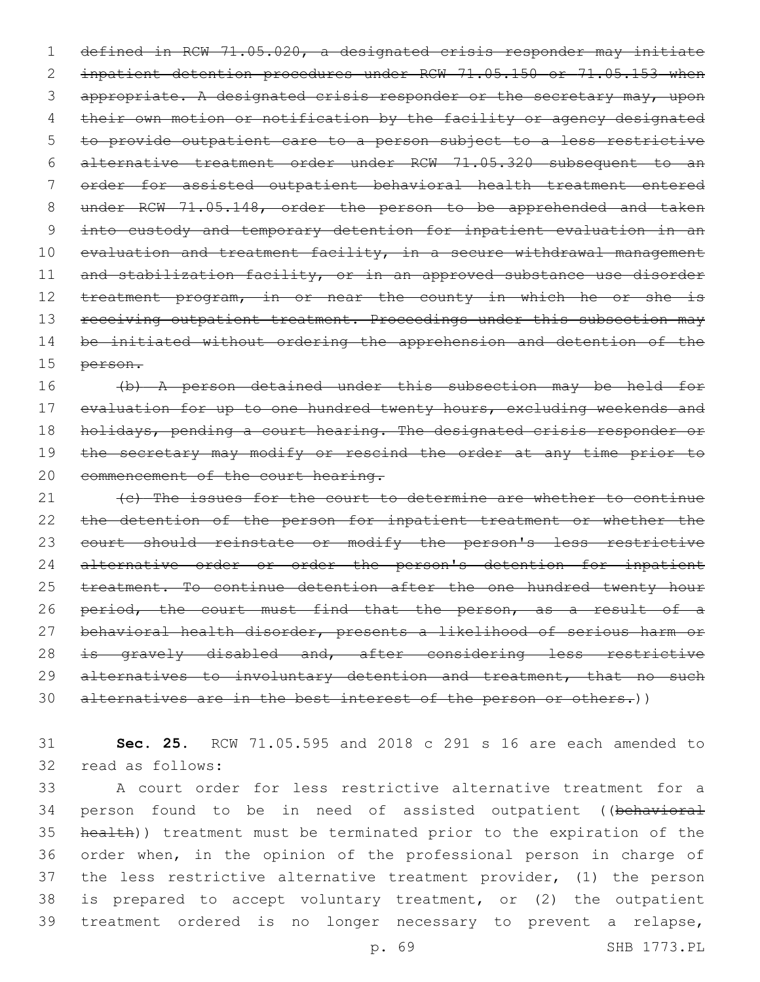1 defined in RCW 71.05.020, a designated crisis responder may initiate 2 inpatient detention procedures under RCW 71.05.150 or 71.05.153 when 3 appropriate. A designated crisis responder or the secretary may, upon 4 their own motion or notification by the facility or agency designated 5 to provide outpatient care to a person subject to a less restrictive 6 alternative treatment order under RCW 71.05.320 subsequent to an 7 order for assisted outpatient behavioral health treatment entered 8 under RCW 71.05.148, order the person to be apprehended and taken 9 into custody and temporary detention for inpatient evaluation in an 10 evaluation and treatment facility, in a secure withdrawal management 11 and stabilization facility, or in an approved substance use disorder 12 treatment program, in or near the county in which he or she is 13 receiving outpatient treatment. Proceedings under this subsection may 14 be initiated without ordering the apprehension and detention of the 15 person.

16 (b) A person detained under this subsection may be held for 17 evaluation for up to one hundred twenty hours, excluding weekends and 18 holidays, pending a court hearing. The designated crisis responder or 19 the secretary may modify or rescind the order at any time prior to 20 commencement of the court hearing.

21 (c) The issues for the court to determine are whether to continue 22 the detention of the person for inpatient treatment or whether the 23 court should reinstate or modify the person's less restrictive 24 alternative order or order the person's detention for inpatient 25 treatment. To continue detention after the one hundred twenty hour 26 period, the court must find that the person, as a result of a 27 behavioral health disorder, presents a likelihood of serious harm or 28 is gravely disabled and, after considering less restrictive 29 alternatives to involuntary detention and treatment, that no such 30 alternatives are in the best interest of the person or others.))

31 **Sec. 25.** RCW 71.05.595 and 2018 c 291 s 16 are each amended to 32 read as follows:

 A court order for less restrictive alternative treatment for a 34 person found to be in need of assisted outpatient ((behavioral health)) treatment must be terminated prior to the expiration of the order when, in the opinion of the professional person in charge of the less restrictive alternative treatment provider, (1) the person is prepared to accept voluntary treatment, or (2) the outpatient treatment ordered is no longer necessary to prevent a relapse,

p. 69 SHB 1773.PL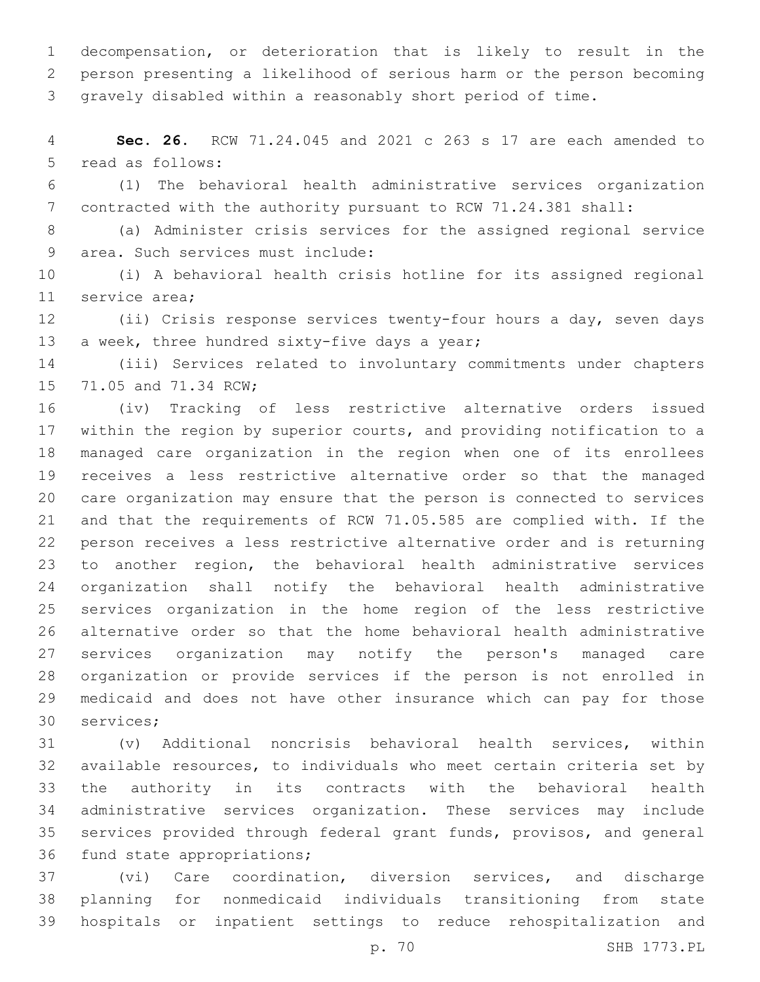decompensation, or deterioration that is likely to result in the person presenting a likelihood of serious harm or the person becoming gravely disabled within a reasonably short period of time.

 **Sec. 26.** RCW 71.24.045 and 2021 c 263 s 17 are each amended to 5 read as follows:

 (1) The behavioral health administrative services organization contracted with the authority pursuant to RCW 71.24.381 shall:

 (a) Administer crisis services for the assigned regional service 9 area. Such services must include:

 (i) A behavioral health crisis hotline for its assigned regional 11 service area;

 (ii) Crisis response services twenty-four hours a day, seven days 13 a week, three hundred sixty-five days a year;

 (iii) Services related to involuntary commitments under chapters 15 71.05 and 71.34 RCW;

 (iv) Tracking of less restrictive alternative orders issued within the region by superior courts, and providing notification to a managed care organization in the region when one of its enrollees receives a less restrictive alternative order so that the managed care organization may ensure that the person is connected to services and that the requirements of RCW 71.05.585 are complied with. If the person receives a less restrictive alternative order and is returning to another region, the behavioral health administrative services organization shall notify the behavioral health administrative services organization in the home region of the less restrictive alternative order so that the home behavioral health administrative services organization may notify the person's managed care organization or provide services if the person is not enrolled in medicaid and does not have other insurance which can pay for those 30 services;

 (v) Additional noncrisis behavioral health services, within available resources, to individuals who meet certain criteria set by the authority in its contracts with the behavioral health administrative services organization. These services may include services provided through federal grant funds, provisos, and general 36 fund state appropriations;

 (vi) Care coordination, diversion services, and discharge planning for nonmedicaid individuals transitioning from state hospitals or inpatient settings to reduce rehospitalization and

p. 70 SHB 1773.PL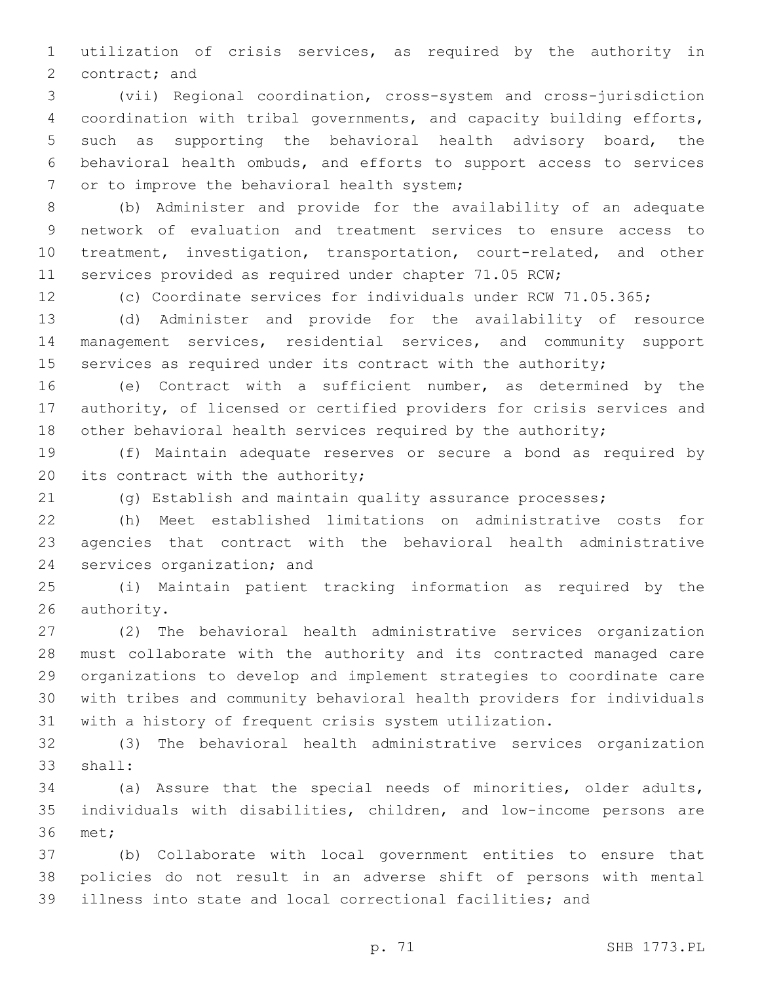utilization of crisis services, as required by the authority in 2 contract; and

 (vii) Regional coordination, cross-system and cross-jurisdiction coordination with tribal governments, and capacity building efforts, such as supporting the behavioral health advisory board, the behavioral health ombuds, and efforts to support access to services 7 or to improve the behavioral health system;

 (b) Administer and provide for the availability of an adequate network of evaluation and treatment services to ensure access to treatment, investigation, transportation, court-related, and other services provided as required under chapter 71.05 RCW;

(c) Coordinate services for individuals under RCW 71.05.365;

 (d) Administer and provide for the availability of resource management services, residential services, and community support 15 services as required under its contract with the authority;

 (e) Contract with a sufficient number, as determined by the authority, of licensed or certified providers for crisis services and 18 other behavioral health services required by the authority;

 (f) Maintain adequate reserves or secure a bond as required by 20 its contract with the authority;

(g) Establish and maintain quality assurance processes;

 (h) Meet established limitations on administrative costs for agencies that contract with the behavioral health administrative 24 services organization; and

 (i) Maintain patient tracking information as required by the 26 authority.

 (2) The behavioral health administrative services organization must collaborate with the authority and its contracted managed care organizations to develop and implement strategies to coordinate care with tribes and community behavioral health providers for individuals with a history of frequent crisis system utilization.

 (3) The behavioral health administrative services organization 33 shall:

 (a) Assure that the special needs of minorities, older adults, individuals with disabilities, children, and low-income persons are 36 met;

 (b) Collaborate with local government entities to ensure that policies do not result in an adverse shift of persons with mental illness into state and local correctional facilities; and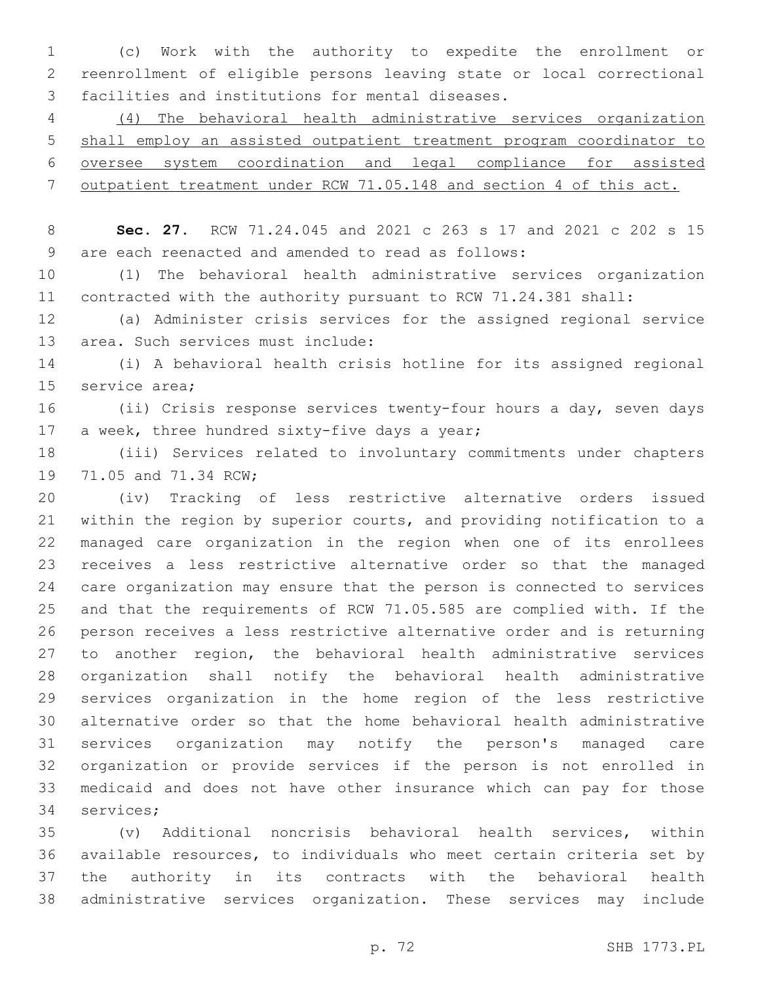(c) Work with the authority to expedite the enrollment or reenrollment of eligible persons leaving state or local correctional 3 facilities and institutions for mental diseases.

 (4) The behavioral health administrative services organization shall employ an assisted outpatient treatment program coordinator to oversee system coordination and legal compliance for assisted outpatient treatment under RCW 71.05.148 and section 4 of this act.

 **Sec. 27.** RCW 71.24.045 and 2021 c 263 s 17 and 2021 c 202 s 15 are each reenacted and amended to read as follows:9

 (1) The behavioral health administrative services organization contracted with the authority pursuant to RCW 71.24.381 shall:

 (a) Administer crisis services for the assigned regional service 13 area. Such services must include:

 (i) A behavioral health crisis hotline for its assigned regional 15 service area;

 (ii) Crisis response services twenty-four hours a day, seven days 17 a week, three hundred sixty-five days a year;

 (iii) Services related to involuntary commitments under chapters 19 71.05 and 71.34 RCW;

 (iv) Tracking of less restrictive alternative orders issued within the region by superior courts, and providing notification to a managed care organization in the region when one of its enrollees receives a less restrictive alternative order so that the managed care organization may ensure that the person is connected to services and that the requirements of RCW 71.05.585 are complied with. If the person receives a less restrictive alternative order and is returning to another region, the behavioral health administrative services organization shall notify the behavioral health administrative services organization in the home region of the less restrictive alternative order so that the home behavioral health administrative services organization may notify the person's managed care organization or provide services if the person is not enrolled in medicaid and does not have other insurance which can pay for those 34 services;

 (v) Additional noncrisis behavioral health services, within available resources, to individuals who meet certain criteria set by the authority in its contracts with the behavioral health administrative services organization. These services may include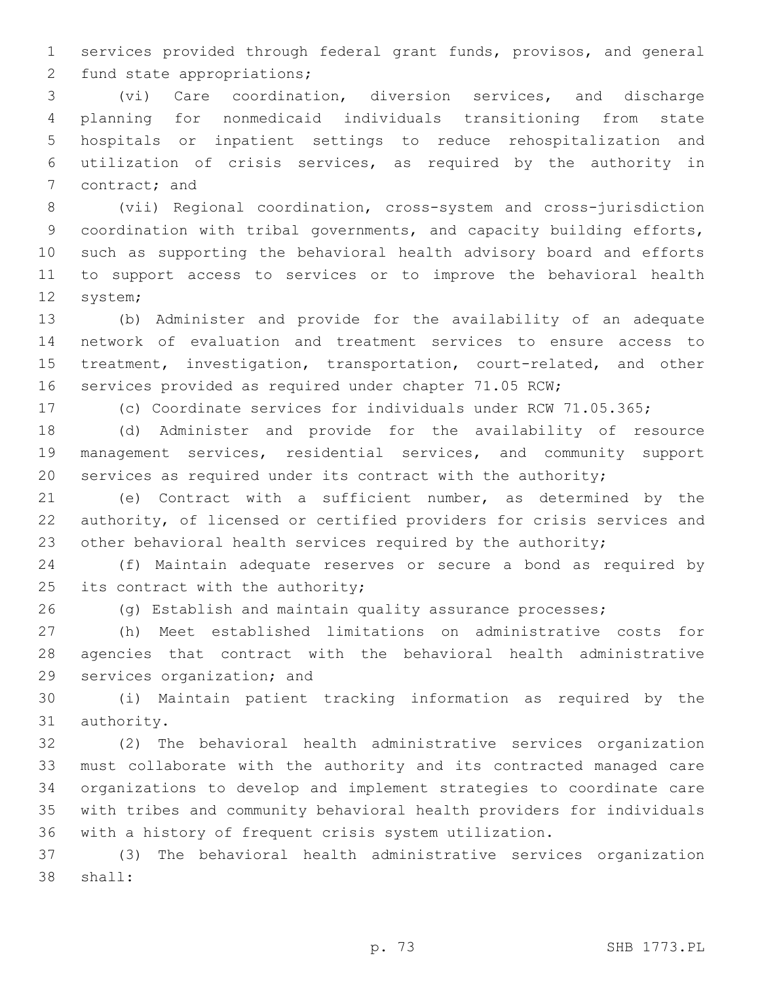services provided through federal grant funds, provisos, and general 2 fund state appropriations;

 (vi) Care coordination, diversion services, and discharge planning for nonmedicaid individuals transitioning from state hospitals or inpatient settings to reduce rehospitalization and utilization of crisis services, as required by the authority in 7 contract; and

 (vii) Regional coordination, cross-system and cross-jurisdiction coordination with tribal governments, and capacity building efforts, such as supporting the behavioral health advisory board and efforts to support access to services or to improve the behavioral health 12 system;

 (b) Administer and provide for the availability of an adequate network of evaluation and treatment services to ensure access to treatment, investigation, transportation, court-related, and other services provided as required under chapter 71.05 RCW;

(c) Coordinate services for individuals under RCW 71.05.365;

 (d) Administer and provide for the availability of resource management services, residential services, and community support services as required under its contract with the authority;

 (e) Contract with a sufficient number, as determined by the authority, of licensed or certified providers for crisis services and 23 other behavioral health services required by the authority;

 (f) Maintain adequate reserves or secure a bond as required by 25 its contract with the authority;

(g) Establish and maintain quality assurance processes;

 (h) Meet established limitations on administrative costs for agencies that contract with the behavioral health administrative 29 services organization; and

 (i) Maintain patient tracking information as required by the 31 authority.

 (2) The behavioral health administrative services organization must collaborate with the authority and its contracted managed care organizations to develop and implement strategies to coordinate care with tribes and community behavioral health providers for individuals with a history of frequent crisis system utilization.

 (3) The behavioral health administrative services organization 38 shall: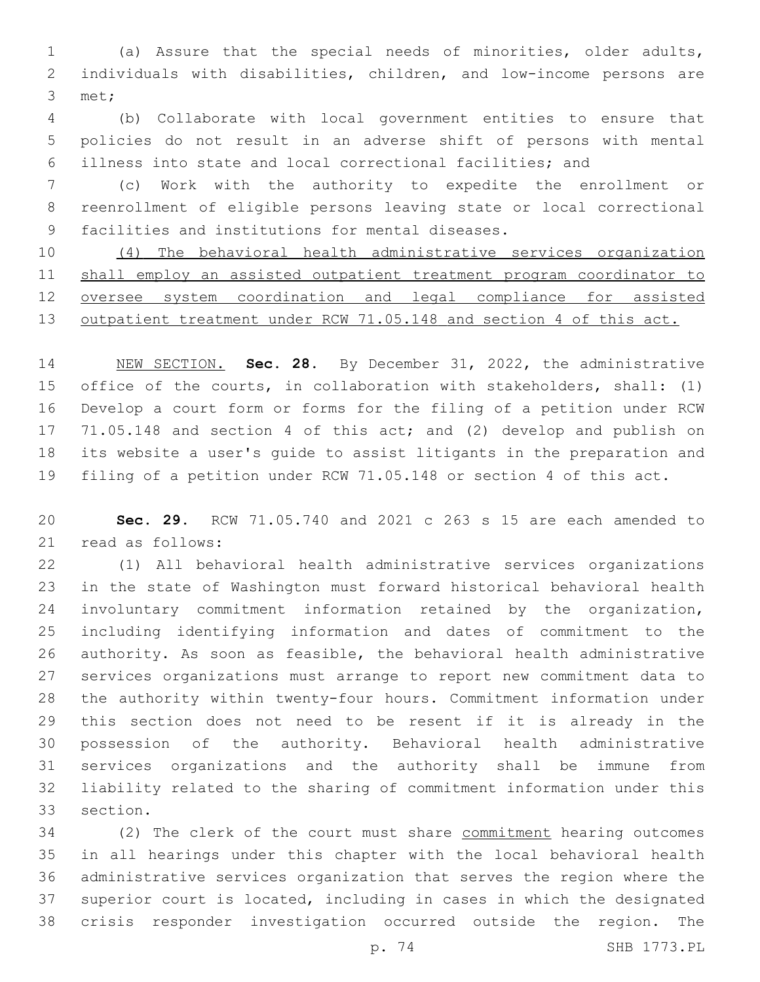(a) Assure that the special needs of minorities, older adults, individuals with disabilities, children, and low-income persons are 3 met;

 (b) Collaborate with local government entities to ensure that policies do not result in an adverse shift of persons with mental illness into state and local correctional facilities; and

 (c) Work with the authority to expedite the enrollment or reenrollment of eligible persons leaving state or local correctional 9 facilities and institutions for mental diseases.

 (4) The behavioral health administrative services organization shall employ an assisted outpatient treatment program coordinator to oversee system coordination and legal compliance for assisted 13 outpatient treatment under RCW 71.05.148 and section 4 of this act.

 NEW SECTION. **Sec. 28.** By December 31, 2022, the administrative office of the courts, in collaboration with stakeholders, shall: (1) Develop a court form or forms for the filing of a petition under RCW 71.05.148 and section 4 of this act; and (2) develop and publish on its website a user's guide to assist litigants in the preparation and filing of a petition under RCW 71.05.148 or section 4 of this act.

 **Sec. 29.** RCW 71.05.740 and 2021 c 263 s 15 are each amended to 21 read as follows:

 (1) All behavioral health administrative services organizations in the state of Washington must forward historical behavioral health involuntary commitment information retained by the organization, including identifying information and dates of commitment to the authority. As soon as feasible, the behavioral health administrative services organizations must arrange to report new commitment data to the authority within twenty-four hours. Commitment information under this section does not need to be resent if it is already in the possession of the authority. Behavioral health administrative services organizations and the authority shall be immune from liability related to the sharing of commitment information under this 33 section.

 (2) The clerk of the court must share commitment hearing outcomes in all hearings under this chapter with the local behavioral health administrative services organization that serves the region where the superior court is located, including in cases in which the designated crisis responder investigation occurred outside the region. The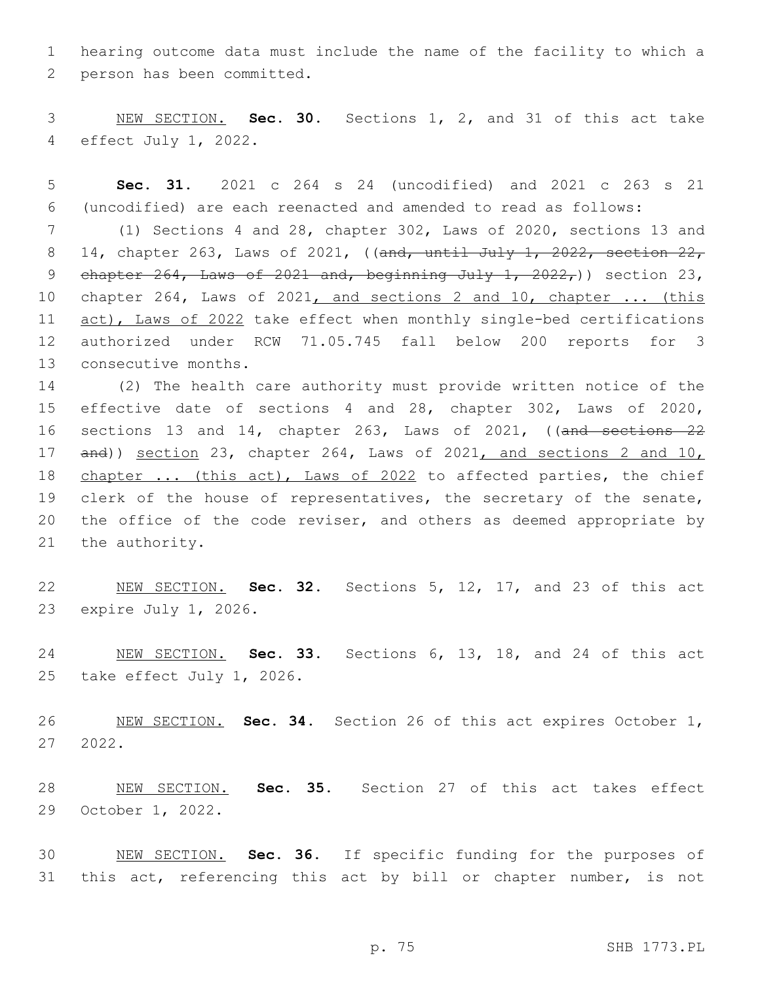hearing outcome data must include the name of the facility to which a 2 person has been committed.

 NEW SECTION. **Sec. 30.** Sections 1, 2, and 31 of this act take effect July 1, 2022.

 **Sec. 31.** 2021 c 264 s 24 (uncodified) and 2021 c 263 s 21 (uncodified) are each reenacted and amended to read as follows:

 (1) Sections 4 and 28, chapter 302, Laws of 2020, sections 13 and 8 14, chapter 263, Laws of 2021, ((and, until July 1, 2022, section 22, 9 chapter , Laws of  $2021$  and, beginning July 1,  $2022$ , ) section 23, chapter 264, Laws of 2021, and sections 2 and 10, chapter ... (this 11 act), Laws of 2022 take effect when monthly single-bed certifications authorized under RCW 71.05.745 fall below 200 reports for 3 13 consecutive months.

 (2) The health care authority must provide written notice of the effective date of sections 4 and 28, chapter 302, Laws of 2020, sections 13 and 14, chapter 263, Laws of 2021, ((and sections 22 and)) section 23, chapter 264, Laws of 2021, and sections 2 and 10, 18 chapter ... (this act), Laws of 2022 to affected parties, the chief clerk of the house of representatives, the secretary of the senate, the office of the code reviser, and others as deemed appropriate by 21 the authority.

 NEW SECTION. **Sec. 32.** Sections 5, 12, 17, and 23 of this act expire July 1, 2026.

 NEW SECTION. **Sec. 33.** Sections 6, 13, 18, and 24 of this act take effect July 1, 2026.

 NEW SECTION. **Sec. 34.** Section 26 of this act expires October 1, 2022.

 NEW SECTION. **Sec. 35.** Section 27 of this act takes effect October 1, 2022.

 NEW SECTION. **Sec. 36.** If specific funding for the purposes of 31 this act, referencing this act by bill or chapter number, is not